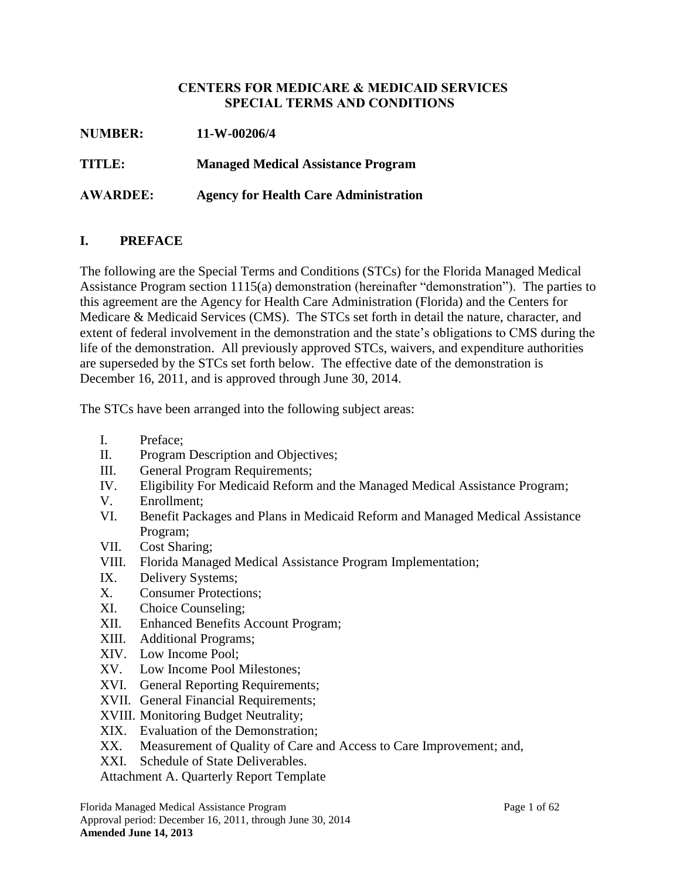### **CENTERS FOR MEDICARE & MEDICAID SERVICES SPECIAL TERMS AND CONDITIONS**

| <b>NUMBER:</b>  | 11-W-00206/4                                 |
|-----------------|----------------------------------------------|
| <b>TITLE:</b>   | <b>Managed Medical Assistance Program</b>    |
| <b>AWARDEE:</b> | <b>Agency for Health Care Administration</b> |

## **I. PREFACE**

The following are the Special Terms and Conditions (STCs) for the Florida Managed Medical Assistance Program section 1115(a) demonstration (hereinafter "demonstration"). The parties to this agreement are the Agency for Health Care Administration (Florida) and the Centers for Medicare & Medicaid Services (CMS). The STCs set forth in detail the nature, character, and extent of federal involvement in the demonstration and the state's obligations to CMS during the life of the demonstration. All previously approved STCs, waivers, and expenditure authorities are superseded by the STCs set forth below. The effective date of the demonstration is December 16, 2011, and is approved through June 30, 2014.

The STCs have been arranged into the following subject areas:

- I. Preface;
- II. Program Description and Objectives;
- III. General Program Requirements;
- IV. Eligibility For Medicaid Reform and the Managed Medical Assistance Program;
- V. Enrollment;
- VI. Benefit Packages and Plans in Medicaid Reform and Managed Medical Assistance Program;
- VII. Cost Sharing;
- VIII. Florida Managed Medical Assistance Program Implementation;
- IX. Delivery Systems;
- <span id="page-0-0"></span>X. Consumer Protections;
- XI. Choice Counseling;
- XII. Enhanced Benefits Account Program;
- XIII. Additional Programs;
- XIV. Low Income Pool;
- XV. Low Income Pool Milestones;
- XVI. General Reporting Requirements;
- XVII. General Financial Requirements;
- XVIII. Monitoring Budget Neutrality;
- XIX. Evaluation of the Demonstration;
- XX. Measurement of Quality of Care and Access to Care Improvement; and,
- XXI. Schedule of State Deliverables.

Attachment A. Quarterly Report Template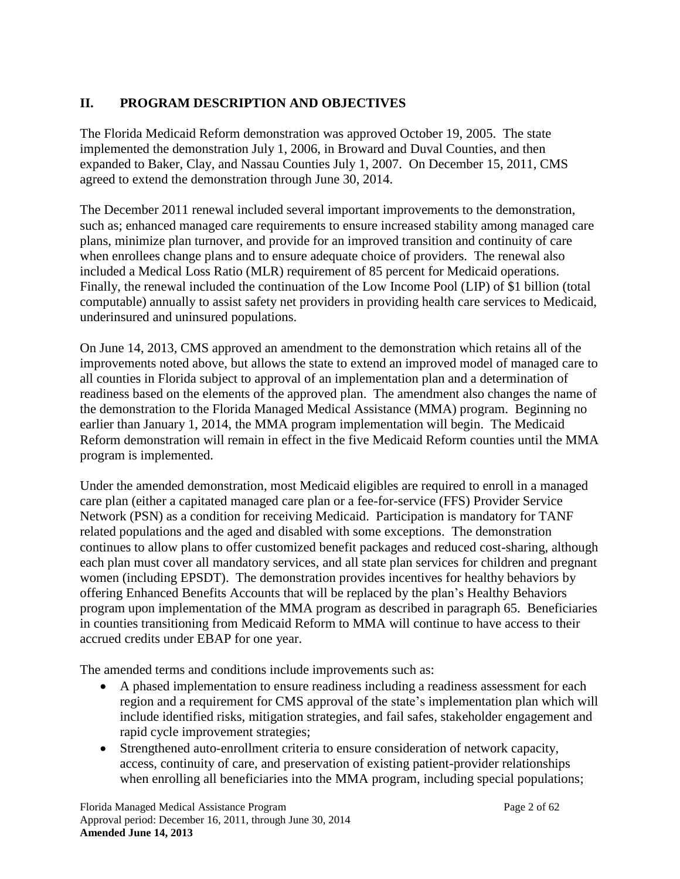# **II. PROGRAM DESCRIPTION AND OBJECTIVES**

The Florida Medicaid Reform demonstration was approved October 19, 2005. The state implemented the demonstration July 1, 2006, in Broward and Duval Counties, and then expanded to Baker, Clay, and Nassau Counties July 1, 2007. On December 15, 2011, CMS agreed to extend the demonstration through June 30, 2014.

The December 2011 renewal included several important improvements to the demonstration, such as; enhanced managed care requirements to ensure increased stability among managed care plans, minimize plan turnover, and provide for an improved transition and continuity of care when enrollees change plans and to ensure adequate choice of providers. The renewal also included a Medical Loss Ratio (MLR) requirement of 85 percent for Medicaid operations. Finally, the renewal included the continuation of the Low Income Pool (LIP) of \$1 billion (total computable) annually to assist safety net providers in providing health care services to Medicaid, underinsured and uninsured populations.

On June 14, 2013, CMS approved an amendment to the demonstration which retains all of the improvements noted above, but allows the state to extend an improved model of managed care to all counties in Florida subject to approval of an implementation plan and a determination of readiness based on the elements of the approved plan. The amendment also changes the name of the demonstration to the Florida Managed Medical Assistance (MMA) program. Beginning no earlier than January 1, 2014, the MMA program implementation will begin. The Medicaid Reform demonstration will remain in effect in the five Medicaid Reform counties until the MMA program is implemented.

Under the amended demonstration, most Medicaid eligibles are required to enroll in a managed care plan (either a capitated managed care plan or a fee-for-service (FFS) Provider Service Network (PSN) as a condition for receiving Medicaid. Participation is mandatory for TANF related populations and the aged and disabled with some exceptions. The demonstration continues to allow plans to offer customized benefit packages and reduced cost-sharing, although each plan must cover all mandatory services, and all state plan services for children and pregnant women (including EPSDT). The demonstration provides incentives for healthy behaviors by offering Enhanced Benefits Accounts that will be replaced by the plan's Healthy Behaviors program upon implementation of the MMA program as described in paragraph [65.](#page-29-0) Beneficiaries in counties transitioning from Medicaid Reform to MMA will continue to have access to their accrued credits under EBAP for one year.

The amended terms and conditions include improvements such as:

- A phased implementation to ensure readiness including a readiness assessment for each region and a requirement for CMS approval of the state's implementation plan which will include identified risks, mitigation strategies, and fail safes, stakeholder engagement and rapid cycle improvement strategies;
- Strengthened auto-enrollment criteria to ensure consideration of network capacity, access, continuity of care, and preservation of existing patient-provider relationships when enrolling all beneficiaries into the MMA program, including special populations;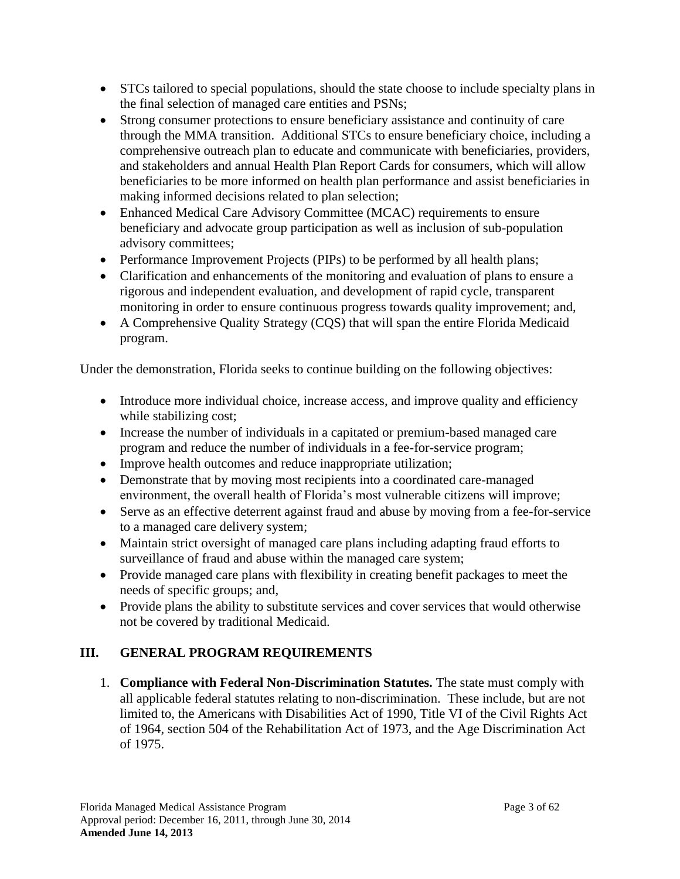- STCs tailored to special populations, should the state choose to include specialty plans in the final selection of managed care entities and PSNs;
- Strong consumer protections to ensure beneficiary assistance and continuity of care through the MMA transition. Additional STCs to ensure beneficiary choice, including a comprehensive outreach plan to educate and communicate with beneficiaries, providers, and stakeholders and annual Health Plan Report Cards for consumers, which will allow beneficiaries to be more informed on health plan performance and assist beneficiaries in making informed decisions related to plan selection;
- Enhanced Medical Care Advisory Committee (MCAC) requirements to ensure beneficiary and advocate group participation as well as inclusion of sub-population advisory committees;
- Performance Improvement Projects (PIPs) to be performed by all health plans;
- Clarification and enhancements of the monitoring and evaluation of plans to ensure a rigorous and independent evaluation, and development of rapid cycle, transparent monitoring in order to ensure continuous progress towards quality improvement; and,
- A Comprehensive Quality Strategy (CQS) that will span the entire Florida Medicaid program.

Under the demonstration, Florida seeks to continue building on the following objectives:

- Introduce more individual choice, increase access, and improve quality and efficiency while stabilizing cost;
- Increase the number of individuals in a capitated or premium-based managed care program and reduce the number of individuals in a fee-for-service program;
- Improve health outcomes and reduce inappropriate utilization;
- Demonstrate that by moving most recipients into a coordinated care-managed environment, the overall health of Florida's most vulnerable citizens will improve;
- Serve as an effective deterrent against fraud and abuse by moving from a fee-for-service to a managed care delivery system;
- Maintain strict oversight of managed care plans including adapting fraud efforts to surveillance of fraud and abuse within the managed care system;
- Provide managed care plans with flexibility in creating benefit packages to meet the needs of specific groups; and,
- Provide plans the ability to substitute services and cover services that would otherwise not be covered by traditional Medicaid.

# **III. GENERAL PROGRAM REQUIREMENTS**

1. **Compliance with Federal Non-Discrimination Statutes.** The state must comply with all applicable federal statutes relating to non-discrimination. These include, but are not limited to, the Americans with Disabilities Act of 1990, Title VI of the Civil Rights Act of 1964, section 504 of the Rehabilitation Act of 1973, and the Age Discrimination Act of 1975.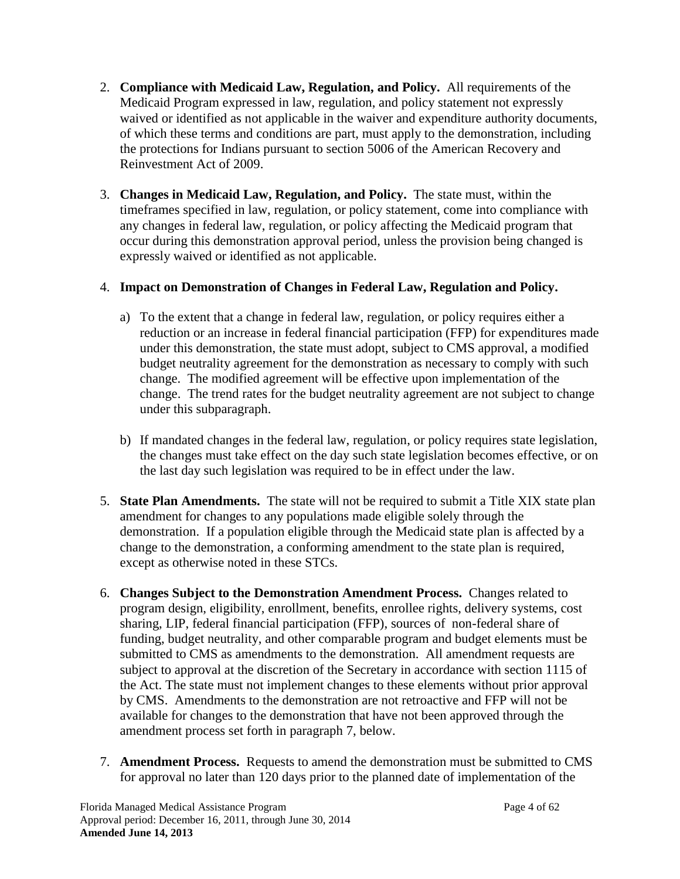- 2. **Compliance with Medicaid Law, Regulation, and Policy.** All requirements of the Medicaid Program expressed in law, regulation, and policy statement not expressly waived or identified as not applicable in the waiver and expenditure authority documents, of which these terms and conditions are part, must apply to the demonstration, including the protections for Indians pursuant to section 5006 of the American Recovery and Reinvestment Act of 2009.
- 3. **Changes in Medicaid Law, Regulation, and Policy.** The state must, within the timeframes specified in law, regulation, or policy statement, come into compliance with any changes in federal law, regulation, or policy affecting the Medicaid program that occur during this demonstration approval period, unless the provision being changed is expressly waived or identified as not applicable.

## 4. **Impact on Demonstration of Changes in Federal Law, Regulation and Policy.**

- a) To the extent that a change in federal law, regulation, or policy requires either a reduction or an increase in federal financial participation (FFP) for expenditures made under this demonstration, the state must adopt, subject to CMS approval, a modified budget neutrality agreement for the demonstration as necessary to comply with such change. The modified agreement will be effective upon implementation of the change. The trend rates for the budget neutrality agreement are not subject to change under this subparagraph.
- b) If mandated changes in the federal law, regulation, or policy requires state legislation, the changes must take effect on the day such state legislation becomes effective, or on the last day such legislation was required to be in effect under the law.
- 5. **State Plan Amendments.** The state will not be required to submit a Title XIX state plan amendment for changes to any populations made eligible solely through the demonstration. If a population eligible through the Medicaid state plan is affected by a change to the demonstration, a conforming amendment to the state plan is required, except as otherwise noted in these STCs.
- 6. **Changes Subject to the Demonstration Amendment Process.** Changes related to program design, eligibility, enrollment, benefits, enrollee rights, delivery systems, cost sharing, LIP, federal financial participation (FFP), sources of non-federal share of funding, budget neutrality, and other comparable program and budget elements must be submitted to CMS as amendments to the demonstration. All amendment requests are subject to approval at the discretion of the Secretary in accordance with section 1115 of the Act. The state must not implement changes to these elements without prior approval by CMS. Amendments to the demonstration are not retroactive and FFP will not be available for changes to the demonstration that have not been approved through the amendment process set forth in paragraph 7, below.
- 7. **Amendment Process.** Requests to amend the demonstration must be submitted to CMS for approval no later than 120 days prior to the planned date of implementation of the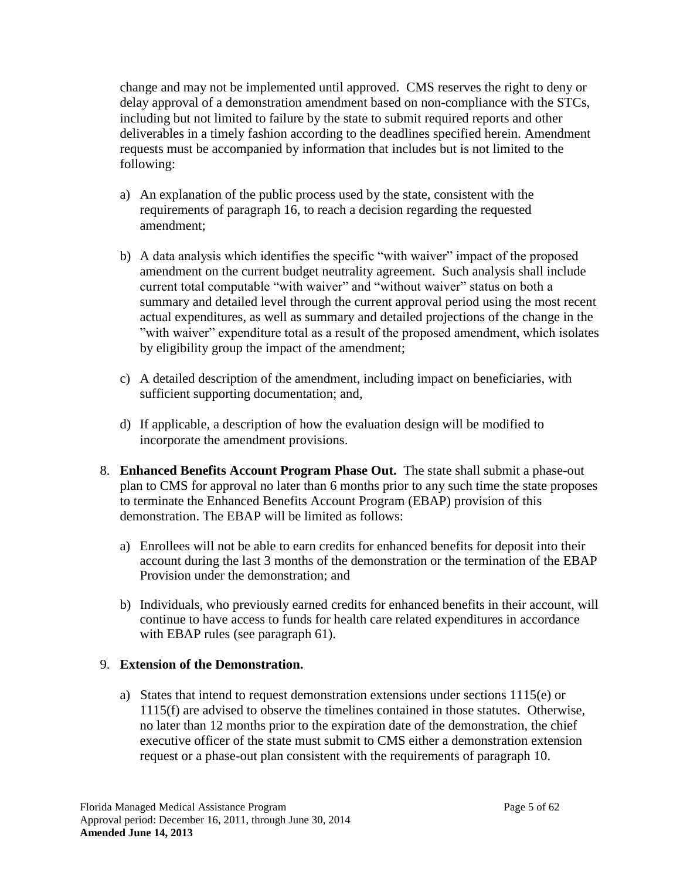change and may not be implemented until approved. CMS reserves the right to deny or delay approval of a demonstration amendment based on non-compliance with the STCs, including but not limited to failure by the state to submit required reports and other deliverables in a timely fashion according to the deadlines specified herein. Amendment requests must be accompanied by information that includes but is not limited to the following:

- a) An explanation of the public process used by the state, consistent with the requirements of paragraph [16,](#page-8-0) to reach a decision regarding the requested amendment;
- b) A data analysis which identifies the specific "with waiver" impact of the proposed amendment on the current budget neutrality agreement. Such analysis shall include current total computable "with waiver" and "without waiver" status on both a summary and detailed level through the current approval period using the most recent actual expenditures, as well as summary and detailed projections of the change in the "with waiver" expenditure total as a result of the proposed amendment, which isolates by eligibility group the impact of the amendment;
- c) A detailed description of the amendment, including impact on beneficiaries, with sufficient supporting documentation; and,
- d) If applicable, a description of how the evaluation design will be modified to incorporate the amendment provisions.
- 8. **Enhanced Benefits Account Program Phase Out.** The state shall submit a phase-out plan to CMS for approval no later than 6 months prior to any such time the state proposes to terminate the Enhanced Benefits Account Program (EBAP) provision of this demonstration. The EBAP will be limited as follows:
	- a) Enrollees will not be able to earn credits for enhanced benefits for deposit into their account during the last 3 months of the demonstration or the termination of the EBAP Provision under the demonstration; and
	- b) Individuals, who previously earned credits for enhanced benefits in their account, will continue to have access to funds for health care related expenditures in accordance with EBAP rules (see paragraph [61\)](#page-28-0).

### 9. **Extension of the Demonstration.**

a) States that intend to request demonstration extensions under sections 1115(e) or 1115(f) are advised to observe the timelines contained in those statutes. Otherwise, no later than 12 months prior to the expiration date of the demonstration, the chief executive officer of the state must submit to CMS either a demonstration extension request or a phase-out plan consistent with the requirements of paragraph [10.](#page-6-0)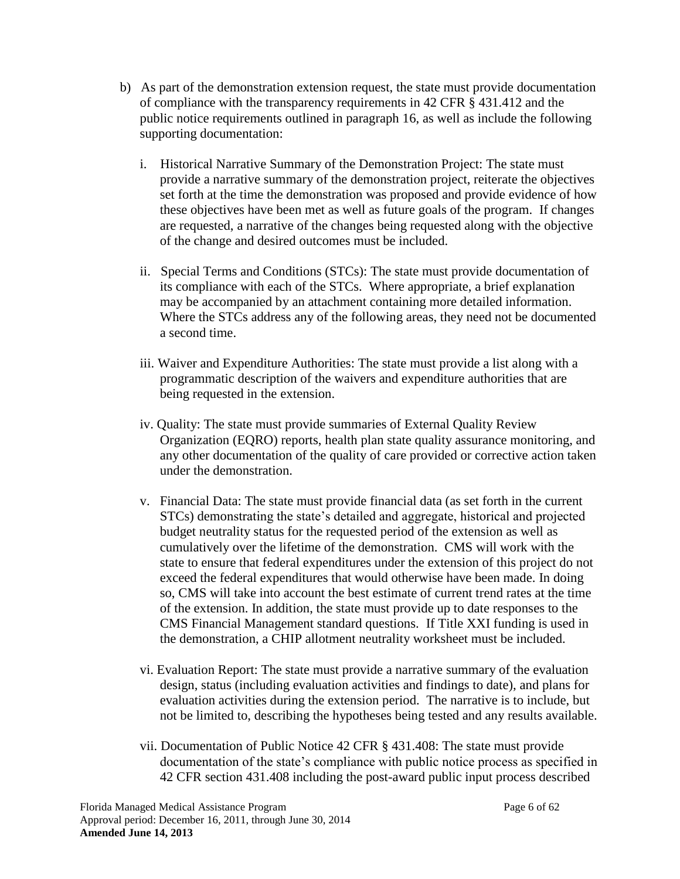- b) As part of the demonstration extension request, the state must provide documentation of compliance with the transparency requirements in 42 CFR § 431.412 and the public notice requirements outlined in paragraph [16,](#page-8-0) as well as include the following supporting documentation:
	- i. Historical Narrative Summary of the Demonstration Project: The state must provide a narrative summary of the demonstration project, reiterate the objectives set forth at the time the demonstration was proposed and provide evidence of how these objectives have been met as well as future goals of the program. If changes are requested, a narrative of the changes being requested along with the objective of the change and desired outcomes must be included.
	- ii. Special Terms and Conditions (STCs): The state must provide documentation of its compliance with each of the STCs. Where appropriate, a brief explanation may be accompanied by an attachment containing more detailed information. Where the STCs address any of the following areas, they need not be documented a second time.
	- iii. Waiver and Expenditure Authorities: The state must provide a list along with a programmatic description of the waivers and expenditure authorities that are being requested in the extension.
	- iv. Quality: The state must provide summaries of External Quality Review Organization (EQRO) reports, health plan state quality assurance monitoring, and any other documentation of the quality of care provided or corrective action taken under the demonstration.
	- v. Financial Data: The state must provide financial data (as set forth in the current STCs) demonstrating the state's detailed and aggregate, historical and projected budget neutrality status for the requested period of the extension as well as cumulatively over the lifetime of the demonstration. CMS will work with the state to ensure that federal expenditures under the extension of this project do not exceed the federal expenditures that would otherwise have been made. In doing so, CMS will take into account the best estimate of current trend rates at the time of the extension. In addition, the state must provide up to date responses to the CMS Financial Management standard questions. If Title XXI funding is used in the demonstration, a CHIP allotment neutrality worksheet must be included.
	- vi. Evaluation Report: The state must provide a narrative summary of the evaluation design, status (including evaluation activities and findings to date), and plans for evaluation activities during the extension period. The narrative is to include, but not be limited to, describing the hypotheses being tested and any results available.
	- vii. Documentation of Public Notice 42 CFR § 431.408: The state must provide documentation of the state's compliance with public notice process as specified in 42 CFR section 431.408 including the post-award public input process described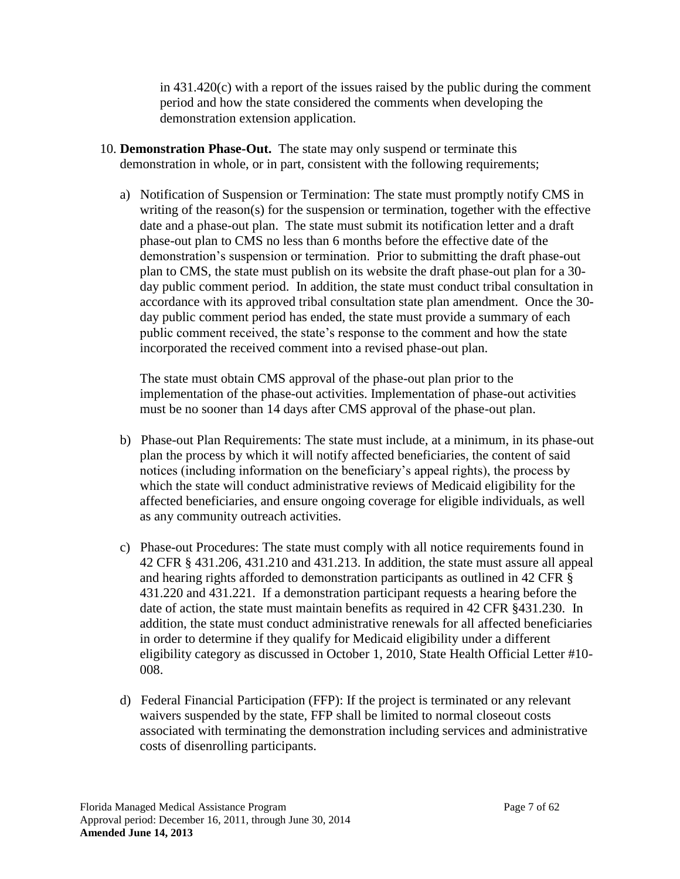in  $431.420(c)$  with a report of the issues raised by the public during the comment period and how the state considered the comments when developing the demonstration extension application.

- <span id="page-6-0"></span>10. **Demonstration Phase-Out.** The state may only suspend or terminate this demonstration in whole, or in part, consistent with the following requirements;
	- a) Notification of Suspension or Termination: The state must promptly notify CMS in writing of the reason(s) for the suspension or termination, together with the effective date and a phase-out plan. The state must submit its notification letter and a draft phase-out plan to CMS no less than 6 months before the effective date of the demonstration's suspension or termination. Prior to submitting the draft phase-out plan to CMS, the state must publish on its website the draft phase-out plan for a 30 day public comment period. In addition, the state must conduct tribal consultation in accordance with its approved tribal consultation state plan amendment. Once the 30 day public comment period has ended, the state must provide a summary of each public comment received, the state's response to the comment and how the state incorporated the received comment into a revised phase-out plan.

The state must obtain CMS approval of the phase-out plan prior to the implementation of the phase-out activities. Implementation of phase-out activities must be no sooner than 14 days after CMS approval of the phase-out plan.

- b) Phase-out Plan Requirements: The state must include, at a minimum, in its phase-out plan the process by which it will notify affected beneficiaries, the content of said notices (including information on the beneficiary's appeal rights), the process by which the state will conduct administrative reviews of Medicaid eligibility for the affected beneficiaries, and ensure ongoing coverage for eligible individuals, as well as any community outreach activities.
- c) Phase-out Procedures: The state must comply with all notice requirements found in 42 CFR § 431.206, 431.210 and 431.213. In addition, the state must assure all appeal and hearing rights afforded to demonstration participants as outlined in 42 CFR § 431.220 and 431.221. If a demonstration participant requests a hearing before the date of action, the state must maintain benefits as required in 42 CFR §431.230. In addition, the state must conduct administrative renewals for all affected beneficiaries in order to determine if they qualify for Medicaid eligibility under a different eligibility category as discussed in October 1, 2010, State Health Official Letter #10- 008.
- d) Federal Financial Participation (FFP): If the project is terminated or any relevant waivers suspended by the state, FFP shall be limited to normal closeout costs associated with terminating the demonstration including services and administrative costs of disenrolling participants.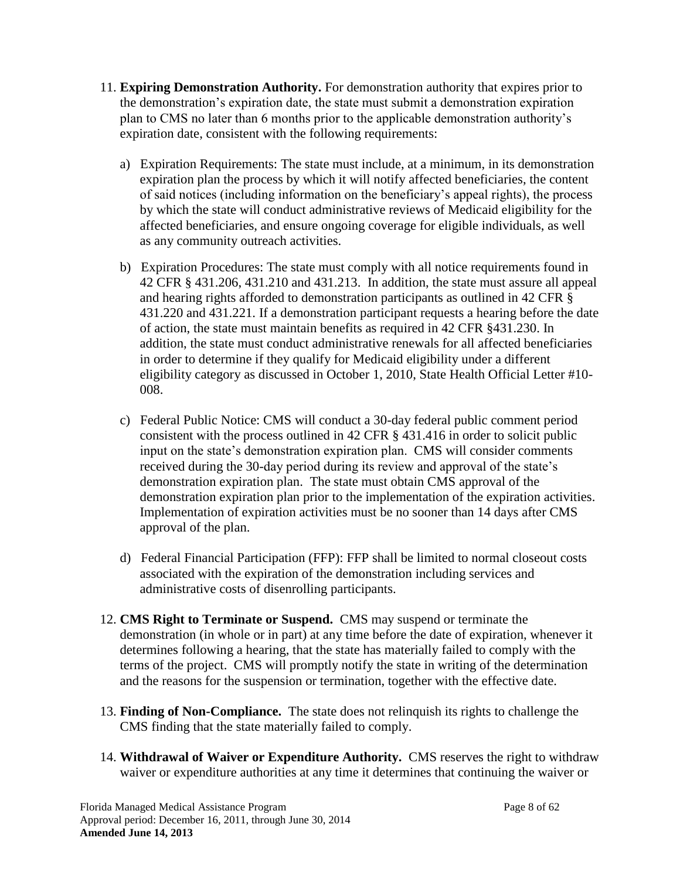- 11. **Expiring Demonstration Authority.** For demonstration authority that expires prior to the demonstration's expiration date, the state must submit a demonstration expiration plan to CMS no later than 6 months prior to the applicable demonstration authority's expiration date, consistent with the following requirements:
	- a) Expiration Requirements: The state must include, at a minimum, in its demonstration expiration plan the process by which it will notify affected beneficiaries, the content of said notices (including information on the beneficiary's appeal rights), the process by which the state will conduct administrative reviews of Medicaid eligibility for the affected beneficiaries, and ensure ongoing coverage for eligible individuals, as well as any community outreach activities.
	- b) Expiration Procedures: The state must comply with all notice requirements found in 42 CFR § 431.206, 431.210 and 431.213. In addition, the state must assure all appeal and hearing rights afforded to demonstration participants as outlined in 42 CFR § 431.220 and 431.221. If a demonstration participant requests a hearing before the date of action, the state must maintain benefits as required in 42 CFR §431.230. In addition, the state must conduct administrative renewals for all affected beneficiaries in order to determine if they qualify for Medicaid eligibility under a different eligibility category as discussed in October 1, 2010, State Health Official Letter #10- 008.
	- c) Federal Public Notice: CMS will conduct a 30-day federal public comment period consistent with the process outlined in 42 CFR § 431.416 in order to solicit public input on the state's demonstration expiration plan. CMS will consider comments received during the 30-day period during its review and approval of the state's demonstration expiration plan. The state must obtain CMS approval of the demonstration expiration plan prior to the implementation of the expiration activities. Implementation of expiration activities must be no sooner than 14 days after CMS approval of the plan.
	- d) Federal Financial Participation (FFP): FFP shall be limited to normal closeout costs associated with the expiration of the demonstration including services and administrative costs of disenrolling participants.
- 12. **CMS Right to Terminate or Suspend.** CMS may suspend or terminate the demonstration (in whole or in part) at any time before the date of expiration, whenever it determines following a hearing, that the state has materially failed to comply with the terms of the project. CMS will promptly notify the state in writing of the determination and the reasons for the suspension or termination, together with the effective date.
- 13. **Finding of Non-Compliance.** The state does not relinquish its rights to challenge the CMS finding that the state materially failed to comply.
- 14. **Withdrawal of Waiver or Expenditure Authority.** CMS reserves the right to withdraw waiver or expenditure authorities at any time it determines that continuing the waiver or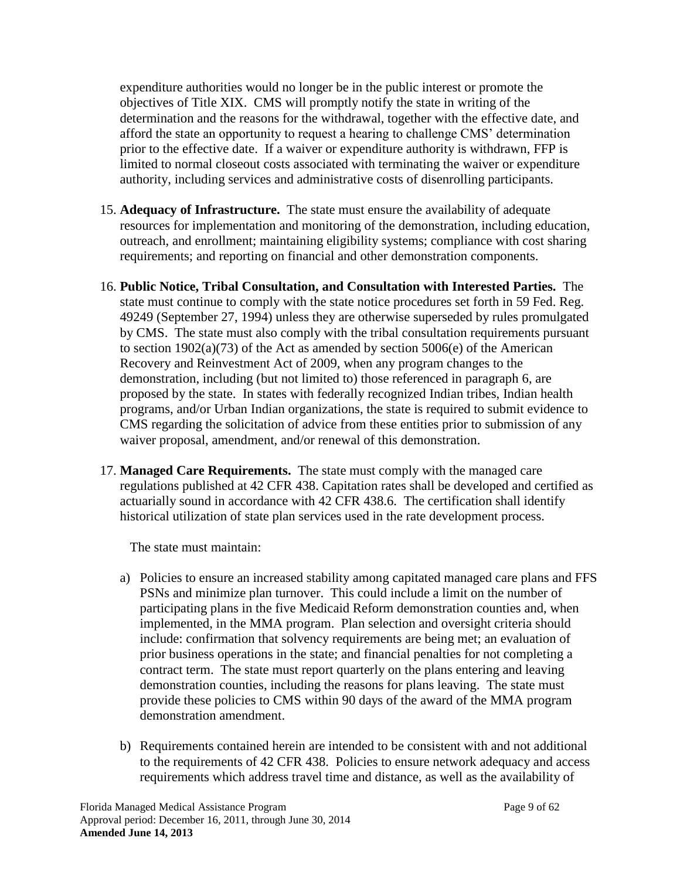expenditure authorities would no longer be in the public interest or promote the objectives of Title XIX. CMS will promptly notify the state in writing of the determination and the reasons for the withdrawal, together with the effective date, and afford the state an opportunity to request a hearing to challenge CMS' determination prior to the effective date. If a waiver or expenditure authority is withdrawn, FFP is limited to normal closeout costs associated with terminating the waiver or expenditure authority, including services and administrative costs of disenrolling participants.

- 15. **Adequacy of Infrastructure.** The state must ensure the availability of adequate resources for implementation and monitoring of the demonstration, including education, outreach, and enrollment; maintaining eligibility systems; compliance with cost sharing requirements; and reporting on financial and other demonstration components.
- <span id="page-8-0"></span>16. **Public Notice, Tribal Consultation, and Consultation with Interested Parties.** The state must continue to comply with the state notice procedures set forth in 59 Fed. Reg. 49249 (September 27, 1994) unless they are otherwise superseded by rules promulgated by CMS. The state must also comply with the tribal consultation requirements pursuant to section 1902(a)(73) of the Act as amended by section 5006(e) of the American Recovery and Reinvestment Act of 2009, when any program changes to the demonstration, including (but not limited to) those referenced in paragraph 6, are proposed by the state. In states with federally recognized Indian tribes, Indian health programs, and/or Urban Indian organizations, the state is required to submit evidence to CMS regarding the solicitation of advice from these entities prior to submission of any waiver proposal, amendment, and/or renewal of this demonstration.
- <span id="page-8-1"></span>17. **Managed Care Requirements.** The state must comply with the managed care regulations published at 42 CFR 438. Capitation rates shall be developed and certified as actuarially sound in accordance with 42 CFR 438.6. The certification shall identify historical utilization of state plan services used in the rate development process.

The state must maintain:

- a) Policies to ensure an increased stability among capitated managed care plans and FFS PSNs and minimize plan turnover. This could include a limit on the number of participating plans in the five Medicaid Reform demonstration counties and, when implemented, in the MMA program. Plan selection and oversight criteria should include: confirmation that solvency requirements are being met; an evaluation of prior business operations in the state; and financial penalties for not completing a contract term. The state must report quarterly on the plans entering and leaving demonstration counties, including the reasons for plans leaving. The state must provide these policies to CMS within 90 days of the award of the MMA program demonstration amendment.
- b) Requirements contained herein are intended to be consistent with and not additional to the requirements of 42 CFR 438. Policies to ensure network adequacy and access requirements which address travel time and distance, as well as the availability of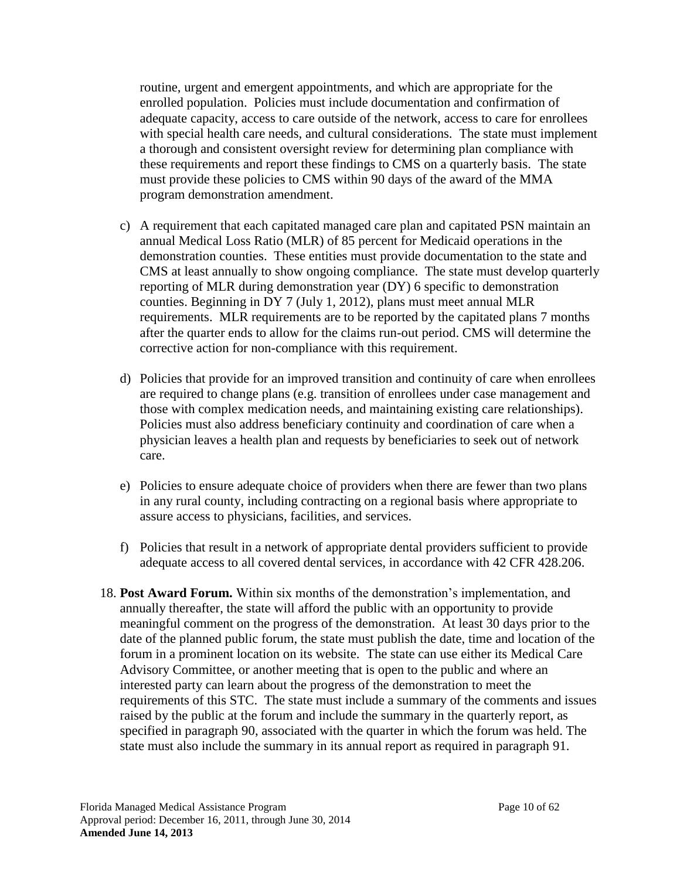routine, urgent and emergent appointments, and which are appropriate for the enrolled population. Policies must include documentation and confirmation of adequate capacity, access to care outside of the network, access to care for enrollees with special health care needs, and cultural considerations. The state must implement a thorough and consistent oversight review for determining plan compliance with these requirements and report these findings to CMS on a quarterly basis. The state must provide these policies to CMS within 90 days of the award of the MMA program demonstration amendment.

- c) A requirement that each capitated managed care plan and capitated PSN maintain an annual Medical Loss Ratio (MLR) of 85 percent for Medicaid operations in the demonstration counties. These entities must provide documentation to the state and CMS at least annually to show ongoing compliance. The state must develop quarterly reporting of MLR during demonstration year (DY) 6 specific to demonstration counties. Beginning in DY 7 (July 1, 2012), plans must meet annual MLR requirements. MLR requirements are to be reported by the capitated plans 7 months after the quarter ends to allow for the claims run-out period. CMS will determine the corrective action for non-compliance with this requirement.
- d) Policies that provide for an improved transition and continuity of care when enrollees are required to change plans (e.g. transition of enrollees under case management and those with complex medication needs, and maintaining existing care relationships). Policies must also address beneficiary continuity and coordination of care when a physician leaves a health plan and requests by beneficiaries to seek out of network care.
- e) Policies to ensure adequate choice of providers when there are fewer than two plans in any rural county, including contracting on a regional basis where appropriate to assure access to physicians, facilities, and services.
- f) Policies that result in a network of appropriate dental providers sufficient to provide adequate access to all covered dental services, in accordance with 42 CFR 428.206.
- 18. **Post Award Forum.** Within six months of the demonstration's implementation, and annually thereafter, the state will afford the public with an opportunity to provide meaningful comment on the progress of the demonstration. At least 30 days prior to the date of the planned public forum, the state must publish the date, time and location of the forum in a prominent location on its website. The state can use either its Medical Care Advisory Committee, or another meeting that is open to the public and where an interested party can learn about the progress of the demonstration to meet the requirements of this STC. The state must include a summary of the comments and issues raised by the public at the forum and include the summary in the quarterly report, as specified in paragraph [90,](#page-39-0) associated with the quarter in which the forum was held. The state must also include the summary in its annual report as required in paragraph [91.](#page-41-0)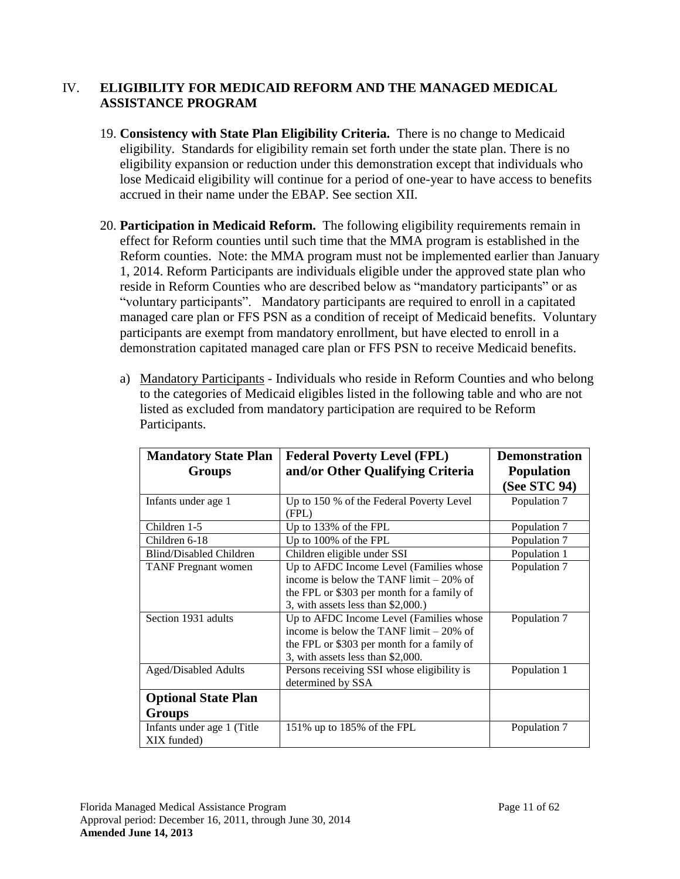### IV. **ELIGIBILITY FOR MEDICAID REFORM AND THE MANAGED MEDICAL ASSISTANCE PROGRAM**

- 19. **Consistency with State Plan Eligibility Criteria.** There is no change to Medicaid eligibility. Standards for eligibility remain set forth under the state plan. There is no eligibility expansion or reduction under this demonstration except that individuals who lose Medicaid eligibility will continue for a period of one-year to have access to benefits accrued in their name under the EBAP. See section [XII.](#page-28-1)
- 20. **Participation in Medicaid Reform.** The following eligibility requirements remain in effect for Reform counties until such time that the MMA program is established in the Reform counties. Note: the MMA program must not be implemented earlier than January 1, 2014. Reform Participants are individuals eligible under the approved state plan who reside in Reform Counties who are described below as "mandatory participants" or as "voluntary participants". Mandatory participants are required to enroll in a capitated managed care plan or FFS PSN as a condition of receipt of Medicaid benefits. Voluntary participants are exempt from mandatory enrollment, but have elected to enroll in a demonstration capitated managed care plan or FFS PSN to receive Medicaid benefits.
	- a) Mandatory Participants Individuals who reside in Reform Counties and who belong to the categories of Medicaid eligibles listed in the following table and who are not listed as excluded from mandatory participation are required to be Reform Participants.

| <b>Mandatory State Plan</b><br>Groups     | <b>Federal Poverty Level (FPL)</b><br>and/or Other Qualifying Criteria                                                                                                   | <b>Demonstration</b><br><b>Population</b><br>(See STC 94) |  |
|-------------------------------------------|--------------------------------------------------------------------------------------------------------------------------------------------------------------------------|-----------------------------------------------------------|--|
| Infants under age 1                       | Up to 150 % of the Federal Poverty Level<br>(FPL)                                                                                                                        | Population 7                                              |  |
| Children 1-5                              | Up to 133% of the FPL                                                                                                                                                    | Population 7                                              |  |
| Children 6-18                             | Up to 100% of the FPL                                                                                                                                                    | Population 7                                              |  |
| <b>Blind/Disabled Children</b>            | Children eligible under SSI                                                                                                                                              | Population 1                                              |  |
| <b>TANF</b> Pregnant women                | Up to AFDC Income Level (Families whose<br>income is below the TANF limit $-20\%$ of<br>the FPL or \$303 per month for a family of<br>3, with assets less than \$2,000.) | Population 7                                              |  |
| Section 1931 adults                       | Up to AFDC Income Level (Families whose<br>income is below the TANF limit $-20\%$ of<br>the FPL or \$303 per month for a family of<br>3, with assets less than \$2,000.  | Population 7                                              |  |
| <b>Aged/Disabled Adults</b>               | Persons receiving SSI whose eligibility is<br>determined by SSA                                                                                                          | Population 1                                              |  |
| <b>Optional State Plan</b><br>Groups      |                                                                                                                                                                          |                                                           |  |
| Infants under age 1 (Title<br>XIX funded) | 151% up to 185% of the FPL                                                                                                                                               | Population 7                                              |  |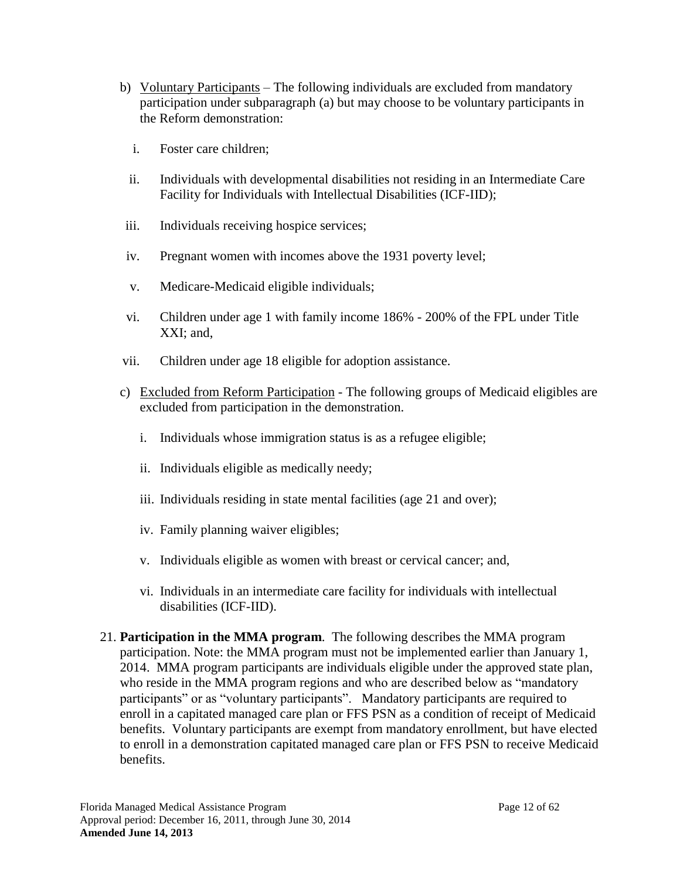- b) Voluntary Participants The following individuals are excluded from mandatory participation under subparagraph (a) but may choose to be voluntary participants in the Reform demonstration:
	- i. Foster care children;
	- ii. Individuals with developmental disabilities not residing in an Intermediate Care Facility for Individuals with Intellectual Disabilities (ICF-IID);
- iii. Individuals receiving hospice services;
- iv. Pregnant women with incomes above the 1931 poverty level;
- v. Medicare-Medicaid eligible individuals;
- vi. Children under age 1 with family income 186% 200% of the FPL under Title XXI; and,
- vii. Children under age 18 eligible for adoption assistance.
- c) Excluded from Reform Participation The following groups of Medicaid eligibles are excluded from participation in the demonstration.
	- i. Individuals whose immigration status is as a refugee eligible;
	- ii. Individuals eligible as medically needy;
	- iii. Individuals residing in state mental facilities (age 21 and over);
	- iv. Family planning waiver eligibles;
	- v. Individuals eligible as women with breast or cervical cancer; and,
	- vi. Individuals in an intermediate care facility for individuals with intellectual disabilities (ICF-IID).
- 21. **Participation in the MMA program**. The following describes the MMA program participation. Note: the MMA program must not be implemented earlier than January 1, 2014. MMA program participants are individuals eligible under the approved state plan, who reside in the MMA program regions and who are described below as "mandatory participants" or as "voluntary participants". Mandatory participants are required to enroll in a capitated managed care plan or FFS PSN as a condition of receipt of Medicaid benefits. Voluntary participants are exempt from mandatory enrollment, but have elected to enroll in a demonstration capitated managed care plan or FFS PSN to receive Medicaid benefits.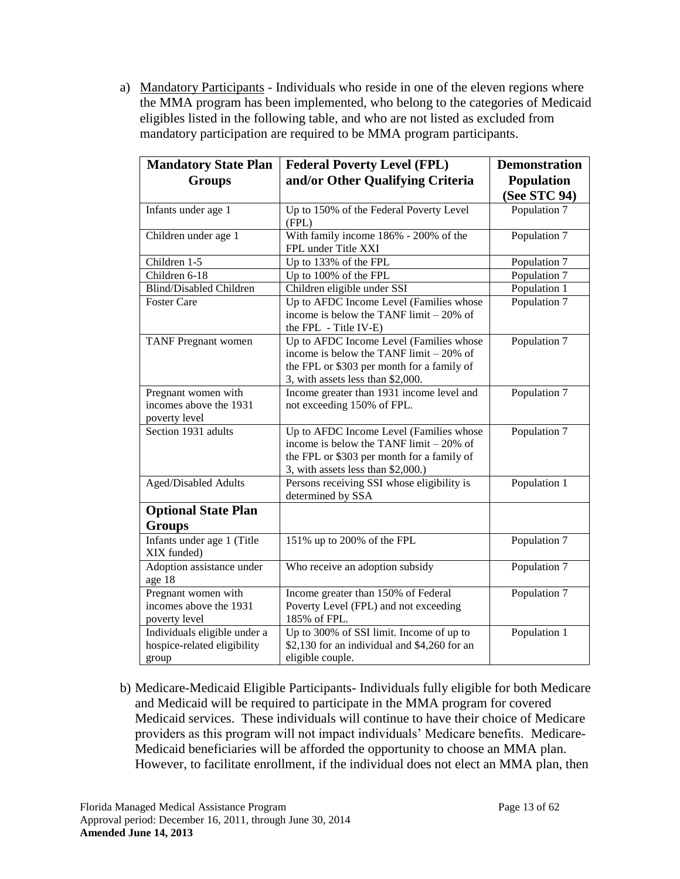a) Mandatory Participants - Individuals who reside in one of the eleven regions where the MMA program has been implemented, who belong to the categories of Medicaid eligibles listed in the following table, and who are not listed as excluded from mandatory participation are required to be MMA program participants.

| <b>Mandatory State Plan</b>                                          | <b>Federal Poverty Level (FPL)</b>                                                                                                                                      | <b>Demonstration</b> |  |
|----------------------------------------------------------------------|-------------------------------------------------------------------------------------------------------------------------------------------------------------------------|----------------------|--|
| <b>Groups</b>                                                        | and/or Other Qualifying Criteria                                                                                                                                        | Population           |  |
|                                                                      |                                                                                                                                                                         | (See STC 94)         |  |
| Infants under age 1                                                  | Up to 150% of the Federal Poverty Level<br>(FPL)                                                                                                                        | Population 7         |  |
| Children under age 1                                                 | With family income 186% - 200% of the<br>FPL under Title XXI                                                                                                            | Population 7         |  |
| Children 1-5                                                         | Up to 133% of the FPL                                                                                                                                                   | Population 7         |  |
| Children 6-18                                                        | Up to 100% of the FPL                                                                                                                                                   | Population 7         |  |
| <b>Blind/Disabled Children</b>                                       | Children eligible under SSI                                                                                                                                             | Population 1         |  |
| <b>Foster Care</b>                                                   | Up to AFDC Income Level (Families whose<br>income is below the TANF limit $-20\%$ of<br>the FPL - Title IV-E)                                                           | Population 7         |  |
| <b>TANF</b> Pregnant women                                           | Up to AFDC Income Level (Families whose<br>income is below the TANF limit $-20\%$ of<br>the FPL or \$303 per month for a family of<br>3, with assets less than \$2,000. | Population 7         |  |
| Pregnant women with<br>incomes above the 1931<br>poverty level       | Income greater than 1931 income level and<br>not exceeding 150% of FPL.                                                                                                 | Population 7         |  |
| Section 1931 adults                                                  | Up to AFDC Income Level (Families whose<br>income is below the TANF limit - 20% of<br>the FPL or \$303 per month for a family of<br>3, with assets less than \$2,000.)  | Population 7         |  |
| <b>Aged/Disabled Adults</b>                                          | Persons receiving SSI whose eligibility is<br>determined by SSA                                                                                                         | Population 1         |  |
| <b>Optional State Plan</b>                                           |                                                                                                                                                                         |                      |  |
| <b>Groups</b>                                                        |                                                                                                                                                                         |                      |  |
| Infants under age 1 (Title<br>XIX funded)                            | 151% up to 200% of the FPL                                                                                                                                              | Population 7         |  |
| Adoption assistance under<br>age 18                                  | Who receive an adoption subsidy                                                                                                                                         | Population 7         |  |
| Pregnant women with<br>incomes above the 1931<br>poverty level       | Income greater than 150% of Federal<br>Poverty Level (FPL) and not exceeding<br>185% of FPL.                                                                            | Population 7         |  |
| Individuals eligible under a<br>hospice-related eligibility<br>group | Up to 300% of SSI limit. Income of up to<br>\$2,130 for an individual and \$4,260 for an<br>eligible couple.                                                            | Population 1         |  |

b) Medicare-Medicaid Eligible Participants- Individuals fully eligible for both Medicare and Medicaid will be required to participate in the MMA program for covered Medicaid services. These individuals will continue to have their choice of Medicare providers as this program will not impact individuals' Medicare benefits. Medicare-Medicaid beneficiaries will be afforded the opportunity to choose an MMA plan. However, to facilitate enrollment, if the individual does not elect an MMA plan, then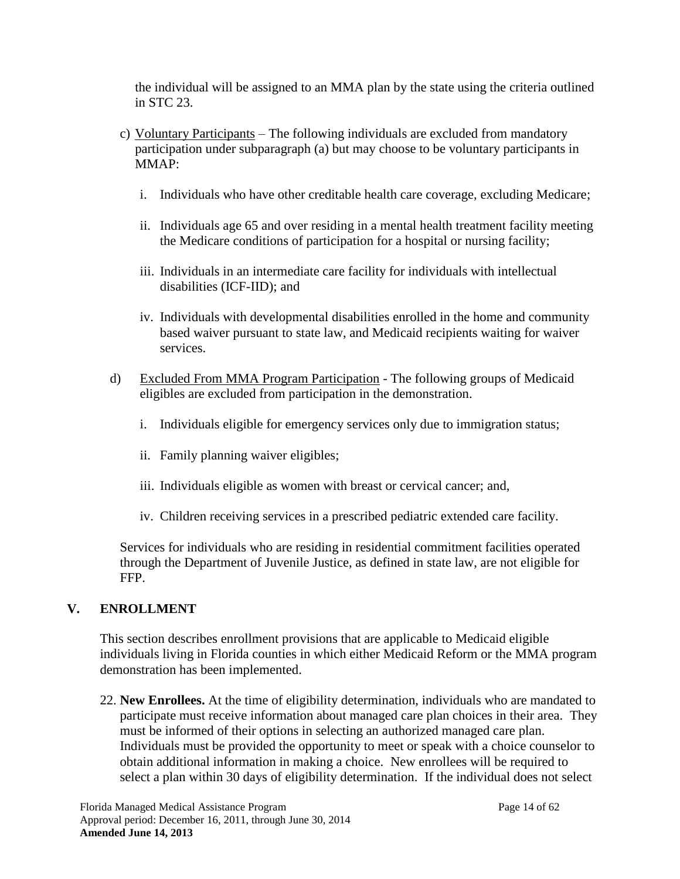the individual will be assigned to an MMA plan by the state using the criteria outlined in STC [23.](#page-14-0)

- c) Voluntary Participants The following individuals are excluded from mandatory participation under subparagraph (a) but may choose to be voluntary participants in MMAP:
	- i. Individuals who have other creditable health care coverage, excluding Medicare;
	- ii. Individuals age 65 and over residing in a mental health treatment facility meeting the Medicare conditions of participation for a hospital or nursing facility;
	- iii. Individuals in an intermediate care facility for individuals with intellectual disabilities (ICF-IID); and
	- iv. Individuals with developmental disabilities enrolled in the home and community based waiver pursuant to state law, and Medicaid recipients waiting for waiver services.
- d) Excluded From MMA Program Participation The following groups of Medicaid eligibles are excluded from participation in the demonstration.
	- i. Individuals eligible for emergency services only due to immigration status;
	- ii. Family planning waiver eligibles;
	- iii. Individuals eligible as women with breast or cervical cancer; and,
	- iv. Children receiving services in a prescribed pediatric extended care facility.

Services for individuals who are residing in residential commitment facilities operated through the Department of Juvenile Justice, as defined in state law, are not eligible for FFP.

## **V. ENROLLMENT**

This section describes enrollment provisions that are applicable to Medicaid eligible individuals living in Florida counties in which either Medicaid Reform or the MMA program demonstration has been implemented.

22. **New Enrollees.** At the time of eligibility determination, individuals who are mandated to participate must receive information about managed care plan choices in their area. They must be informed of their options in selecting an authorized managed care plan. Individuals must be provided the opportunity to meet or speak with a choice counselor to obtain additional information in making a choice. New enrollees will be required to select a plan within 30 days of eligibility determination. If the individual does not select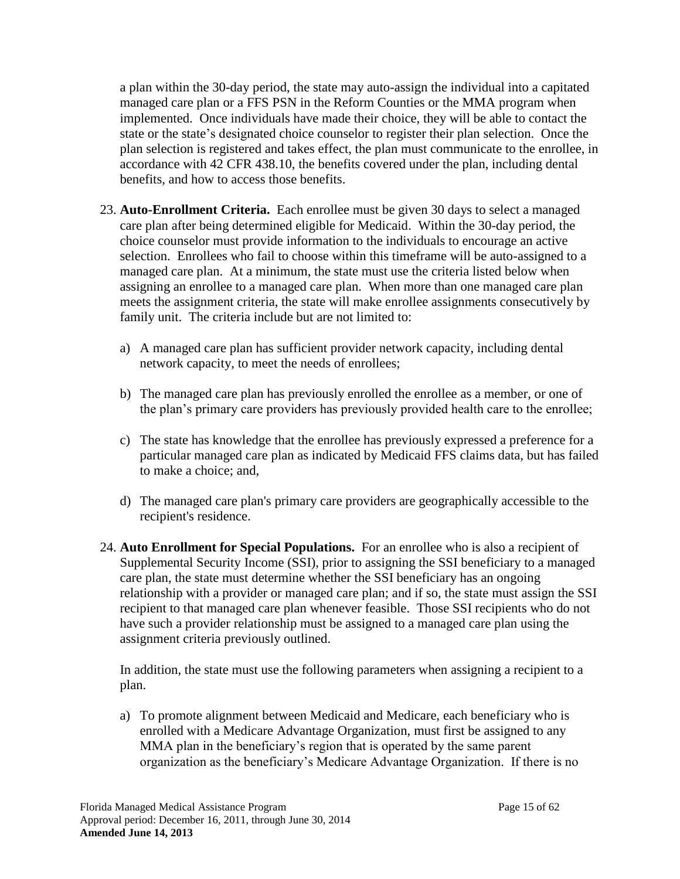a plan within the 30-day period, the state may auto-assign the individual into a capitated managed care plan or a FFS PSN in the Reform Counties or the MMA program when implemented. Once individuals have made their choice, they will be able to contact the state or the state's designated choice counselor to register their plan selection. Once the plan selection is registered and takes effect, the plan must communicate to the enrollee, in accordance with 42 CFR 438.10, the benefits covered under the plan, including dental benefits, and how to access those benefits.

- <span id="page-14-0"></span>23. **Auto-Enrollment Criteria.** Each enrollee must be given 30 days to select a managed care plan after being determined eligible for Medicaid. Within the 30-day period, the choice counselor must provide information to the individuals to encourage an active selection. Enrollees who fail to choose within this timeframe will be auto-assigned to a managed care plan. At a minimum, the state must use the criteria listed below when assigning an enrollee to a managed care plan. When more than one managed care plan meets the assignment criteria, the state will make enrollee assignments consecutively by family unit. The criteria include but are not limited to:
	- a) A managed care plan has sufficient provider network capacity, including dental network capacity, to meet the needs of enrollees;
	- b) The managed care plan has previously enrolled the enrollee as a member, or one of the plan's primary care providers has previously provided health care to the enrollee;
	- c) The state has knowledge that the enrollee has previously expressed a preference for a particular managed care plan as indicated by Medicaid FFS claims data, but has failed to make a choice; and,
	- d) The managed care plan's primary care providers are geographically accessible to the recipient's residence.
- 24. **Auto Enrollment for Special Populations.** For an enrollee who is also a recipient of Supplemental Security Income (SSI), prior to assigning the SSI beneficiary to a managed care plan, the state must determine whether the SSI beneficiary has an ongoing relationship with a provider or managed care plan; and if so, the state must assign the SSI recipient to that managed care plan whenever feasible. Those SSI recipients who do not have such a provider relationship must be assigned to a managed care plan using the assignment criteria previously outlined.

In addition, the state must use the following parameters when assigning a recipient to a plan.

a) To promote alignment between Medicaid and Medicare, each beneficiary who is enrolled with a Medicare Advantage Organization, must first be assigned to any MMA plan in the beneficiary's region that is operated by the same parent organization as the beneficiary's Medicare Advantage Organization. If there is no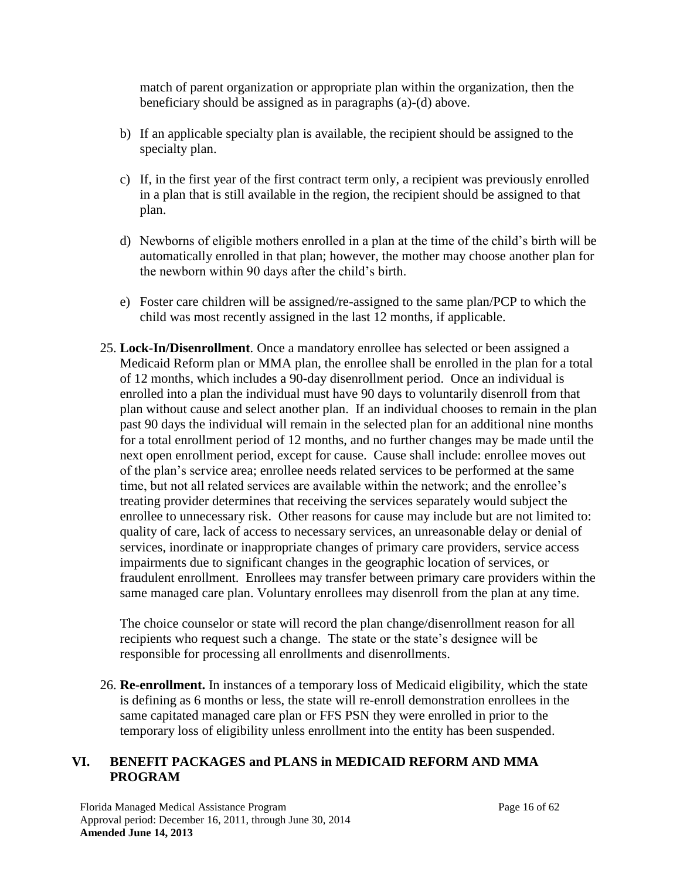match of parent organization or appropriate plan within the organization, then the beneficiary should be assigned as in paragraphs (a)-(d) above.

- b) If an applicable specialty plan is available, the recipient should be assigned to the specialty plan.
- c) If, in the first year of the first contract term only, a recipient was previously enrolled in a plan that is still available in the region, the recipient should be assigned to that plan.
- d) Newborns of eligible mothers enrolled in a plan at the time of the child's birth will be automatically enrolled in that plan; however, the mother may choose another plan for the newborn within 90 days after the child's birth.
- e) Foster care children will be assigned/re-assigned to the same plan/PCP to which the child was most recently assigned in the last 12 months, if applicable.
- 25. **Lock-In/Disenrollment**. Once a mandatory enrollee has selected or been assigned a Medicaid Reform plan or MMA plan, the enrollee shall be enrolled in the plan for a total of 12 months, which includes a 90-day disenrollment period. Once an individual is enrolled into a plan the individual must have 90 days to voluntarily disenroll from that plan without cause and select another plan. If an individual chooses to remain in the plan past 90 days the individual will remain in the selected plan for an additional nine months for a total enrollment period of 12 months, and no further changes may be made until the next open enrollment period, except for cause. Cause shall include: enrollee moves out of the plan's service area; enrollee needs related services to be performed at the same time, but not all related services are available within the network; and the enrollee's treating provider determines that receiving the services separately would subject the enrollee to unnecessary risk. Other reasons for cause may include but are not limited to: quality of care, lack of access to necessary services, an unreasonable delay or denial of services, inordinate or inappropriate changes of primary care providers, service access impairments due to significant changes in the geographic location of services, or fraudulent enrollment. Enrollees may transfer between primary care providers within the same managed care plan. Voluntary enrollees may disenroll from the plan at any time.

The choice counselor or state will record the plan change/disenrollment reason for all recipients who request such a change. The state or the state's designee will be responsible for processing all enrollments and disenrollments.

26. **Re-enrollment.** In instances of a temporary loss of Medicaid eligibility, which the state is defining as 6 months or less, the state will re-enroll demonstration enrollees in the same capitated managed care plan or FFS PSN they were enrolled in prior to the temporary loss of eligibility unless enrollment into the entity has been suspended.

## **VI. BENEFIT PACKAGES and PLANS in MEDICAID REFORM AND MMA PROGRAM**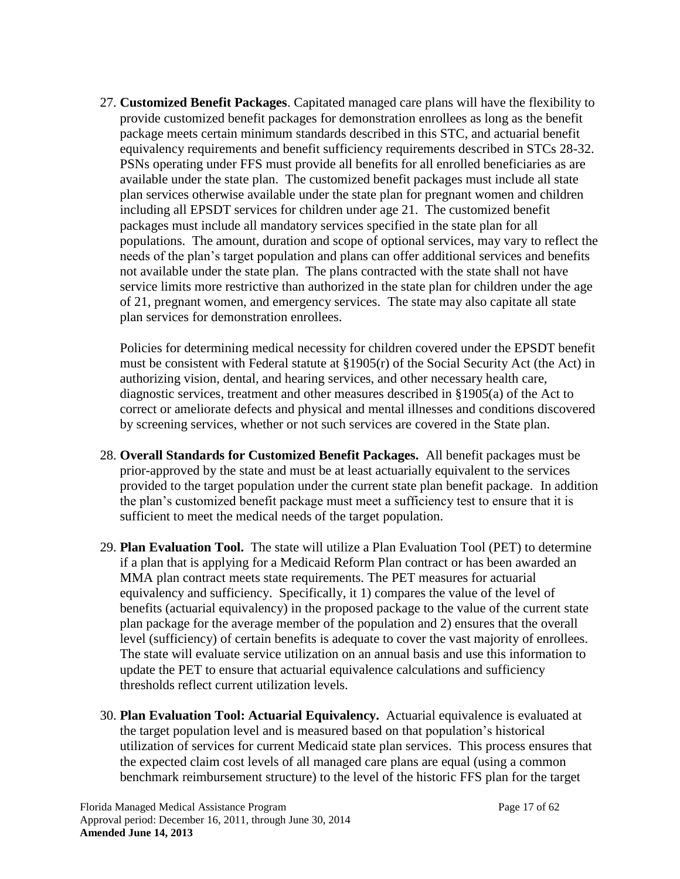<span id="page-16-0"></span>27. **Customized Benefit Packages**. Capitated managed care plans will have the flexibility to provide customized benefit packages for demonstration enrollees as long as the benefit package meets certain minimum standards described in this STC, and actuarial benefit equivalency requirements and benefit sufficiency requirements described in STCs 28-32. PSNs operating under FFS must provide all benefits for all enrolled beneficiaries as are available under the state plan. The customized benefit packages must include all state plan services otherwise available under the state plan for pregnant women and children including all EPSDT services for children under age 21. The customized benefit packages must include all mandatory services specified in the state plan for all populations. The amount, duration and scope of optional services, may vary to reflect the needs of the plan's target population and plans can offer additional services and benefits not available under the state plan. The plans contracted with the state shall not have service limits more restrictive than authorized in the state plan for children under the age of 21, pregnant women, and emergency services. The state may also capitate all state plan services for demonstration enrollees.

Policies for determining medical necessity for children covered under the EPSDT benefit must be consistent with Federal statute at §1905(r) of the Social Security Act (the Act) in authorizing vision, dental, and hearing services, and other necessary health care, diagnostic services, treatment and other measures described in §1905(a) of the Act to correct or ameliorate defects and physical and mental illnesses and conditions discovered by screening services, whether or not such services are covered in the State plan.

- 28. **Overall Standards for Customized Benefit Packages.** All benefit packages must be prior-approved by the state and must be at least actuarially equivalent to the services provided to the target population under the current state plan benefit package. In addition the plan's customized benefit package must meet a sufficiency test to ensure that it is sufficient to meet the medical needs of the target population.
- 29. **Plan Evaluation Tool.** The state will utilize a Plan Evaluation Tool (PET) to determine if a plan that is applying for a Medicaid Reform Plan contract or has been awarded an MMA plan contract meets state requirements. The PET measures for actuarial equivalency and sufficiency. Specifically, it 1) compares the value of the level of benefits (actuarial equivalency) in the proposed package to the value of the current state plan package for the average member of the population and 2) ensures that the overall level (sufficiency) of certain benefits is adequate to cover the vast majority of enrollees. The state will evaluate service utilization on an annual basis and use this information to update the PET to ensure that actuarial equivalence calculations and sufficiency thresholds reflect current utilization levels.
- 30. **Plan Evaluation Tool: Actuarial Equivalency.** Actuarial equivalence is evaluated at the target population level and is measured based on that population's historical utilization of services for current Medicaid state plan services. This process ensures that the expected claim cost levels of all managed care plans are equal (using a common benchmark reimbursement structure) to the level of the historic FFS plan for the target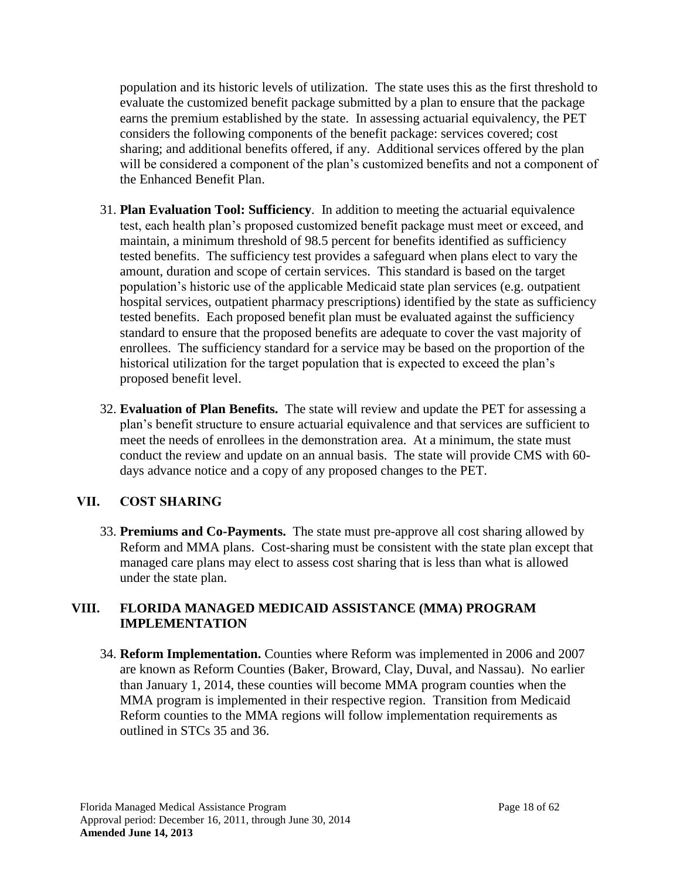population and its historic levels of utilization. The state uses this as the first threshold to evaluate the customized benefit package submitted by a plan to ensure that the package earns the premium established by the state. In assessing actuarial equivalency, the PET considers the following components of the benefit package: services covered; cost sharing; and additional benefits offered, if any. Additional services offered by the plan will be considered a component of the plan's customized benefits and not a component of the Enhanced Benefit Plan.

- 31. **Plan Evaluation Tool: Sufficiency**. In addition to meeting the actuarial equivalence test, each health plan's proposed customized benefit package must meet or exceed, and maintain, a minimum threshold of 98.5 percent for benefits identified as sufficiency tested benefits. The sufficiency test provides a safeguard when plans elect to vary the amount, duration and scope of certain services. This standard is based on the target population's historic use of the applicable Medicaid state plan services (e.g. outpatient hospital services, outpatient pharmacy prescriptions) identified by the state as sufficiency tested benefits. Each proposed benefit plan must be evaluated against the sufficiency standard to ensure that the proposed benefits are adequate to cover the vast majority of enrollees. The sufficiency standard for a service may be based on the proportion of the historical utilization for the target population that is expected to exceed the plan's proposed benefit level.
- 32. **Evaluation of Plan Benefits.** The state will review and update the PET for assessing a plan's benefit structure to ensure actuarial equivalence and that services are sufficient to meet the needs of enrollees in the demonstration area. At a minimum, the state must conduct the review and update on an annual basis. The state will provide CMS with 60 days advance notice and a copy of any proposed changes to the PET.

## **VII. COST SHARING**

33. **Premiums and Co-Payments.** The state must pre-approve all cost sharing allowed by Reform and MMA plans. Cost-sharing must be consistent with the state plan except that managed care plans may elect to assess cost sharing that is less than what is allowed under the state plan.

### **VIII. FLORIDA MANAGED MEDICAID ASSISTANCE (MMA) PROGRAM IMPLEMENTATION**

34. **Reform Implementation.** Counties where Reform was implemented in 2006 and 2007 are known as Reform Counties (Baker, Broward, Clay, Duval, and Nassau). No earlier than January 1, 2014, these counties will become MMA program counties when the MMA program is implemented in their respective region. Transition from Medicaid Reform counties to the MMA regions will follow implementation requirements as outlined in STCs [35](#page-18-0) and [36.](#page-19-0)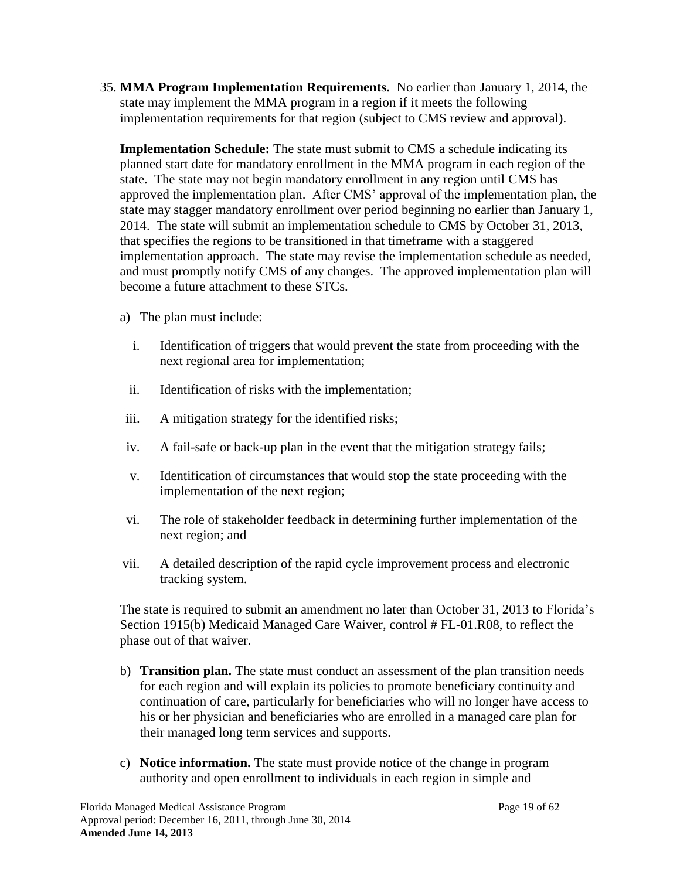<span id="page-18-0"></span>35. **MMA Program Implementation Requirements.** No earlier than January 1, 2014, the state may implement the MMA program in a region if it meets the following implementation requirements for that region (subject to CMS review and approval).

**Implementation Schedule:** The state must submit to CMS a schedule indicating its planned start date for mandatory enrollment in the MMA program in each region of the state. The state may not begin mandatory enrollment in any region until CMS has approved the implementation plan. After CMS' approval of the implementation plan, the state may stagger mandatory enrollment over period beginning no earlier than January 1, 2014. The state will submit an implementation schedule to CMS by October 31, 2013, that specifies the regions to be transitioned in that timeframe with a staggered implementation approach. The state may revise the implementation schedule as needed, and must promptly notify CMS of any changes. The approved implementation plan will become a future attachment to these STCs.

- a) The plan must include:
	- i. Identification of triggers that would prevent the state from proceeding with the next regional area for implementation;
	- ii. Identification of risks with the implementation;
- iii. A mitigation strategy for the identified risks;
- iv. A fail-safe or back-up plan in the event that the mitigation strategy fails;
- v. Identification of circumstances that would stop the state proceeding with the implementation of the next region;
- vi. The role of stakeholder feedback in determining further implementation of the next region; and
- vii. A detailed description of the rapid cycle improvement process and electronic tracking system.

The state is required to submit an amendment no later than October 31, 2013 to Florida's Section 1915(b) Medicaid Managed Care Waiver, control # FL-01.R08, to reflect the phase out of that waiver.

- b) **Transition plan.** The state must conduct an assessment of the plan transition needs for each region and will explain its policies to promote beneficiary continuity and continuation of care, particularly for beneficiaries who will no longer have access to his or her physician and beneficiaries who are enrolled in a managed care plan for their managed long term services and supports.
- c) **Notice information.** The state must provide notice of the change in program authority and open enrollment to individuals in each region in simple and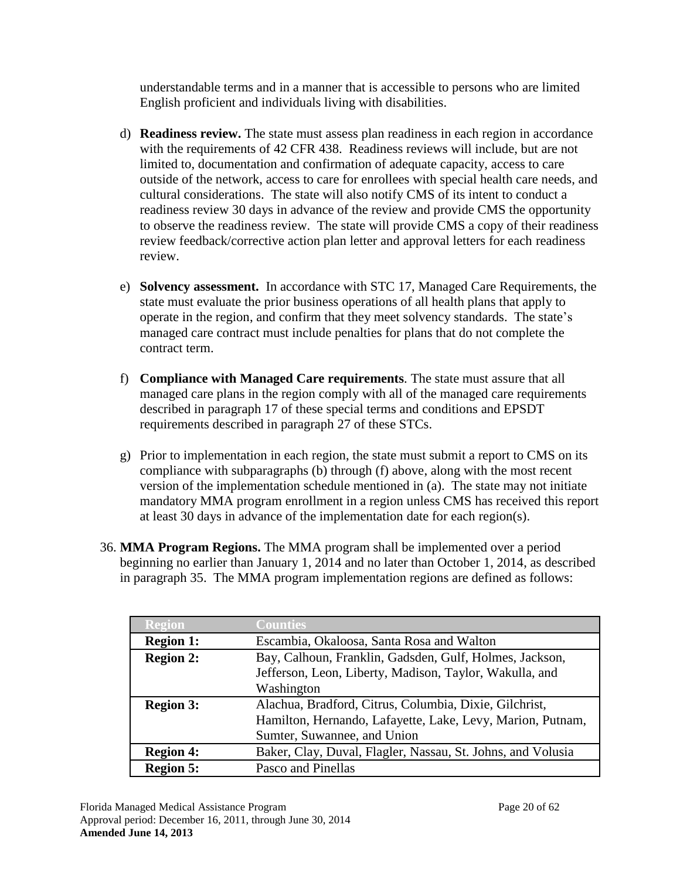understandable terms and in a manner that is accessible to persons who are limited English proficient and individuals living with disabilities.

- d) **Readiness review.** The state must assess plan readiness in each region in accordance with the requirements of 42 CFR 438. Readiness reviews will include, but are not limited to, documentation and confirmation of adequate capacity, access to care outside of the network, access to care for enrollees with special health care needs, and cultural considerations. The state will also notify CMS of its intent to conduct a readiness review 30 days in advance of the review and provide CMS the opportunity to observe the readiness review. The state will provide CMS a copy of their readiness review feedback/corrective action plan letter and approval letters for each readiness review.
- e) **Solvency assessment.** In accordance with STC [17,](#page-8-1) Managed Care Requirements, the state must evaluate the prior business operations of all health plans that apply to operate in the region, and confirm that they meet solvency standards. The state's managed care contract must include penalties for plans that do not complete the contract term.
- <span id="page-19-1"></span>f) **Compliance with Managed Care requirements**. The state must assure that all managed care plans in the region comply with all of the managed care requirements described in paragraph [17](#page-8-1) of these special terms and conditions and EPSDT requirements described in paragraph [27](#page-16-0) of these STCs.
- g) Prior to implementation in each region, the state must submit a report to CMS on its compliance with subparagraphs (b) through (f) above, along with the most recent version of the implementation schedule mentioned in (a). The state may not initiate mandatory MMA program enrollment in a region unless CMS has received this report at least 30 days in advance of the implementation date for each region(s).
- <span id="page-19-0"></span>36. **MMA Program Regions.** The MMA program shall be implemented over a period beginning no earlier than January 1, 2014 and no later than October 1, 2014, as described in paragraph [35.](#page-18-0) The MMA program implementation regions are defined as follows:

| Region           | <b>Counties</b>                                                                                                                                     |
|------------------|-----------------------------------------------------------------------------------------------------------------------------------------------------|
| <b>Region 1:</b> | Escambia, Okaloosa, Santa Rosa and Walton                                                                                                           |
| <b>Region 2:</b> | Bay, Calhoun, Franklin, Gadsden, Gulf, Holmes, Jackson,<br>Jefferson, Leon, Liberty, Madison, Taylor, Wakulla, and<br>Washington                    |
| <b>Region 3:</b> | Alachua, Bradford, Citrus, Columbia, Dixie, Gilchrist,<br>Hamilton, Hernando, Lafayette, Lake, Levy, Marion, Putnam,<br>Sumter, Suwannee, and Union |
| <b>Region 4:</b> | Baker, Clay, Duval, Flagler, Nassau, St. Johns, and Volusia                                                                                         |
| <b>Region 5:</b> | Pasco and Pinellas                                                                                                                                  |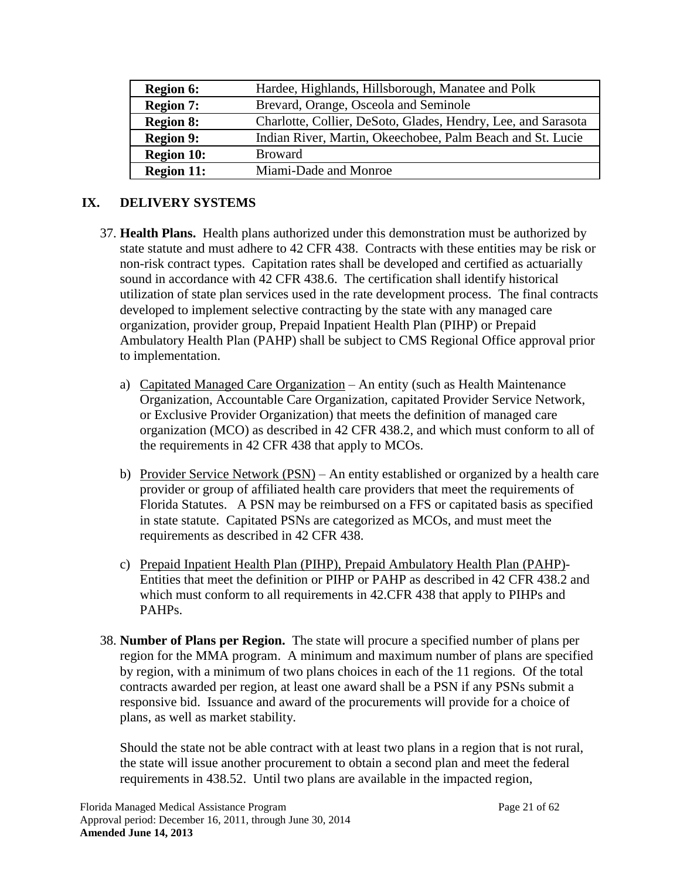| <b>Region 6:</b>  | Hardee, Highlands, Hillsborough, Manatee and Polk             |
|-------------------|---------------------------------------------------------------|
| <b>Region 7:</b>  | Brevard, Orange, Osceola and Seminole                         |
| <b>Region 8:</b>  | Charlotte, Collier, DeSoto, Glades, Hendry, Lee, and Sarasota |
| <b>Region 9:</b>  | Indian River, Martin, Okeechobee, Palm Beach and St. Lucie    |
| <b>Region 10:</b> | <b>Broward</b>                                                |
| <b>Region 11:</b> | Miami-Dade and Monroe                                         |

## **IX. DELIVERY SYSTEMS**

- 37. **Health Plans.** Health plans authorized under this demonstration must be authorized by state statute and must adhere to 42 CFR 438. Contracts with these entities may be risk or non-risk contract types. Capitation rates shall be developed and certified as actuarially sound in accordance with 42 CFR 438.6. The certification shall identify historical utilization of state plan services used in the rate development process. The final contracts developed to implement selective contracting by the state with any managed care organization, provider group, Prepaid Inpatient Health Plan (PIHP) or Prepaid Ambulatory Health Plan (PAHP) shall be subject to CMS Regional Office approval prior to implementation.
	- a) Capitated Managed Care Organization An entity (such as Health Maintenance Organization, Accountable Care Organization, capitated Provider Service Network, or Exclusive Provider Organization) that meets the definition of managed care organization (MCO) as described in 42 CFR 438.2, and which must conform to all of the requirements in 42 CFR 438 that apply to MCOs.
	- b) Provider Service Network (PSN) An entity established or organized by a health care provider or group of affiliated health care providers that meet the requirements of Florida Statutes. A PSN may be reimbursed on a FFS or capitated basis as specified in state statute. Capitated PSNs are categorized as MCOs, and must meet the requirements as described in 42 CFR 438.
	- c) Prepaid Inpatient Health Plan (PIHP), Prepaid Ambulatory Health Plan (PAHP)- Entities that meet the definition or PIHP or PAHP as described in 42 CFR 438.2 and which must conform to all requirements in 42.CFR 438 that apply to PIHPs and PAHPs.
- 38. **Number of Plans per Region.** The state will procure a specified number of plans per region for the MMA program. A minimum and maximum number of plans are specified by region, with a minimum of two plans choices in each of the 11 regions. Of the total contracts awarded per region, at least one award shall be a PSN if any PSNs submit a responsive bid. Issuance and award of the procurements will provide for a choice of plans, as well as market stability.

Should the state not be able contract with at least two plans in a region that is not rural, the state will issue another procurement to obtain a second plan and meet the federal requirements in 438.52. Until two plans are available in the impacted region,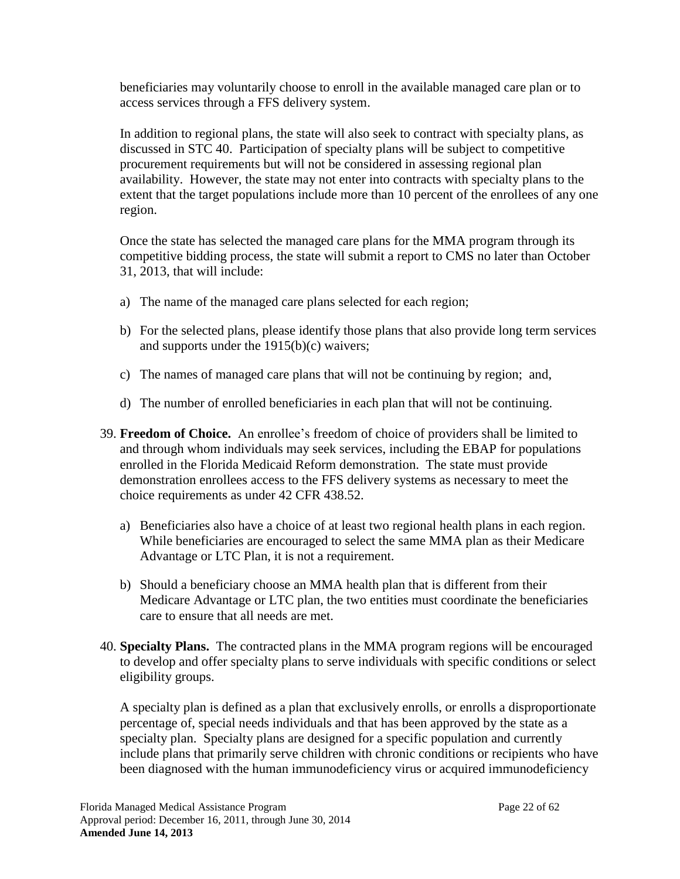beneficiaries may voluntarily choose to enroll in the available managed care plan or to access services through a FFS delivery system.

In addition to regional plans, the state will also seek to contract with specialty plans, as discussed in STC [40.](#page-21-0) Participation of specialty plans will be subject to competitive procurement requirements but will not be considered in assessing regional plan availability. However, the state may not enter into contracts with specialty plans to the extent that the target populations include more than 10 percent of the enrollees of any one region.

Once the state has selected the managed care plans for the MMA program through its competitive bidding process, the state will submit a report to CMS no later than October 31, 2013, that will include:

- a) The name of the managed care plans selected for each region;
- b) For the selected plans, please identify those plans that also provide long term services and supports under the 1915(b)(c) waivers;
- c) The names of managed care plans that will not be continuing by region; and,
- d) The number of enrolled beneficiaries in each plan that will not be continuing.
- 39. **Freedom of Choice.** An enrollee's freedom of choice of providers shall be limited to and through whom individuals may seek services, including the EBAP for populations enrolled in the Florida Medicaid Reform demonstration. The state must provide demonstration enrollees access to the FFS delivery systems as necessary to meet the choice requirements as under 42 CFR 438.52.
	- a) Beneficiaries also have a choice of at least two regional health plans in each region. While beneficiaries are encouraged to select the same MMA plan as their Medicare Advantage or LTC Plan, it is not a requirement.
	- b) Should a beneficiary choose an MMA health plan that is different from their Medicare Advantage or LTC plan, the two entities must coordinate the beneficiaries care to ensure that all needs are met.
- <span id="page-21-0"></span>40. **Specialty Plans.** The contracted plans in the MMA program regions will be encouraged to develop and offer specialty plans to serve individuals with specific conditions or select eligibility groups.

A specialty plan is defined as a plan that exclusively enrolls, or enrolls a disproportionate percentage of, special needs individuals and that has been approved by the state as a specialty plan. Specialty plans are designed for a specific population and currently include plans that primarily serve children with chronic conditions or recipients who have been diagnosed with the human immunodeficiency virus or acquired immunodeficiency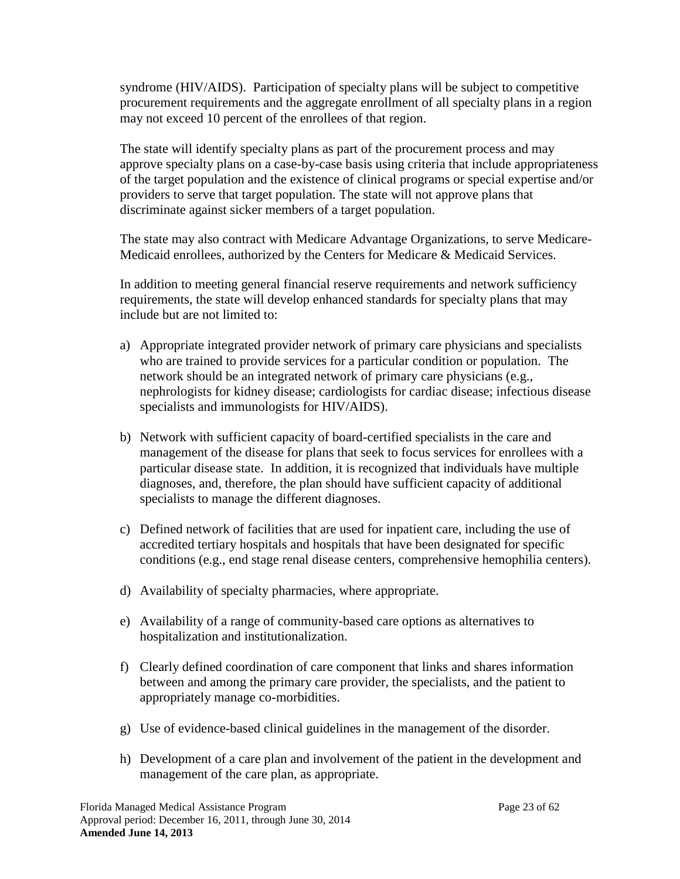syndrome (HIV/AIDS). Participation of specialty plans will be subject to competitive procurement requirements and the aggregate enrollment of all specialty plans in a region may not exceed 10 percent of the enrollees of that region.

The state will identify specialty plans as part of the procurement process and may approve specialty plans on a case-by-case basis using criteria that include appropriateness of the target population and the existence of clinical programs or special expertise and/or providers to serve that target population. The state will not approve plans that discriminate against sicker members of a target population.

The state may also contract with Medicare Advantage Organizations, to serve Medicare-Medicaid enrollees, authorized by the Centers for Medicare & Medicaid Services.

In addition to meeting general financial reserve requirements and network sufficiency requirements, the state will develop enhanced standards for specialty plans that may include but are not limited to:

- a) Appropriate integrated provider network of primary care physicians and specialists who are trained to provide services for a particular condition or population. The network should be an integrated network of primary care physicians (e.g., nephrologists for kidney disease; cardiologists for cardiac disease; infectious disease specialists and immunologists for HIV/AIDS).
- b) Network with sufficient capacity of board-certified specialists in the care and management of the disease for plans that seek to focus services for enrollees with a particular disease state. In addition, it is recognized that individuals have multiple diagnoses, and, therefore, the plan should have sufficient capacity of additional specialists to manage the different diagnoses.
- c) Defined network of facilities that are used for inpatient care, including the use of accredited tertiary hospitals and hospitals that have been designated for specific conditions (e.g., end stage renal disease centers, comprehensive hemophilia centers).
- d) Availability of specialty pharmacies, where appropriate.
- e) Availability of a range of community-based care options as alternatives to hospitalization and institutionalization.
- f) Clearly defined coordination of care component that links and shares information between and among the primary care provider, the specialists, and the patient to appropriately manage co-morbidities.
- g) Use of evidence-based clinical guidelines in the management of the disorder.
- h) Development of a care plan and involvement of the patient in the development and management of the care plan, as appropriate.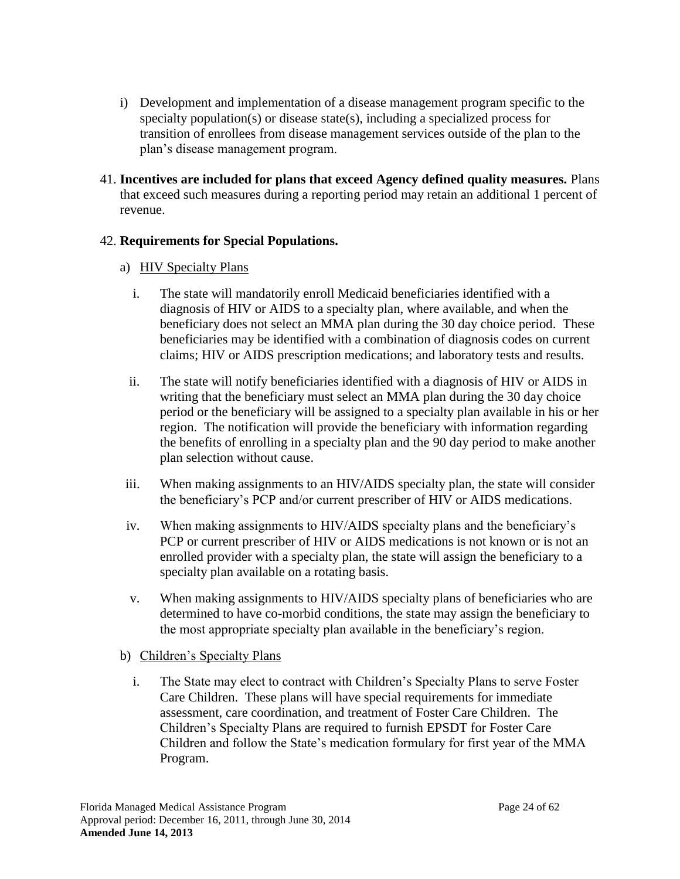- i) Development and implementation of a disease management program specific to the specialty population(s) or disease state(s), including a specialized process for transition of enrollees from disease management services outside of the plan to the plan's disease management program.
- 41. **Incentives are included for plans that exceed Agency defined quality measures.** Plans that exceed such measures during a reporting period may retain an additional 1 percent of revenue.

## 42. **Requirements for Special Populations.**

- a) HIV Specialty Plans
	- i. The state will mandatorily enroll Medicaid beneficiaries identified with a diagnosis of HIV or AIDS to a specialty plan, where available, and when the beneficiary does not select an MMA plan during the 30 day choice period. These beneficiaries may be identified with a combination of diagnosis codes on current claims; HIV or AIDS prescription medications; and laboratory tests and results.
	- ii. The state will notify beneficiaries identified with a diagnosis of HIV or AIDS in writing that the beneficiary must select an MMA plan during the 30 day choice period or the beneficiary will be assigned to a specialty plan available in his or her region. The notification will provide the beneficiary with information regarding the benefits of enrolling in a specialty plan and the 90 day period to make another plan selection without cause.
- iii. When making assignments to an HIV/AIDS specialty plan, the state will consider the beneficiary's PCP and/or current prescriber of HIV or AIDS medications.
- iv. When making assignments to HIV/AIDS specialty plans and the beneficiary's PCP or current prescriber of HIV or AIDS medications is not known or is not an enrolled provider with a specialty plan, the state will assign the beneficiary to a specialty plan available on a rotating basis.
- v. When making assignments to HIV/AIDS specialty plans of beneficiaries who are determined to have co-morbid conditions, the state may assign the beneficiary to the most appropriate specialty plan available in the beneficiary's region.
- b) Children's Specialty Plans
	- i. The State may elect to contract with Children's Specialty Plans to serve Foster Care Children. These plans will have special requirements for immediate assessment, care coordination, and treatment of Foster Care Children. The Children's Specialty Plans are required to furnish EPSDT for Foster Care Children and follow the State's medication formulary for first year of the MMA Program.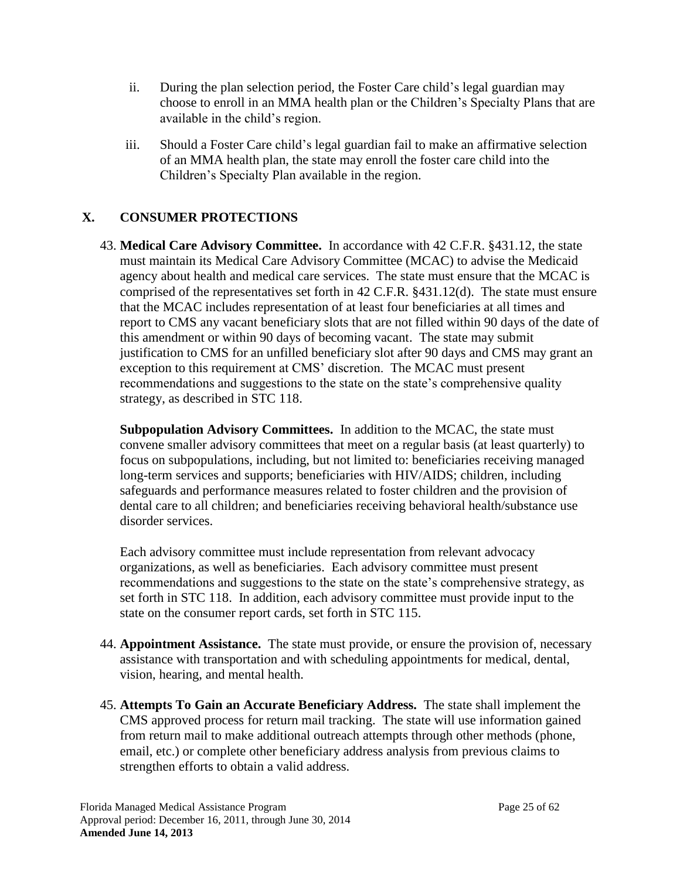- ii. During the plan selection period, the Foster Care child's legal guardian may choose to enroll in an MMA health plan or the Children's Specialty Plans that are available in the child's region.
- iii. Should a Foster Care child's legal guardian fail to make an affirmative selection of an MMA health plan, the state may enroll the foster care child into the Children's Specialty Plan available in the region.

# **X. CONSUMER PROTECTIONS**

<span id="page-24-0"></span>43. **Medical Care Advisory Committee.** In accordance with 42 C.F.R. §431.12, the state must maintain its Medical Care Advisory Committee (MCAC) to advise the Medicaid agency about health and medical care services. The state must ensure that the MCAC is comprised of the representatives set forth in 42 C.F.R. §431.12(d). The state must ensure that the MCAC includes representation of at least four beneficiaries at all times and report to CMS any vacant beneficiary slots that are not filled within 90 days of the date of this amendment or within 90 days of becoming vacant. The state may submit justification to CMS for an unfilled beneficiary slot after 90 days and CMS may grant an exception to this requirement at CMS' discretion. The MCAC must present recommendations and suggestions to the state on the state's comprehensive quality strategy, as described in STC [118.](#page-55-0)

**Subpopulation Advisory Committees.** In addition to the MCAC, the state must convene smaller advisory committees that meet on a regular basis (at least quarterly) to focus on subpopulations, including, but not limited to: beneficiaries receiving managed long-term services and supports; beneficiaries with HIV/AIDS; children, including safeguards and performance measures related to foster children and the provision of dental care to all children; and beneficiaries receiving behavioral health/substance use disorder services.

Each advisory committee must include representation from relevant advocacy organizations, as well as beneficiaries. Each advisory committee must present recommendations and suggestions to the state on the state's comprehensive strategy, as set forth in STC [118.](#page-55-0) In addition, each advisory committee must provide input to the state on the consumer report cards, set forth in STC [115.](#page-54-0)

- 44. **Appointment Assistance.** The state must provide, or ensure the provision of, necessary assistance with transportation and with scheduling appointments for medical, dental, vision, hearing, and mental health.
- 45. **Attempts To Gain an Accurate Beneficiary Address.** The state shall implement the CMS approved process for return mail tracking. The state will use information gained from return mail to make additional outreach attempts through other methods (phone, email, etc.) or complete other beneficiary address analysis from previous claims to strengthen efforts to obtain a valid address.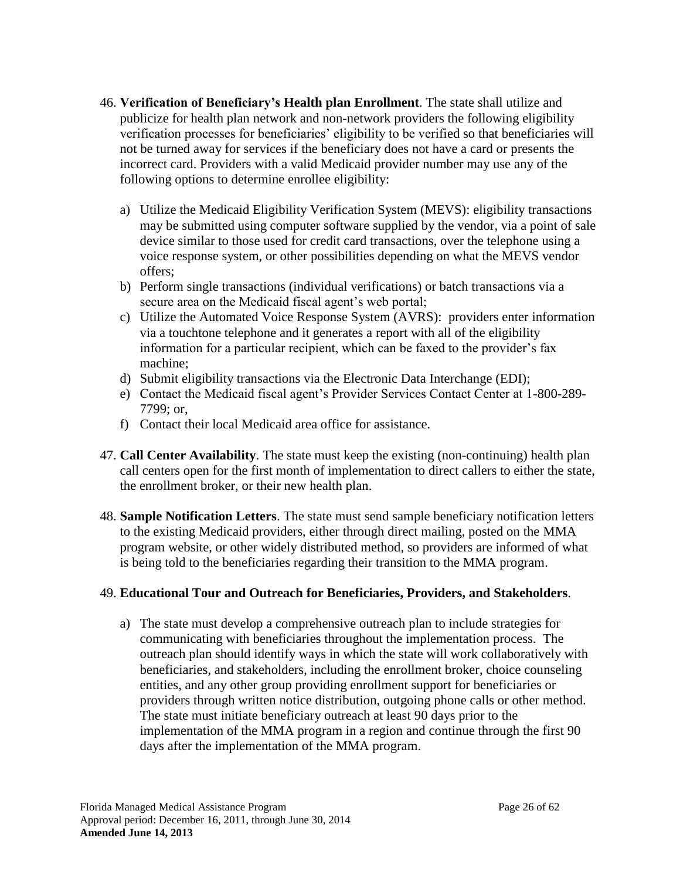- 46. **Verification of Beneficiary's Health plan Enrollment**. The state shall utilize and publicize for health plan network and non-network providers the following eligibility verification processes for beneficiaries' eligibility to be verified so that beneficiaries will not be turned away for services if the beneficiary does not have a card or presents the incorrect card. Providers with a valid Medicaid provider number may use any of the following options to determine enrollee eligibility:
	- a) Utilize the Medicaid Eligibility Verification System (MEVS): eligibility transactions may be submitted using computer software supplied by the vendor, via a point of sale device similar to those used for credit card transactions, over the telephone using a voice response system, or other possibilities depending on what the MEVS vendor offers;
	- b) Perform single transactions (individual verifications) or batch transactions via a secure area on the Medicaid fiscal agent's web portal;
	- c) Utilize the Automated Voice Response System (AVRS): providers enter information via a touchtone telephone and it generates a report with all of the eligibility information for a particular recipient, which can be faxed to the provider's fax machine;
	- d) Submit eligibility transactions via the Electronic Data Interchange (EDI);
	- e) Contact the Medicaid fiscal agent's Provider Services Contact Center at 1-800-289- 7799; or,
	- f) Contact their local Medicaid area office for assistance.
- 47. **Call Center Availability**. The state must keep the existing (non-continuing) health plan call centers open for the first month of implementation to direct callers to either the state, the enrollment broker, or their new health plan.
- 48. **Sample Notification Letters**. The state must send sample beneficiary notification letters to the existing Medicaid providers, either through direct mailing, posted on the MMA program website, or other widely distributed method, so providers are informed of what is being told to the beneficiaries regarding their transition to the MMA program.

### 49. **Educational Tour and Outreach for Beneficiaries, Providers, and Stakeholders**.

a) The state must develop a comprehensive outreach plan to include strategies for communicating with beneficiaries throughout the implementation process. The outreach plan should identify ways in which the state will work collaboratively with beneficiaries, and stakeholders, including the enrollment broker, choice counseling entities, and any other group providing enrollment support for beneficiaries or providers through written notice distribution, outgoing phone calls or other method. The state must initiate beneficiary outreach at least 90 days prior to the implementation of the MMA program in a region and continue through the first 90 days after the implementation of the MMA program.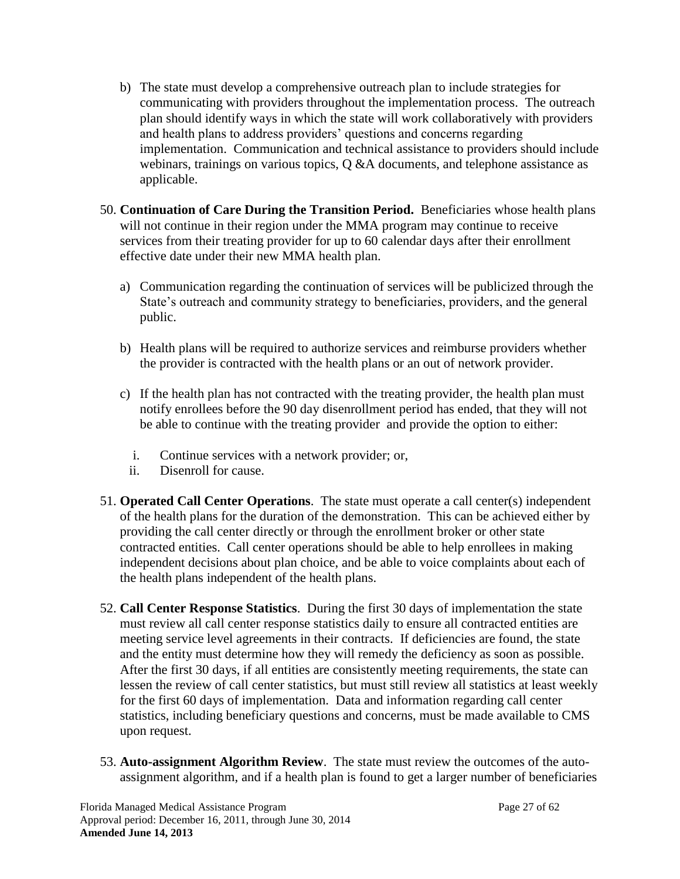- b) The state must develop a comprehensive outreach plan to include strategies for communicating with providers throughout the implementation process. The outreach plan should identify ways in which the state will work collaboratively with providers and health plans to address providers' questions and concerns regarding implementation. Communication and technical assistance to providers should include webinars, trainings on various topics, Q &A documents, and telephone assistance as applicable.
- 50. **Continuation of Care During the Transition Period.** Beneficiaries whose health plans will not continue in their region under the MMA program may continue to receive services from their treating provider for up to 60 calendar days after their enrollment effective date under their new MMA health plan.
	- a) Communication regarding the continuation of services will be publicized through the State's outreach and community strategy to beneficiaries, providers, and the general public.
	- b) Health plans will be required to authorize services and reimburse providers whether the provider is contracted with the health plans or an out of network provider.
	- c) If the health plan has not contracted with the treating provider, the health plan must notify enrollees before the 90 day disenrollment period has ended, that they will not be able to continue with the treating provider and provide the option to either:
		- i. Continue services with a network provider; or,
		- ii. Disenroll for cause.
- 51. **Operated Call Center Operations**. The state must operate a call center(s) independent of the health plans for the duration of the demonstration. This can be achieved either by providing the call center directly or through the enrollment broker or other state contracted entities. Call center operations should be able to help enrollees in making independent decisions about plan choice, and be able to voice complaints about each of the health plans independent of the health plans.
- 52. **Call Center Response Statistics**. During the first 30 days of implementation the state must review all call center response statistics daily to ensure all contracted entities are meeting service level agreements in their contracts. If deficiencies are found, the state and the entity must determine how they will remedy the deficiency as soon as possible. After the first 30 days, if all entities are consistently meeting requirements, the state can lessen the review of call center statistics, but must still review all statistics at least weekly for the first 60 days of implementation. Data and information regarding call center statistics, including beneficiary questions and concerns, must be made available to CMS upon request.
- 53. **Auto-assignment Algorithm Review**. The state must review the outcomes of the autoassignment algorithm, and if a health plan is found to get a larger number of beneficiaries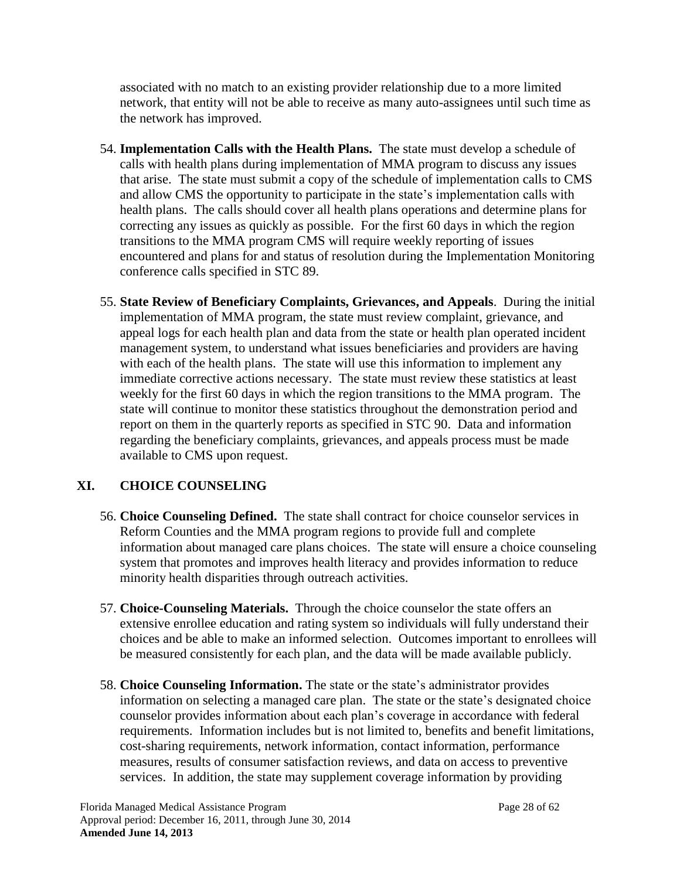associated with no match to an existing provider relationship due to a more limited network, that entity will not be able to receive as many auto-assignees until such time as the network has improved.

- 54. **Implementation Calls with the Health Plans.** The state must develop a schedule of calls with health plans during implementation of MMA program to discuss any issues that arise. The state must submit a copy of the schedule of implementation calls to CMS and allow CMS the opportunity to participate in the state's implementation calls with health plans. The calls should cover all health plans operations and determine plans for correcting any issues as quickly as possible. For the first 60 days in which the region transitions to the MMA program CMS will require weekly reporting of issues encountered and plans for and status of resolution during the Implementation Monitoring conference calls specified in STC [89.](#page-39-1)
- 55. **State Review of Beneficiary Complaints, Grievances, and Appeals**. During the initial implementation of MMA program, the state must review complaint, grievance, and appeal logs for each health plan and data from the state or health plan operated incident management system, to understand what issues beneficiaries and providers are having with each of the health plans. The state will use this information to implement any immediate corrective actions necessary. The state must review these statistics at least weekly for the first 60 days in which the region transitions to the MMA program. The state will continue to monitor these statistics throughout the demonstration period and report on them in the quarterly reports as specified in STC [90.](#page-39-0) Data and information regarding the beneficiary complaints, grievances, and appeals process must be made available to CMS upon request.

## **XI. CHOICE COUNSELING**

- 56. **Choice Counseling Defined.** The state shall contract for choice counselor services in Reform Counties and the MMA program regions to provide full and complete information about managed care plans choices. The state will ensure a choice counseling system that promotes and improves health literacy and provides information to reduce minority health disparities through outreach activities.
- 57. **Choice-Counseling Materials.** Through the choice counselor the state offers an extensive enrollee education and rating system so individuals will fully understand their choices and be able to make an informed selection. Outcomes important to enrollees will be measured consistently for each plan, and the data will be made available publicly.
- 58. **Choice Counseling Information.** The state or the state's administrator provides information on selecting a managed care plan. The state or the state's designated choice counselor provides information about each plan's coverage in accordance with federal requirements. Information includes but is not limited to, benefits and benefit limitations, cost-sharing requirements, network information, contact information, performance measures, results of consumer satisfaction reviews, and data on access to preventive services. In addition, the state may supplement coverage information by providing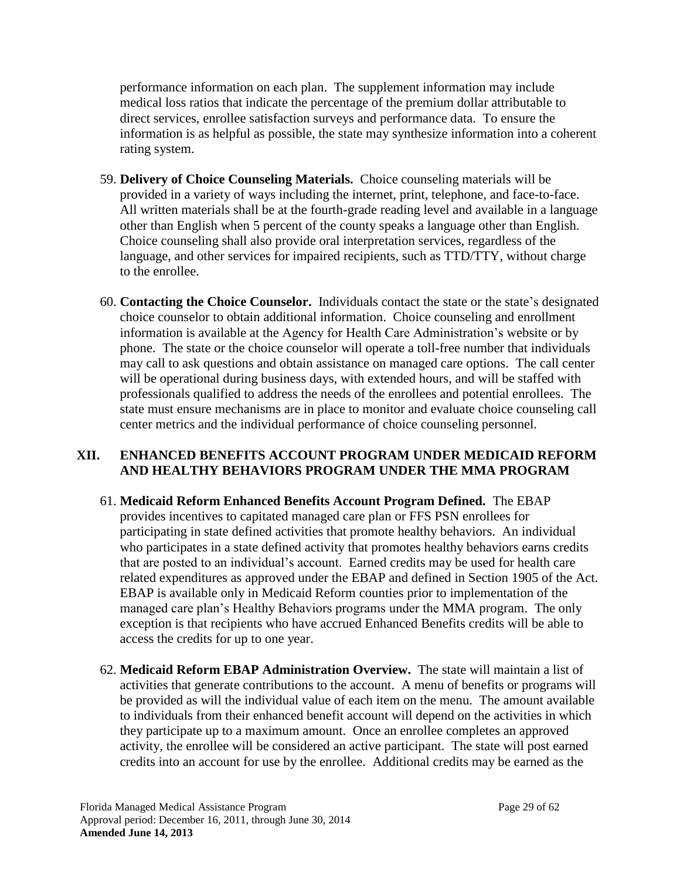performance information on each plan. The supplement information may include medical loss ratios that indicate the percentage of the premium dollar attributable to direct services, enrollee satisfaction surveys and performance data. To ensure the information is as helpful as possible, the state may synthesize information into a coherent rating system.

- 59. **Delivery of Choice Counseling Materials.** Choice counseling materials will be provided in a variety of ways including the internet, print, telephone, and face-to-face. All written materials shall be at the fourth-grade reading level and available in a language other than English when 5 percent of the county speaks a language other than English. Choice counseling shall also provide oral interpretation services, regardless of the language, and other services for impaired recipients, such as TTD/TTY, without charge to the enrollee.
- 60. **Contacting the Choice Counselor.** Individuals contact the state or the state's designated choice counselor to obtain additional information. Choice counseling and enrollment information is available at the Agency for Health Care Administration's website or by phone. The state or the choice counselor will operate a toll-free number that individuals may call to ask questions and obtain assistance on managed care options. The call center will be operational during business days, with extended hours, and will be staffed with professionals qualified to address the needs of the enrollees and potential enrollees. The state must ensure mechanisms are in place to monitor and evaluate choice counseling call center metrics and the individual performance of choice counseling personnel.

## <span id="page-28-1"></span>**XII. ENHANCED BENEFITS ACCOUNT PROGRAM UNDER MEDICAID REFORM AND HEALTHY BEHAVIORS PROGRAM UNDER THE MMA PROGRAM**

- <span id="page-28-0"></span>61. **Medicaid Reform Enhanced Benefits Account Program Defined.** The EBAP provides incentives to capitated managed care plan or FFS PSN enrollees for participating in state defined activities that promote healthy behaviors. An individual who participates in a state defined activity that promotes healthy behaviors earns credits that are posted to an individual's account. Earned credits may be used for health care related expenditures as approved under the EBAP and defined in Section 1905 of the Act. EBAP is available only in Medicaid Reform counties prior to implementation of the managed care plan's Healthy Behaviors programs under the MMA program. The only exception is that recipients who have accrued Enhanced Benefits credits will be able to access the credits for up to one year.
- 62. **Medicaid Reform EBAP Administration Overview.** The state will maintain a list of activities that generate contributions to the account. A menu of benefits or programs will be provided as will the individual value of each item on the menu. The amount available to individuals from their enhanced benefit account will depend on the activities in which they participate up to a maximum amount. Once an enrollee completes an approved activity, the enrollee will be considered an active participant. The state will post earned credits into an account for use by the enrollee. Additional credits may be earned as the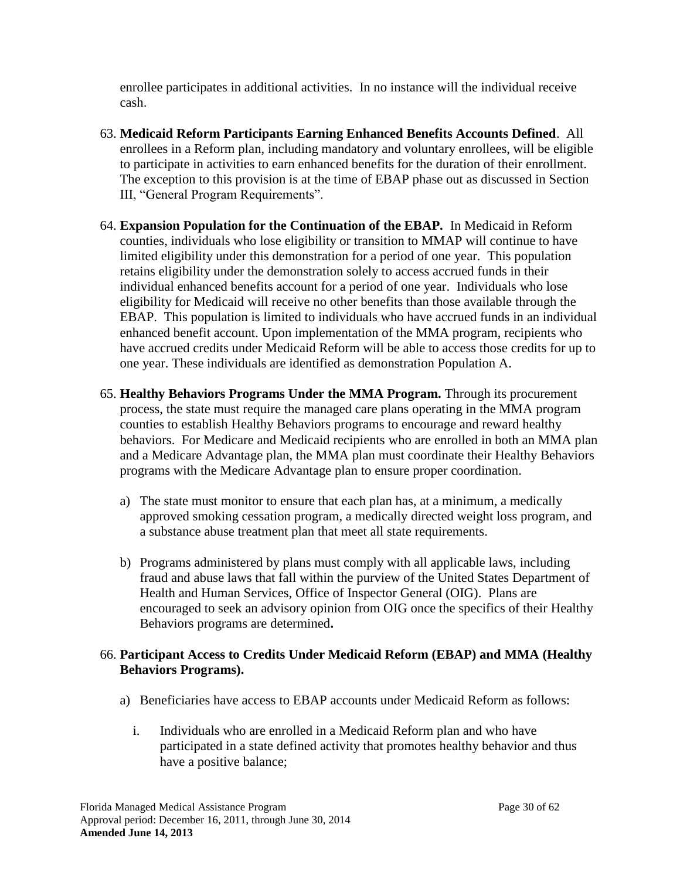enrollee participates in additional activities. In no instance will the individual receive cash.

- 63. **Medicaid Reform Participants Earning Enhanced Benefits Accounts Defined**. All enrollees in a Reform plan, including mandatory and voluntary enrollees, will be eligible to participate in activities to earn enhanced benefits for the duration of their enrollment. The exception to this provision is at the time of EBAP phase out as discussed in Section III, "General Program Requirements".
- 64. **Expansion Population for the Continuation of the EBAP.** In Medicaid in Reform counties, individuals who lose eligibility or transition to MMAP will continue to have limited eligibility under this demonstration for a period of one year. This population retains eligibility under the demonstration solely to access accrued funds in their individual enhanced benefits account for a period of one year. Individuals who lose eligibility for Medicaid will receive no other benefits than those available through the EBAP. This population is limited to individuals who have accrued funds in an individual enhanced benefit account. Upon implementation of the MMA program, recipients who have accrued credits under Medicaid Reform will be able to access those credits for up to one year. These individuals are identified as demonstration Population A.
- <span id="page-29-0"></span>65. **Healthy Behaviors Programs Under the MMA Program.** Through its procurement process, the state must require the managed care plans operating in the MMA program counties to establish Healthy Behaviors programs to encourage and reward healthy behaviors. For Medicare and Medicaid recipients who are enrolled in both an MMA plan and a Medicare Advantage plan, the MMA plan must coordinate their Healthy Behaviors programs with the Medicare Advantage plan to ensure proper coordination.
	- a) The state must monitor to ensure that each plan has, at a minimum, a medically approved smoking cessation program, a medically directed weight loss program, and a substance abuse treatment plan that meet all state requirements.
	- b) Programs administered by plans must comply with all applicable laws, including fraud and abuse laws that fall within the purview of the United States Department of Health and Human Services, Office of Inspector General (OIG). Plans are encouraged to seek an advisory opinion from OIG once the specifics of their Healthy Behaviors programs are determined**.**

### 66. **Participant Access to Credits Under Medicaid Reform (EBAP) and MMA (Healthy Behaviors Programs).**

- a) Beneficiaries have access to EBAP accounts under Medicaid Reform as follows:
	- i. Individuals who are enrolled in a Medicaid Reform plan and who have participated in a state defined activity that promotes healthy behavior and thus have a positive balance;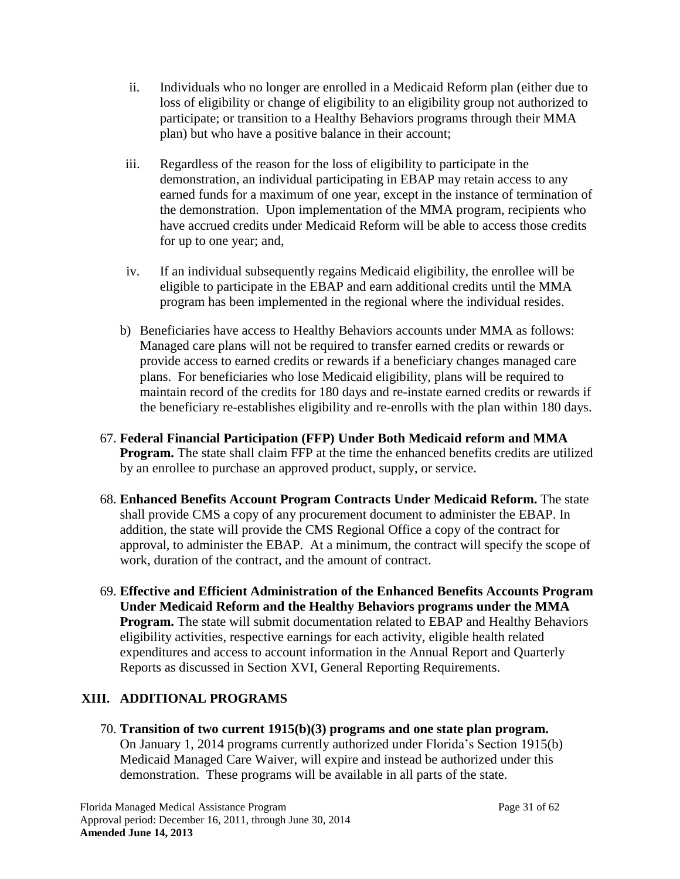- ii. Individuals who no longer are enrolled in a Medicaid Reform plan (either due to loss of eligibility or change of eligibility to an eligibility group not authorized to participate; or transition to a Healthy Behaviors programs through their MMA plan) but who have a positive balance in their account;
- iii. Regardless of the reason for the loss of eligibility to participate in the demonstration, an individual participating in EBAP may retain access to any earned funds for a maximum of one year, except in the instance of termination of the demonstration. Upon implementation of the MMA program, recipients who have accrued credits under Medicaid Reform will be able to access those credits for up to one year; and,
- iv. If an individual subsequently regains Medicaid eligibility, the enrollee will be eligible to participate in the EBAP and earn additional credits until the MMA program has been implemented in the regional where the individual resides.
- b) Beneficiaries have access to Healthy Behaviors accounts under MMA as follows: Managed care plans will not be required to transfer earned credits or rewards or provide access to earned credits or rewards if a beneficiary changes managed care plans. For beneficiaries who lose Medicaid eligibility, plans will be required to maintain record of the credits for 180 days and re-instate earned credits or rewards if the beneficiary re-establishes eligibility and re-enrolls with the plan within 180 days.
- 67. **Federal Financial Participation (FFP) Under Both Medicaid reform and MMA Program.** The state shall claim FFP at the time the enhanced benefits credits are utilized by an enrollee to purchase an approved product, supply, or service.
- 68. **Enhanced Benefits Account Program Contracts Under Medicaid Reform.** The state shall provide CMS a copy of any procurement document to administer the EBAP. In addition, the state will provide the CMS Regional Office a copy of the contract for approval, to administer the EBAP. At a minimum, the contract will specify the scope of work, duration of the contract, and the amount of contract.
- 69. **Effective and Efficient Administration of the Enhanced Benefits Accounts Program Under Medicaid Reform and the Healthy Behaviors programs under the MMA Program.** The state will submit documentation related to EBAP and Healthy Behaviors eligibility activities, respective earnings for each activity, eligible health related expenditures and access to account information in the Annual Report and Quarterly Reports as discussed in Section [XVI,](#page-38-0) General Reporting Requirements.

## **XIII. ADDITIONAL PROGRAMS**

70. **Transition of two current 1915(b)(3) programs and one state plan program.** On January 1, 2014 programs currently authorized under Florida's Section 1915(b) Medicaid Managed Care Waiver, will expire and instead be authorized under this demonstration. These programs will be available in all parts of the state.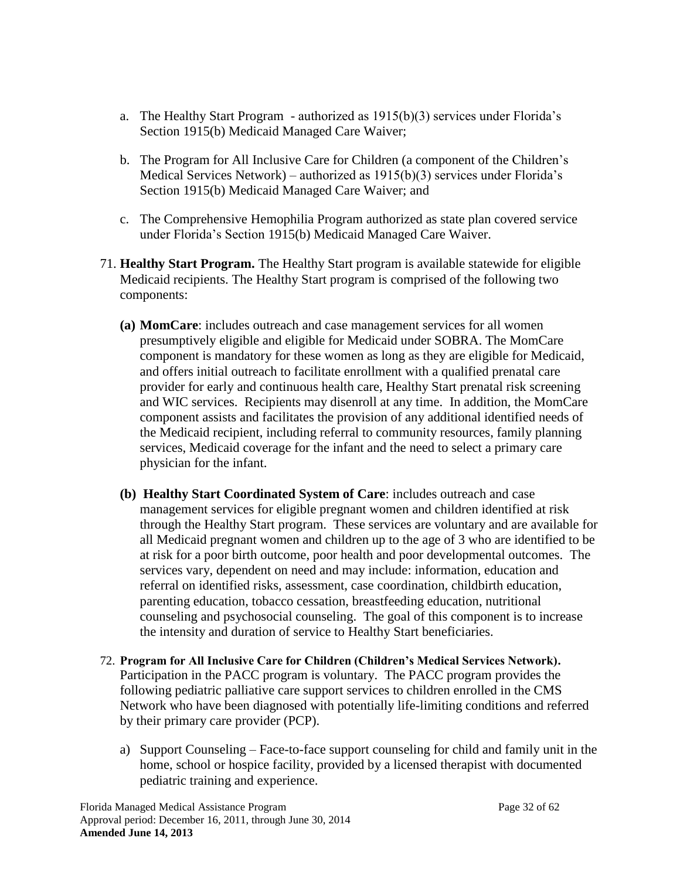- a. The Healthy Start Program authorized as 1915(b)(3) services under Florida's Section 1915(b) Medicaid Managed Care Waiver;
- b. The Program for All Inclusive Care for Children (a component of the Children's Medical Services Network) – authorized as 1915(b)(3) services under Florida's Section 1915(b) Medicaid Managed Care Waiver; and
- c. The Comprehensive Hemophilia Program authorized as state plan covered service under Florida's Section 1915(b) Medicaid Managed Care Waiver.
- 71. **Healthy Start Program.** The Healthy Start program is available statewide for eligible Medicaid recipients. The Healthy Start program is comprised of the following two components:
	- **(a) MomCare**: includes outreach and case management services for all women presumptively eligible and eligible for Medicaid under SOBRA. The MomCare component is mandatory for these women as long as they are eligible for Medicaid, and offers initial outreach to facilitate enrollment with a qualified prenatal care provider for early and continuous health care, Healthy Start prenatal risk screening and WIC services. Recipients may disenroll at any time. In addition, the MomCare component assists and facilitates the provision of any additional identified needs of the Medicaid recipient, including referral to community resources, family planning services, Medicaid coverage for the infant and the need to select a primary care physician for the infant.
	- **(b) Healthy Start Coordinated System of Care**: includes outreach and case management services for eligible pregnant women and children identified at risk through the Healthy Start program. These services are voluntary and are available for all Medicaid pregnant women and children up to the age of 3 who are identified to be at risk for a poor birth outcome, poor health and poor developmental outcomes. The services vary, dependent on need and may include: information, education and referral on identified risks, assessment, case coordination, childbirth education, parenting education, tobacco cessation, breastfeeding education, nutritional counseling and psychosocial counseling. The goal of this component is to increase the intensity and duration of service to Healthy Start beneficiaries.
- 72. **Program for All Inclusive Care for Children (Children's Medical Services Network).**  Participation in the PACC program is voluntary. The PACC program provides the following pediatric palliative care support services to children enrolled in the CMS Network who have been diagnosed with potentially life-limiting conditions and referred by their primary care provider (PCP).
	- a) Support Counseling Face-to-face support counseling for child and family unit in the home, school or hospice facility, provided by a licensed therapist with documented pediatric training and experience.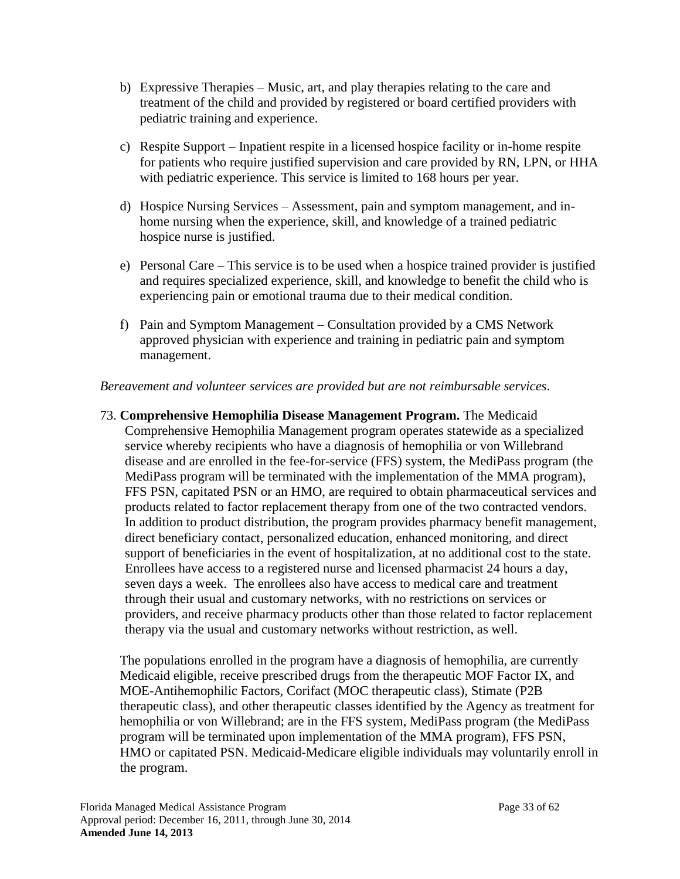- b) Expressive Therapies Music, art, and play therapies relating to the care and treatment of the child and provided by registered or board certified providers with pediatric training and experience.
- c) Respite Support Inpatient respite in a licensed hospice facility or in-home respite for patients who require justified supervision and care provided by RN, LPN, or HHA with pediatric experience. This service is limited to 168 hours per year.
- d) Hospice Nursing Services Assessment, pain and symptom management, and inhome nursing when the experience, skill, and knowledge of a trained pediatric hospice nurse is justified.
- e) Personal Care This service is to be used when a hospice trained provider is justified and requires specialized experience, skill, and knowledge to benefit the child who is experiencing pain or emotional trauma due to their medical condition.
- f) Pain and Symptom Management Consultation provided by a CMS Network approved physician with experience and training in pediatric pain and symptom management.

## *Bereavement and volunteer services are provided but are not reimbursable services*.

73. **Comprehensive Hemophilia Disease Management Program.** The Medicaid Comprehensive Hemophilia Management program operates statewide as a specialized service whereby recipients who have a diagnosis of hemophilia or von Willebrand disease and are enrolled in the fee-for-service (FFS) system, the MediPass program (the MediPass program will be terminated with the implementation of the MMA program), FFS PSN, capitated PSN or an HMO, are required to obtain pharmaceutical services and products related to factor replacement therapy from one of the two contracted vendors. In addition to product distribution, the program provides pharmacy benefit management, direct beneficiary contact, personalized education, enhanced monitoring, and direct support of beneficiaries in the event of hospitalization, at no additional cost to the state. Enrollees have access to a registered nurse and licensed pharmacist 24 hours a day, seven days a week. The enrollees also have access to medical care and treatment through their usual and customary networks, with no restrictions on services or providers, and receive pharmacy products other than those related to factor replacement therapy via the usual and customary networks without restriction, as well.

The populations enrolled in the program have a diagnosis of hemophilia, are currently Medicaid eligible, receive prescribed drugs from the therapeutic MOF Factor IX, and MOE-Antihemophilic Factors, Corifact (MOC therapeutic class), Stimate (P2B therapeutic class), and other therapeutic classes identified by the Agency as treatment for hemophilia or von Willebrand; are in the FFS system, MediPass program (the MediPass program will be terminated upon implementation of the MMA program), FFS PSN, HMO or capitated PSN. Medicaid-Medicare eligible individuals may voluntarily enroll in the program.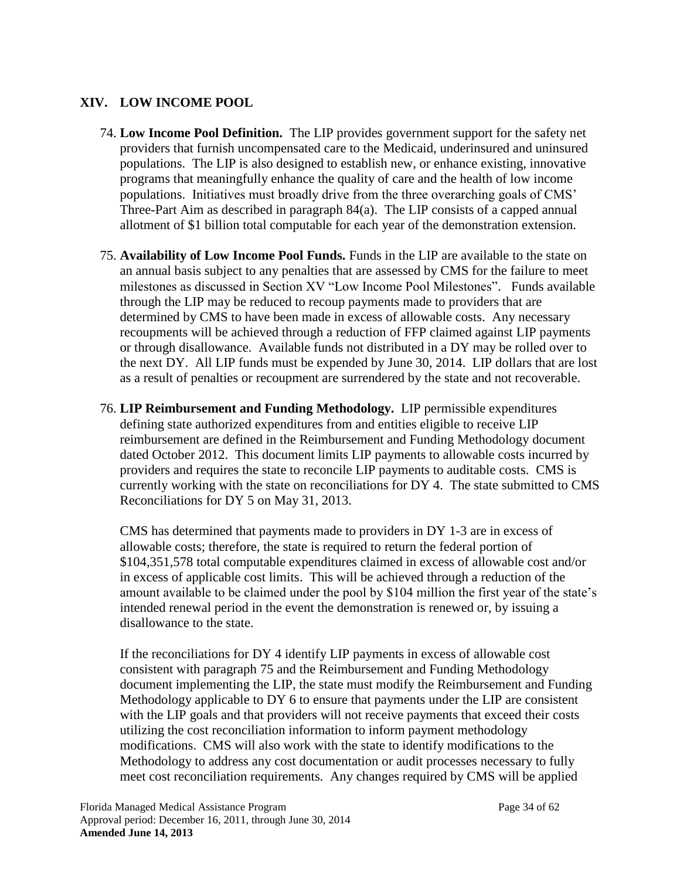## <span id="page-33-3"></span>**XIV. LOW INCOME POOL**

- <span id="page-33-1"></span>74. **Low Income Pool Definition.** The LIP provides government support for the safety net providers that furnish uncompensated care to the Medicaid, underinsured and uninsured populations. The LIP is also designed to establish new, or enhance existing, innovative programs that meaningfully enhance the quality of care and the health of low income populations. Initiatives must broadly drive from the three overarching goals of CMS' Three-Part Aim as described in paragraph [84\(](#page-35-0)a). The LIP consists of a capped annual allotment of \$1 billion total computable for each year of the demonstration extension.
- <span id="page-33-0"></span>75. **Availability of Low Income Pool Funds.** Funds in the LIP are available to the state on an annual basis subject to any penalties that are assessed by CMS for the failure to meet milestones as discussed in Section XV "Low Income Pool Milestones". Funds available through the LIP may be reduced to recoup payments made to providers that are determined by CMS to have been made in excess of allowable costs. Any necessary recoupments will be achieved through a reduction of FFP claimed against LIP payments or through disallowance. Available funds not distributed in a DY may be rolled over to the next DY. All LIP funds must be expended by June 30, 2014. LIP dollars that are lost as a result of penalties or recoupment are surrendered by the state and not recoverable.
- <span id="page-33-2"></span>76. **LIP Reimbursement and Funding Methodology.** LIP permissible expenditures defining state authorized expenditures from and entities eligible to receive LIP reimbursement are defined in the Reimbursement and Funding Methodology document dated October 2012. This document limits LIP payments to allowable costs incurred by providers and requires the state to reconcile LIP payments to auditable costs. CMS is currently working with the state on reconciliations for DY 4. The state submitted to CMS Reconciliations for DY 5 on May 31, 2013.

CMS has determined that payments made to providers in DY 1-3 are in excess of allowable costs; therefore, the state is required to return the federal portion of \$104,351,578 total computable expenditures claimed in excess of allowable cost and/or in excess of applicable cost limits. This will be achieved through a reduction of the amount available to be claimed under the pool by \$104 million the first year of the state's intended renewal period in the event the demonstration is renewed or, by issuing a disallowance to the state.

If the reconciliations for DY 4 identify LIP payments in excess of allowable cost consistent with paragraph [75](#page-33-0) and the Reimbursement and Funding Methodology document implementing the LIP, the state must modify the Reimbursement and Funding Methodology applicable to DY 6 to ensure that payments under the LIP are consistent with the LIP goals and that providers will not receive payments that exceed their costs utilizing the cost reconciliation information to inform payment methodology modifications. CMS will also work with the state to identify modifications to the Methodology to address any cost documentation or audit processes necessary to fully meet cost reconciliation requirements. Any changes required by CMS will be applied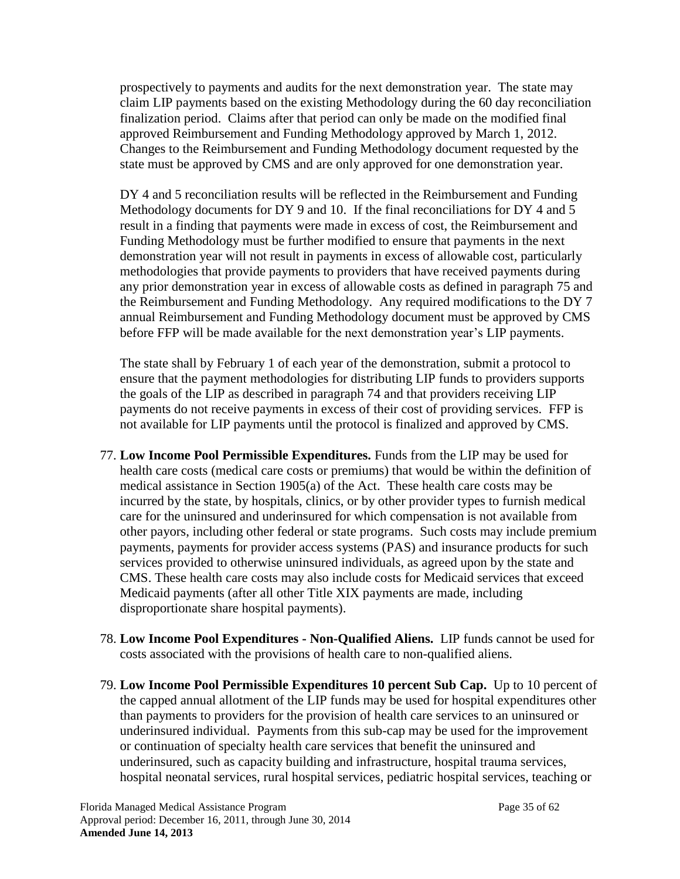prospectively to payments and audits for the next demonstration year. The state may claim LIP payments based on the existing Methodology during the 60 day reconciliation finalization period. Claims after that period can only be made on the modified final approved Reimbursement and Funding Methodology approved by March 1, 2012. Changes to the Reimbursement and Funding Methodology document requested by the state must be approved by CMS and are only approved for one demonstration year.

DY 4 and 5 reconciliation results will be reflected in the Reimbursement and Funding Methodology documents for DY 9 and 10. If the final reconciliations for DY 4 and 5 result in a finding that payments were made in excess of cost, the Reimbursement and Funding Methodology must be further modified to ensure that payments in the next demonstration year will not result in payments in excess of allowable cost, particularly methodologies that provide payments to providers that have received payments during any prior demonstration year in excess of allowable costs as defined in paragraph [75](#page-33-0) and the Reimbursement and Funding Methodology. Any required modifications to the DY 7 annual Reimbursement and Funding Methodology document must be approved by CMS before FFP will be made available for the next demonstration year's LIP payments.

The state shall by February 1 of each year of the demonstration, submit a protocol to ensure that the payment methodologies for distributing LIP funds to providers supports the goals of the LIP as described in paragraph [74](#page-33-1) and that providers receiving LIP payments do not receive payments in excess of their cost of providing services. FFP is not available for LIP payments until the protocol is finalized and approved by CMS.

- 77. **Low Income Pool Permissible Expenditures.** Funds from the LIP may be used for health care costs (medical care costs or premiums) that would be within the definition of medical assistance in Section 1905(a) of the Act. These health care costs may be incurred by the state, by hospitals, clinics, or by other provider types to furnish medical care for the uninsured and underinsured for which compensation is not available from other payors, including other federal or state programs. Such costs may include premium payments, payments for provider access systems (PAS) and insurance products for such services provided to otherwise uninsured individuals, as agreed upon by the state and CMS. These health care costs may also include costs for Medicaid services that exceed Medicaid payments (after all other Title XIX payments are made, including disproportionate share hospital payments).
- 78. **Low Income Pool Expenditures - Non-Qualified Aliens.** LIP funds cannot be used for costs associated with the provisions of health care to non-qualified aliens.
- 79. **Low Income Pool Permissible Expenditures 10 percent Sub Cap.** Up to 10 percent of the capped annual allotment of the LIP funds may be used for hospital expenditures other than payments to providers for the provision of health care services to an uninsured or underinsured individual. Payments from this sub-cap may be used for the improvement or continuation of specialty health care services that benefit the uninsured and underinsured, such as capacity building and infrastructure, hospital trauma services, hospital neonatal services, rural hospital services, pediatric hospital services, teaching or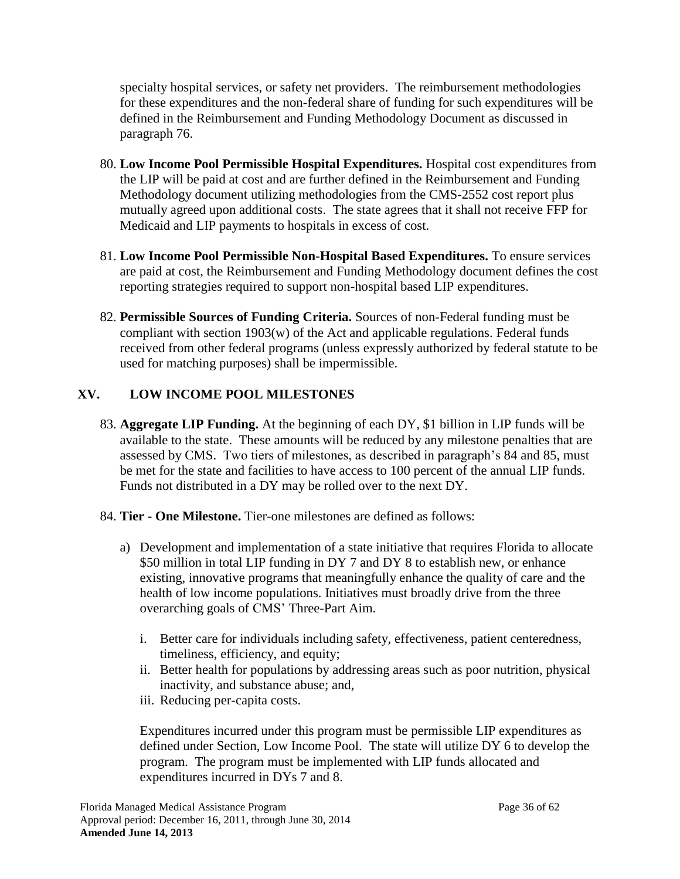specialty hospital services, or safety net providers. The reimbursement methodologies for these expenditures and the non-federal share of funding for such expenditures will be defined in the Reimbursement and Funding Methodology Document as discussed in paragraph [76.](#page-33-2)

- 80. **Low Income Pool Permissible Hospital Expenditures.** Hospital cost expenditures from the LIP will be paid at cost and are further defined in the Reimbursement and Funding Methodology document utilizing methodologies from the CMS-2552 cost report plus mutually agreed upon additional costs. The state agrees that it shall not receive FFP for Medicaid and LIP payments to hospitals in excess of cost.
- 81. **Low Income Pool Permissible Non-Hospital Based Expenditures.** To ensure services are paid at cost, the Reimbursement and Funding Methodology document defines the cost reporting strategies required to support non-hospital based LIP expenditures.
- 82. **Permissible Sources of Funding Criteria.** Sources of non-Federal funding must be compliant with section 1903(w) of the Act and applicable regulations. Federal funds received from other federal programs (unless expressly authorized by federal statute to be used for matching purposes) shall be impermissible.

# <span id="page-35-1"></span>**XV. LOW INCOME POOL MILESTONES**

- 83. **Aggregate LIP Funding.** At the beginning of each DY, \$1 billion in LIP funds will be available to the state. These amounts will be reduced by any milestone penalties that are assessed by CMS. Two tiers of milestones, as described in paragraph's [84](#page-35-0) and [85,](#page-36-0) must be met for the state and facilities to have access to 100 percent of the annual LIP funds. Funds not distributed in a DY may be rolled over to the next DY.
- <span id="page-35-0"></span>84. **Tier - One Milestone.** Tier-one milestones are defined as follows:
	- a) Development and implementation of a state initiative that requires Florida to allocate \$50 million in total LIP funding in DY 7 and DY 8 to establish new, or enhance existing, innovative programs that meaningfully enhance the quality of care and the health of low income populations. Initiatives must broadly drive from the three overarching goals of CMS' Three-Part Aim.
		- i. Better care for individuals including safety, effectiveness, patient centeredness, timeliness, efficiency, and equity;
		- ii. Better health for populations by addressing areas such as poor nutrition, physical inactivity, and substance abuse; and,
		- iii. Reducing per-capita costs.

Expenditures incurred under this program must be permissible LIP expenditures as defined under Section, Low Income Pool. The state will utilize DY 6 to develop the program. The program must be implemented with LIP funds allocated and expenditures incurred in DYs 7 and 8.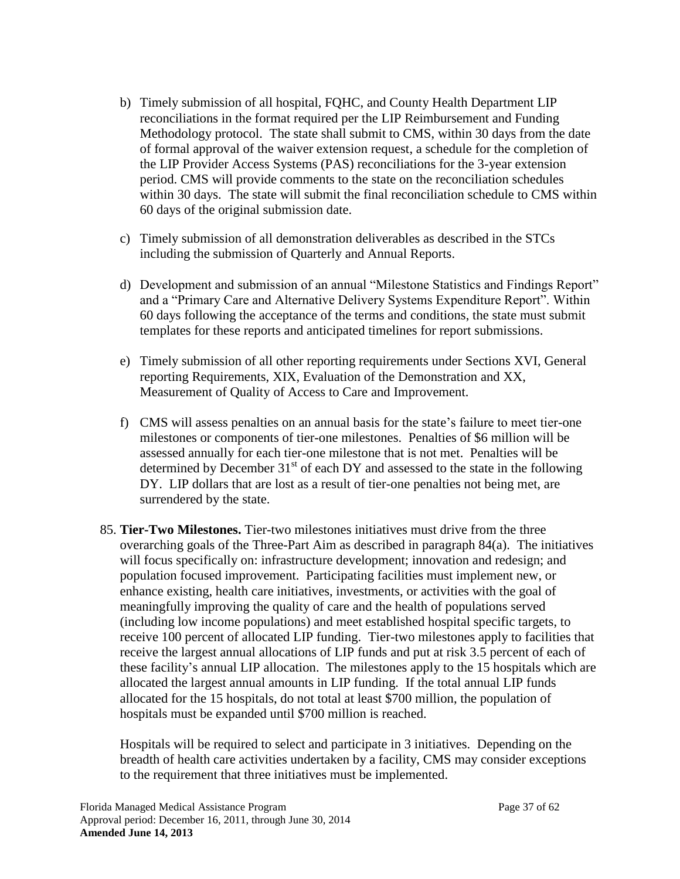- b) Timely submission of all hospital, FQHC, and County Health Department LIP reconciliations in the format required per the LIP Reimbursement and Funding Methodology protocol. The state shall submit to CMS, within 30 days from the date of formal approval of the waiver extension request, a schedule for the completion of the LIP Provider Access Systems (PAS) reconciliations for the 3-year extension period. CMS will provide comments to the state on the reconciliation schedules within 30 days. The state will submit the final reconciliation schedule to CMS within 60 days of the original submission date.
- c) Timely submission of all demonstration deliverables as described in the STCs including the submission of Quarterly and Annual Reports.
- d) Development and submission of an annual "Milestone Statistics and Findings Report" and a "Primary Care and Alternative Delivery Systems Expenditure Report". Within 60 days following the acceptance of the terms and conditions, the state must submit templates for these reports and anticipated timelines for report submissions.
- e) Timely submission of all other reporting requirements under Sections [XVI,](#page-38-0) General reporting Requirements, [XIX,](#page-51-0) Evaluation of the Demonstration and [XX,](#page-54-1) Measurement of Quality of Access to Care and Improvement.
- f) CMS will assess penalties on an annual basis for the state's failure to meet tier-one milestones or components of tier-one milestones. Penalties of \$6 million will be assessed annually for each tier-one milestone that is not met. Penalties will be determined by December  $31<sup>st</sup>$  of each DY and assessed to the state in the following DY. LIP dollars that are lost as a result of tier-one penalties not being met, are surrendered by the state.
- <span id="page-36-0"></span>85. **Tier-Two Milestones.** Tier-two milestones initiatives must drive from the three overarching goals of the Three-Part Aim as described in paragraph [84\(](#page-35-0)a). The initiatives will focus specifically on: infrastructure development; innovation and redesign; and population focused improvement. Participating facilities must implement new, or enhance existing, health care initiatives, investments, or activities with the goal of meaningfully improving the quality of care and the health of populations served (including low income populations) and meet established hospital specific targets, to receive 100 percent of allocated LIP funding. Tier-two milestones apply to facilities that receive the largest annual allocations of LIP funds and put at risk 3.5 percent of each of these facility's annual LIP allocation. The milestones apply to the 15 hospitals which are allocated the largest annual amounts in LIP funding. If the total annual LIP funds allocated for the 15 hospitals, do not total at least \$700 million, the population of hospitals must be expanded until \$700 million is reached.

Hospitals will be required to select and participate in 3 initiatives. Depending on the breadth of health care activities undertaken by a facility, CMS may consider exceptions to the requirement that three initiatives must be implemented.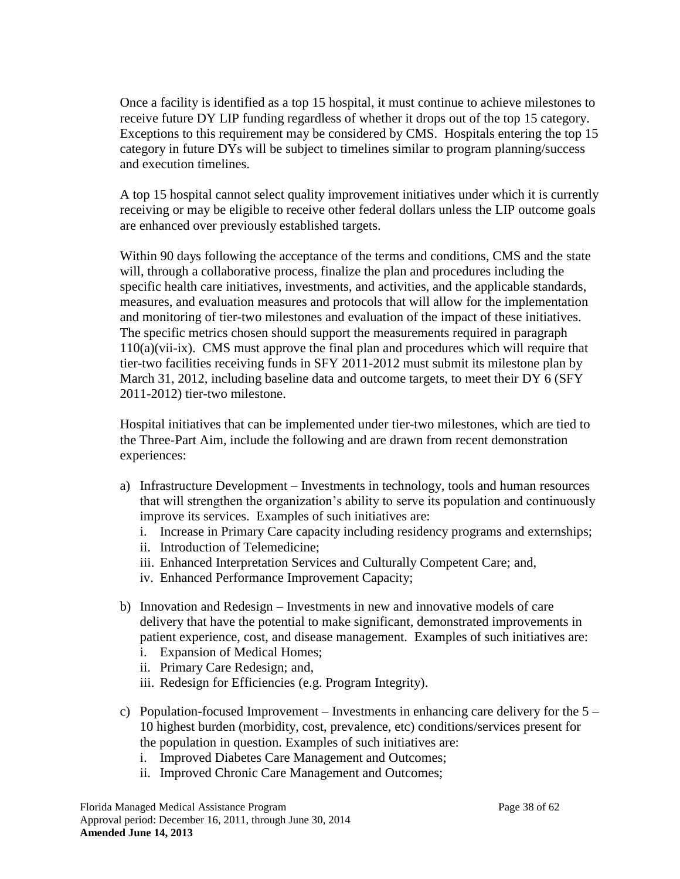Once a facility is identified as a top 15 hospital, it must continue to achieve milestones to receive future DY LIP funding regardless of whether it drops out of the top 15 category. Exceptions to this requirement may be considered by CMS. Hospitals entering the top 15 category in future DYs will be subject to timelines similar to program planning/success and execution timelines.

A top 15 hospital cannot select quality improvement initiatives under which it is currently receiving or may be eligible to receive other federal dollars unless the LIP outcome goals are enhanced over previously established targets.

Within 90 days following the acceptance of the terms and conditions, CMS and the state will, through a collaborative process, finalize the plan and procedures including the specific health care initiatives, investments, and activities, and the applicable standards, measures, and evaluation measures and protocols that will allow for the implementation and monitoring of tier-two milestones and evaluation of the impact of these initiatives. The specific metrics chosen should support the measurements required in paragraph [110\(](#page-51-1)a)(vii-ix). CMS must approve the final plan and procedures which will require that tier-two facilities receiving funds in SFY 2011-2012 must submit its milestone plan by March 31, 2012, including baseline data and outcome targets, to meet their DY 6 (SFY 2011-2012) tier-two milestone.

Hospital initiatives that can be implemented under tier-two milestones, which are tied to the Three-Part Aim, include the following and are drawn from recent demonstration experiences:

- a) Infrastructure Development Investments in technology, tools and human resources that will strengthen the organization's ability to serve its population and continuously improve its services. Examples of such initiatives are:
	- i. Increase in Primary Care capacity including residency programs and externships;
	- ii. Introduction of Telemedicine;
	- iii. Enhanced Interpretation Services and Culturally Competent Care; and,
	- iv. Enhanced Performance Improvement Capacity;
- b) Innovation and Redesign Investments in new and innovative models of care delivery that have the potential to make significant, demonstrated improvements in patient experience, cost, and disease management. Examples of such initiatives are:
	- i. Expansion of Medical Homes;
	- ii. Primary Care Redesign; and,
	- iii. Redesign for Efficiencies (e.g. Program Integrity).
- c) Population-focused Improvement Investments in enhancing care delivery for the 5 10 highest burden (morbidity, cost, prevalence, etc) conditions/services present for the population in question. Examples of such initiatives are:
	- i. Improved Diabetes Care Management and Outcomes;
	- ii. Improved Chronic Care Management and Outcomes;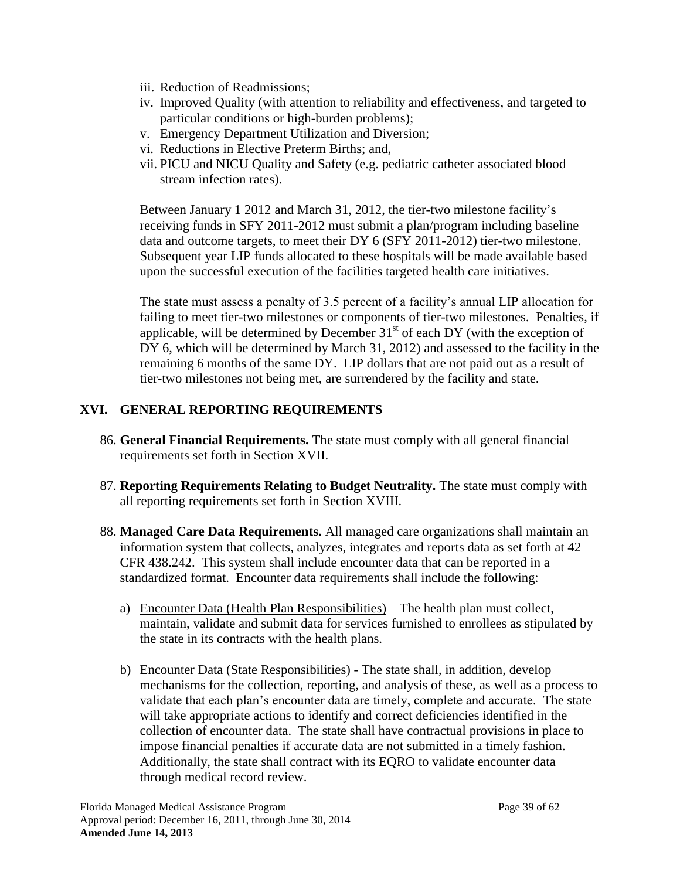- iii. Reduction of Readmissions;
- iv. Improved Quality (with attention to reliability and effectiveness, and targeted to particular conditions or high-burden problems);
- v. Emergency Department Utilization and Diversion;
- vi. Reductions in Elective Preterm Births; and,
- vii. PICU and NICU Quality and Safety (e.g. pediatric catheter associated blood stream infection rates).

Between January 1 2012 and March 31, 2012, the tier-two milestone facility's receiving funds in SFY 2011-2012 must submit a plan/program including baseline data and outcome targets, to meet their DY 6 (SFY 2011-2012) tier-two milestone. Subsequent year LIP funds allocated to these hospitals will be made available based upon the successful execution of the facilities targeted health care initiatives.

The state must assess a penalty of 3.5 percent of a facility's annual LIP allocation for failing to meet tier-two milestones or components of tier-two milestones. Penalties, if applicable, will be determined by December  $31<sup>st</sup>$  of each DY (with the exception of DY 6, which will be determined by March 31, 2012) and assessed to the facility in the remaining 6 months of the same DY. LIP dollars that are not paid out as a result of tier-two milestones not being met, are surrendered by the facility and state.

# <span id="page-38-0"></span>**XVI. GENERAL REPORTING REQUIREMENTS**

- 86. **General Financial Requirements.** The state must comply with all general financial requirements set forth in Section [XVII.](#page-42-1)
- 87. **Reporting Requirements Relating to Budget Neutrality.** The state must comply with all reporting requirements set forth in Section [XVIII.](#page-48-0)
- 88. **Managed Care Data Requirements.** All managed care organizations shall maintain an information system that collects, analyzes, integrates and reports data as set forth at 42 CFR 438.242. This system shall include encounter data that can be reported in a standardized format. Encounter data requirements shall include the following:
	- a) Encounter Data (Health Plan Responsibilities) The health plan must collect, maintain, validate and submit data for services furnished to enrollees as stipulated by the state in its contracts with the health plans.
	- b) Encounter Data (State Responsibilities) The state shall, in addition, develop mechanisms for the collection, reporting, and analysis of these, as well as a process to validate that each plan's encounter data are timely, complete and accurate. The state will take appropriate actions to identify and correct deficiencies identified in the collection of encounter data. The state shall have contractual provisions in place to impose financial penalties if accurate data are not submitted in a timely fashion. Additionally, the state shall contract with its EQRO to validate encounter data through medical record review.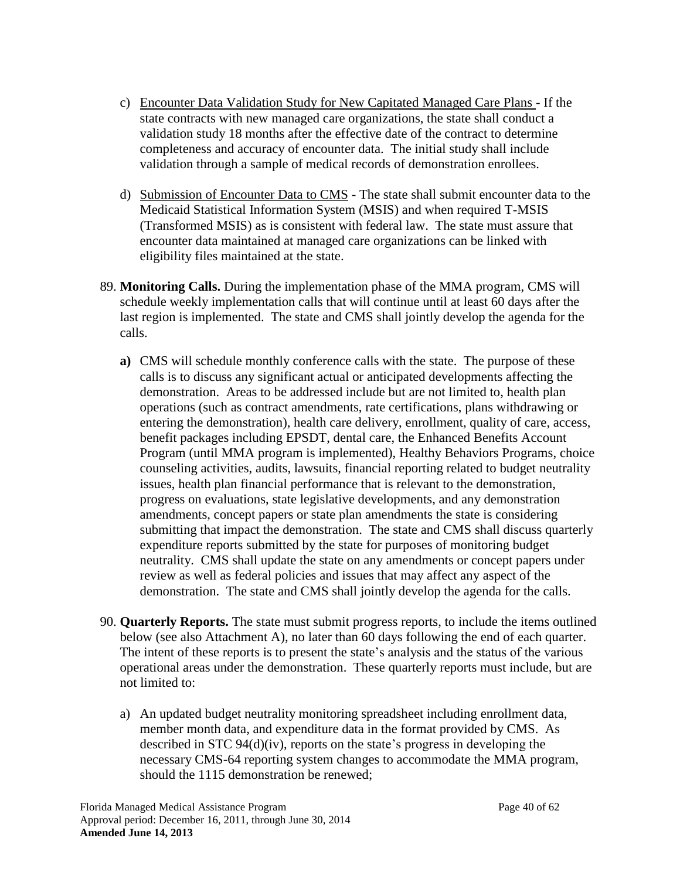- c) Encounter Data Validation Study for New Capitated Managed Care Plans If the state contracts with new managed care organizations, the state shall conduct a validation study 18 months after the effective date of the contract to determine completeness and accuracy of encounter data. The initial study shall include validation through a sample of medical records of demonstration enrollees.
- d) Submission of Encounter Data to CMS The state shall submit encounter data to the Medicaid Statistical Information System (MSIS) and when required T-MSIS (Transformed MSIS) as is consistent with federal law. The state must assure that encounter data maintained at managed care organizations can be linked with eligibility files maintained at the state.
- <span id="page-39-1"></span>89. **Monitoring Calls.** During the implementation phase of the MMA program, CMS will schedule weekly implementation calls that will continue until at least 60 days after the last region is implemented. The state and CMS shall jointly develop the agenda for the calls.
	- **a)** CMS will schedule monthly conference calls with the state. The purpose of these calls is to discuss any significant actual or anticipated developments affecting the demonstration. Areas to be addressed include but are not limited to, health plan operations (such as contract amendments, rate certifications, plans withdrawing or entering the demonstration), health care delivery, enrollment, quality of care, access, benefit packages including EPSDT, dental care, the Enhanced Benefits Account Program (until MMA program is implemented), Healthy Behaviors Programs, choice counseling activities, audits, lawsuits, financial reporting related to budget neutrality issues, health plan financial performance that is relevant to the demonstration, progress on evaluations, state legislative developments, and any demonstration amendments, concept papers or state plan amendments the state is considering submitting that impact the demonstration. The state and CMS shall discuss quarterly expenditure reports submitted by the state for purposes of monitoring budget neutrality. CMS shall update the state on any amendments or concept papers under review as well as federal policies and issues that may affect any aspect of the demonstration. The state and CMS shall jointly develop the agenda for the calls.
- <span id="page-39-0"></span>90. **Quarterly Reports.** The state must submit progress reports, to include the items outlined below (see also Attachment A), no later than 60 days following the end of each quarter. The intent of these reports is to present the state's analysis and the status of the various operational areas under the demonstration. These quarterly reports must include, but are not limited to:
	- a) An updated budget neutrality monitoring spreadsheet including enrollment data, member month data, and expenditure data in the format provided by CMS. As described in STC 94(d)(iv), reports on the state's progress in developing the necessary CMS-64 reporting system changes to accommodate the MMA program, should the 1115 demonstration be renewed;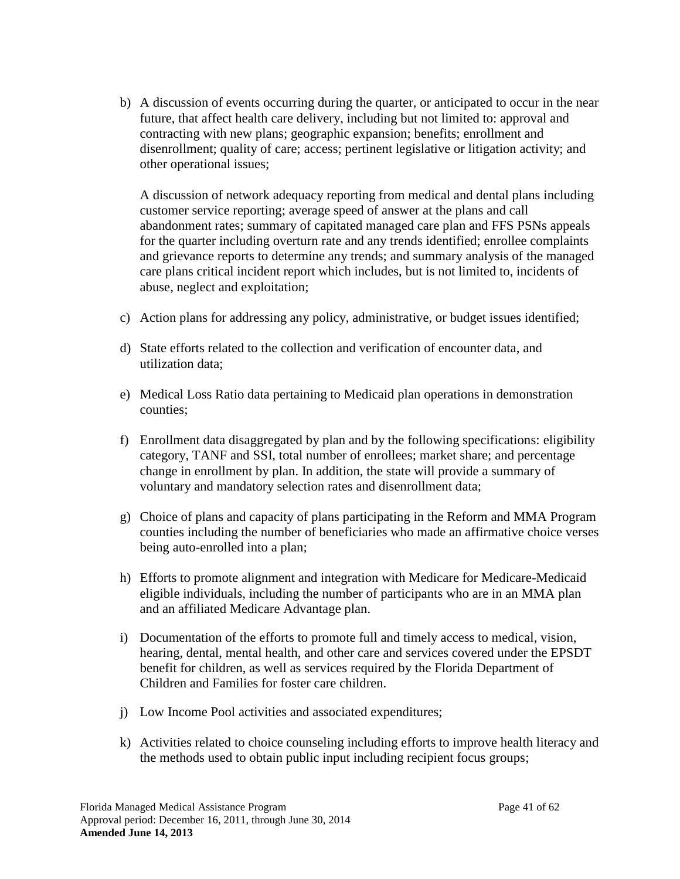b) A discussion of events occurring during the quarter, or anticipated to occur in the near future, that affect health care delivery, including but not limited to: approval and contracting with new plans; geographic expansion; benefits; enrollment and disenrollment; quality of care; access; pertinent legislative or litigation activity; and other operational issues;

A discussion of network adequacy reporting from medical and dental plans including customer service reporting; average speed of answer at the plans and call abandonment rates; summary of capitated managed care plan and FFS PSNs appeals for the quarter including overturn rate and any trends identified; enrollee complaints and grievance reports to determine any trends; and summary analysis of the managed care plans critical incident report which includes, but is not limited to, incidents of abuse, neglect and exploitation;

- c) Action plans for addressing any policy, administrative, or budget issues identified;
- d) State efforts related to the collection and verification of encounter data, and utilization data;
- e) Medical Loss Ratio data pertaining to Medicaid plan operations in demonstration counties;
- f) Enrollment data disaggregated by plan and by the following specifications: eligibility category, TANF and SSI, total number of enrollees; market share; and percentage change in enrollment by plan. In addition, the state will provide a summary of voluntary and mandatory selection rates and disenrollment data;
- g) Choice of plans and capacity of plans participating in the Reform and MMA Program counties including the number of beneficiaries who made an affirmative choice verses being auto-enrolled into a plan;
- h) Efforts to promote alignment and integration with Medicare for Medicare-Medicaid eligible individuals, including the number of participants who are in an MMA plan and an affiliated Medicare Advantage plan.
- i) Documentation of the efforts to promote full and timely access to medical, vision, hearing, dental, mental health, and other care and services covered under the EPSDT benefit for children, as well as services required by the Florida Department of Children and Families for foster care children.
- j) Low Income Pool activities and associated expenditures;
- k) Activities related to choice counseling including efforts to improve health literacy and the methods used to obtain public input including recipient focus groups;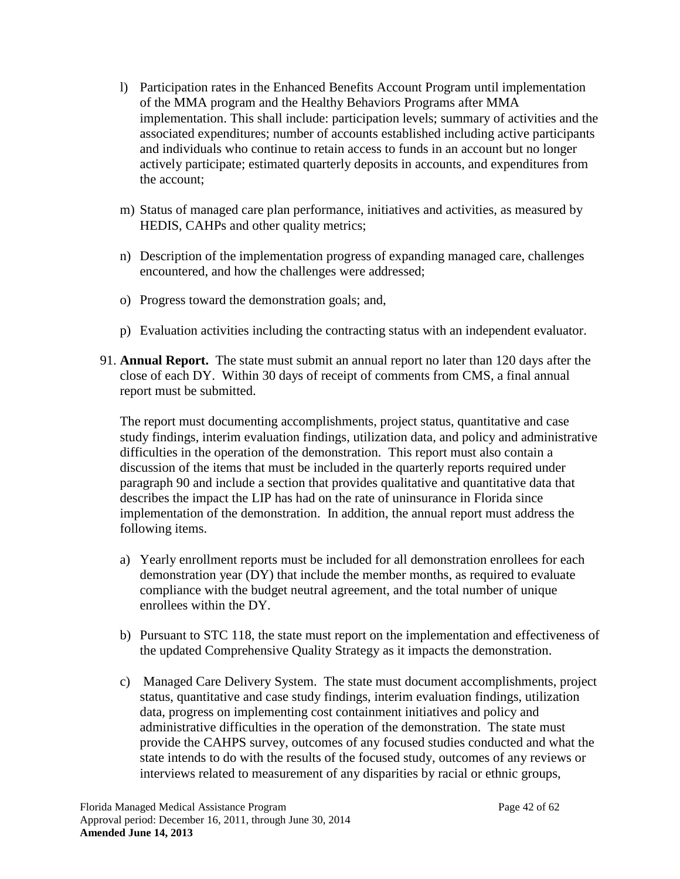- l) Participation rates in the Enhanced Benefits Account Program until implementation of the MMA program and the Healthy Behaviors Programs after MMA implementation. This shall include: participation levels; summary of activities and the associated expenditures; number of accounts established including active participants and individuals who continue to retain access to funds in an account but no longer actively participate; estimated quarterly deposits in accounts, and expenditures from the account;
- m) Status of managed care plan performance, initiatives and activities, as measured by HEDIS, CAHPs and other quality metrics;
- n) Description of the implementation progress of expanding managed care, challenges encountered, and how the challenges were addressed;
- o) Progress toward the demonstration goals; and,
- p) Evaluation activities including the contracting status with an independent evaluator.
- <span id="page-41-0"></span>91. **Annual Report.** The state must submit an annual report no later than 120 days after the close of each DY. Within 30 days of receipt of comments from CMS, a final annual report must be submitted.

The report must documenting accomplishments, project status, quantitative and case study findings, interim evaluation findings, utilization data, and policy and administrative difficulties in the operation of the demonstration. This report must also contain a discussion of the items that must be included in the quarterly reports required under paragraph [90](#page-39-0) and include a section that provides qualitative and quantitative data that describes the impact the LIP has had on the rate of uninsurance in Florida since implementation of the demonstration.In addition, the annual report must address the following items.

- a) Yearly enrollment reports must be included for all demonstration enrollees for each demonstration year (DY) that include the member months, as required to evaluate compliance with the budget neutral agreement, and the total number of unique enrollees within the DY.
- b) Pursuant to STC [118,](#page-55-0) the state must report on the implementation and effectiveness of the updated Comprehensive Quality Strategy as it impacts the demonstration.
- c) Managed Care Delivery System. The state must document accomplishments, project status, quantitative and case study findings, interim evaluation findings, utilization data, progress on implementing cost containment initiatives and policy and administrative difficulties in the operation of the demonstration. The state must provide the CAHPS survey, outcomes of any focused studies conducted and what the state intends to do with the results of the focused study, outcomes of any reviews or interviews related to measurement of any disparities by racial or ethnic groups,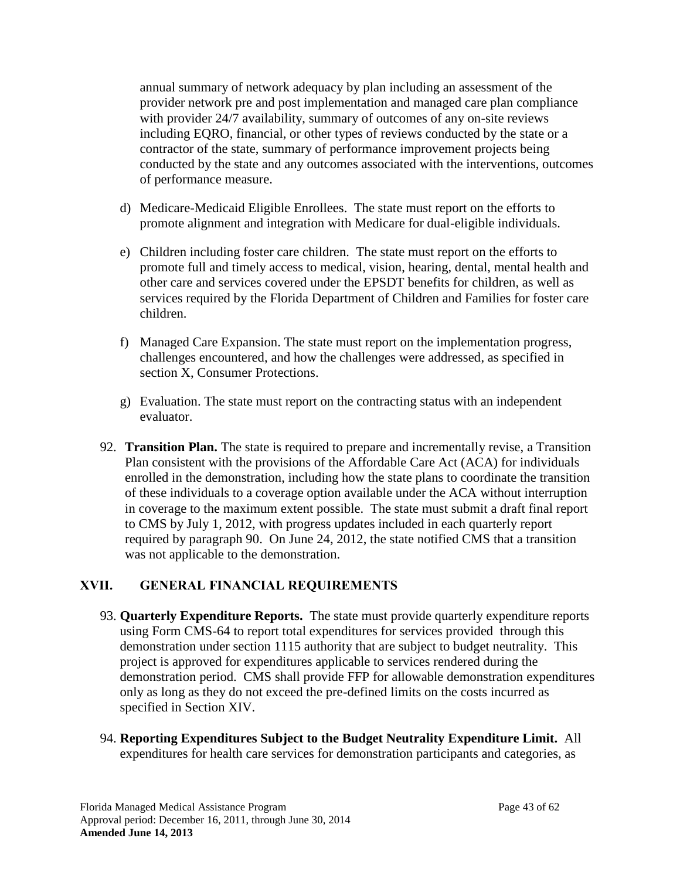annual summary of network adequacy by plan including an assessment of the provider network pre and post implementation and managed care plan compliance with provider 24/7 availability, summary of outcomes of any on-site reviews including EQRO, financial, or other types of reviews conducted by the state or a contractor of the state, summary of performance improvement projects being conducted by the state and any outcomes associated with the interventions, outcomes of performance measure.

- d) Medicare-Medicaid Eligible Enrollees. The state must report on the efforts to promote alignment and integration with Medicare for dual-eligible individuals.
- e) Children including foster care children. The state must report on the efforts to promote full and timely access to medical, vision, hearing, dental, mental health and other care and services covered under the EPSDT benefits for children, as well as services required by the Florida Department of Children and Families for foster care children.
- f) Managed Care Expansion. The state must report on the implementation progress, challenges encountered, and how the challenges were addressed, as specified in section [X,](#page-0-0) Consumer Protections.
- g) Evaluation. The state must report on the contracting status with an independent evaluator.
- <span id="page-42-3"></span>92. **Transition Plan.** The state is required to prepare and incrementally revise, a Transition Plan consistent with the provisions of the Affordable Care Act (ACA) for individuals enrolled in the demonstration, including how the state plans to coordinate the transition of these individuals to a coverage option available under the ACA without interruption in coverage to the maximum extent possible. The state must submit a draft final report to CMS by July 1, 2012, with progress updates included in each quarterly report required by paragraph [90.](#page-39-0) On June 24, 2012, the state notified CMS that a transition was not applicable to the demonstration.

### <span id="page-42-1"></span>**XVII. GENERAL FINANCIAL REQUIREMENTS**

- <span id="page-42-2"></span>93. **Quarterly Expenditure Reports.** The state must provide quarterly expenditure reports using Form CMS-64 to report total expenditures for services provided through this demonstration under section 1115 authority that are subject to budget neutrality. This project is approved for expenditures applicable to services rendered during the demonstration period. CMS shall provide FFP for allowable demonstration expenditures only as long as they do not exceed the pre-defined limits on the costs incurred as specified in Section [XIV.](#page-33-3)
- <span id="page-42-0"></span>94. **Reporting Expenditures Subject to the Budget Neutrality Expenditure Limit.** All expenditures for health care services for demonstration participants and categories, as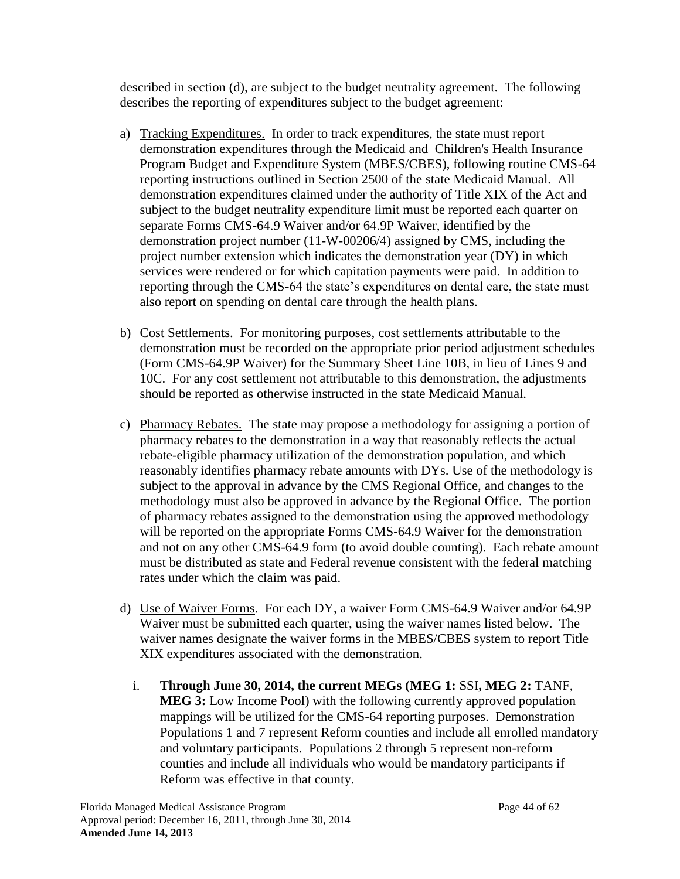described in section (d), are subject to the budget neutrality agreement. The following describes the reporting of expenditures subject to the budget agreement:

- a) Tracking Expenditures. In order to track expenditures, the state must report demonstration expenditures through the Medicaid and Children's Health Insurance Program Budget and Expenditure System (MBES/CBES), following routine CMS-64 reporting instructions outlined in Section 2500 of the state Medicaid Manual. All demonstration expenditures claimed under the authority of Title XIX of the Act and subject to the budget neutrality expenditure limit must be reported each quarter on separate Forms CMS-64.9 Waiver and/or 64.9P Waiver, identified by the demonstration project number (11-W-00206/4) assigned by CMS, including the project number extension which indicates the demonstration year (DY) in which services were rendered or for which capitation payments were paid. In addition to reporting through the CMS-64 the state's expenditures on dental care, the state must also report on spending on dental care through the health plans.
- b) Cost Settlements. For monitoring purposes, cost settlements attributable to the demonstration must be recorded on the appropriate prior period adjustment schedules (Form CMS-64.9P Waiver) for the Summary Sheet Line 10B, in lieu of Lines 9 and 10C. For any cost settlement not attributable to this demonstration, the adjustments should be reported as otherwise instructed in the state Medicaid Manual.
- c) Pharmacy Rebates. The state may propose a methodology for assigning a portion of pharmacy rebates to the demonstration in a way that reasonably reflects the actual rebate-eligible pharmacy utilization of the demonstration population, and which reasonably identifies pharmacy rebate amounts with DYs. Use of the methodology is subject to the approval in advance by the CMS Regional Office, and changes to the methodology must also be approved in advance by the Regional Office. The portion of pharmacy rebates assigned to the demonstration using the approved methodology will be reported on the appropriate Forms CMS-64.9 Waiver for the demonstration and not on any other CMS-64.9 form (to avoid double counting). Each rebate amount must be distributed as state and Federal revenue consistent with the federal matching rates under which the claim was paid.
- d) Use of Waiver Forms. For each DY, a waiver Form CMS-64.9 Waiver and/or 64.9P Waiver must be submitted each quarter, using the waiver names listed below. The waiver names designate the waiver forms in the MBES/CBES system to report Title XIX expenditures associated with the demonstration.
	- i. **Through June 30, 2014, the current MEGs (MEG 1:** SSI**, MEG 2:** TANF, **MEG 3:** Low Income Pool) with the following currently approved population mappings will be utilized for the CMS-64 reporting purposes. Demonstration Populations 1 and 7 represent Reform counties and include all enrolled mandatory and voluntary participants. Populations 2 through 5 represent non-reform counties and include all individuals who would be mandatory participants if Reform was effective in that county.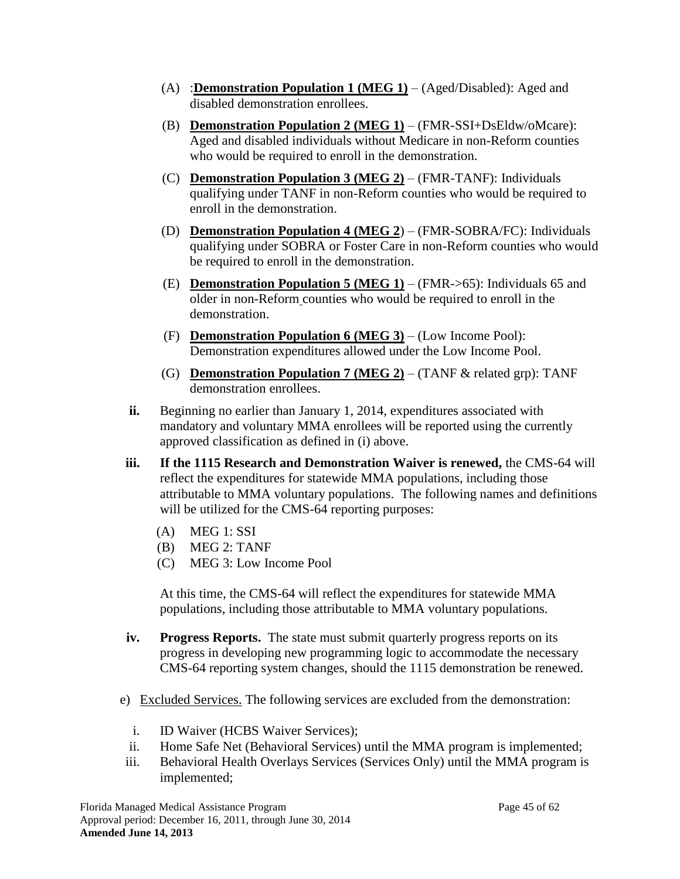- (A) :**Demonstration Population 1 (MEG 1)** (Aged/Disabled): Aged and disabled demonstration enrollees.
- (B) **Demonstration Population 2 (MEG 1)** (FMR-SSI+DsEldw/oMcare): Aged and disabled individuals without Medicare in non-Reform counties who would be required to enroll in the demonstration.
- (C) **Demonstration Population 3 (MEG 2)** (FMR-TANF): Individuals qualifying under TANF in non-Reform counties who would be required to enroll in the demonstration.
- (D) **Demonstration Population 4 (MEG 2**) (FMR-SOBRA/FC): Individuals qualifying under SOBRA or Foster Care in non-Reform counties who would be required to enroll in the demonstration.
- (E) **Demonstration Population 5 (MEG 1)** (FMR->65): Individuals 65 and older in non-Reform counties who would be required to enroll in the demonstration.
- (F) **Demonstration Population 6 (MEG 3)** (Low Income Pool): Demonstration expenditures allowed under the Low Income Pool.
- (G) **Demonstration Population 7 (MEG 2)** (TANF & related grp): TANF demonstration enrollees.
- **ii.** Beginning no earlier than January 1, 2014, expenditures associated with mandatory and voluntary MMA enrollees will be reported using the currently approved classification as defined in (i) above.
- **iii. If the 1115 Research and Demonstration Waiver is renewed,** the CMS-64 will reflect the expenditures for statewide MMA populations, including those attributable to MMA voluntary populations. The following names and definitions will be utilized for the CMS-64 reporting purposes:
	- (A) MEG 1: SSI
	- (B) MEG 2: TANF
	- (C) MEG 3: Low Income Pool

At this time, the CMS-64 will reflect the expenditures for statewide MMA populations, including those attributable to MMA voluntary populations.

- **iv. Progress Reports.** The state must submit quarterly progress reports on its progress in developing new programming logic to accommodate the necessary CMS-64 reporting system changes, should the 1115 demonstration be renewed.
- e) Excluded Services. The following services are excluded from the demonstration:
	- i. ID Waiver (HCBS Waiver Services);
	- ii. Home Safe Net (Behavioral Services) until the MMA program is implemented;
- iii. Behavioral Health Overlays Services (Services Only) until the MMA program is implemented;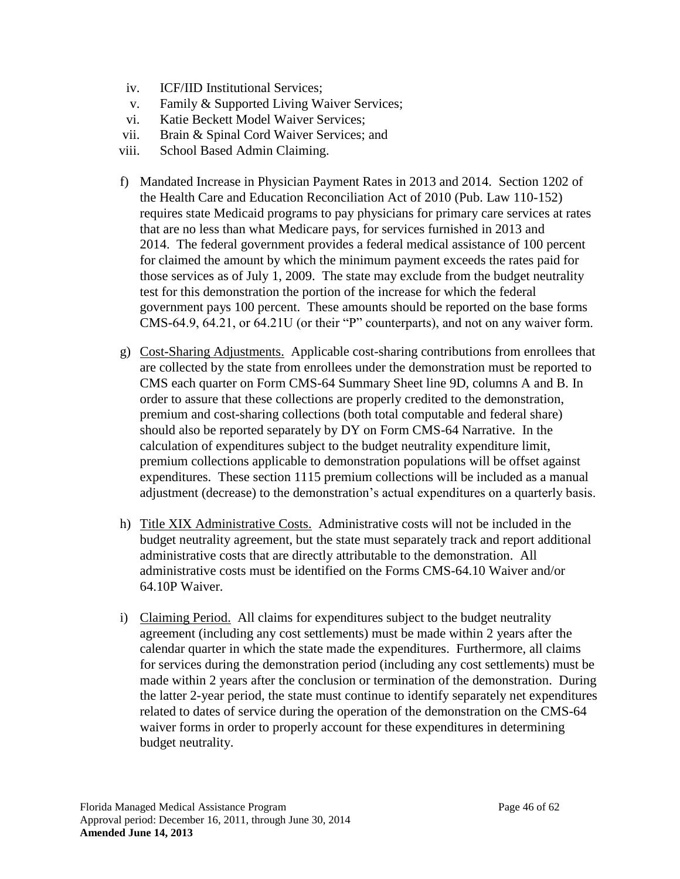- iv. ICF/IID Institutional Services;
- v. Family & Supported Living Waiver Services;
- vi. Katie Beckett Model Waiver Services;
- vii. Brain & Spinal Cord Waiver Services; and
- viii. School Based Admin Claiming.
- f) Mandated Increase in Physician Payment Rates in 2013 and 2014. Section 1202 of the Health Care and Education Reconciliation Act of 2010 (Pub. Law 110-152) requires state Medicaid programs to pay physicians for primary care services at rates that are no less than what Medicare pays, for services furnished in 2013 and 2014. The federal government provides a federal medical assistance of 100 percent for claimed the amount by which the minimum payment exceeds the rates paid for those services as of July 1, 2009. The state may exclude from the budget neutrality test for this demonstration the portion of the increase for which the federal government pays 100 percent. These amounts should be reported on the base forms CMS-64.9, 64.21, or 64.21U (or their "P" counterparts), and not on any waiver form.
- g) Cost-Sharing Adjustments. Applicable cost-sharing contributions from enrollees that are collected by the state from enrollees under the demonstration must be reported to CMS each quarter on Form CMS-64 Summary Sheet line 9D, columns A and B. In order to assure that these collections are properly credited to the demonstration, premium and cost-sharing collections (both total computable and federal share) should also be reported separately by DY on Form CMS-64 Narrative. In the calculation of expenditures subject to the budget neutrality expenditure limit, premium collections applicable to demonstration populations will be offset against expenditures. These section 1115 premium collections will be included as a manual adjustment (decrease) to the demonstration's actual expenditures on a quarterly basis.
- h) Title XIX Administrative Costs. Administrative costs will not be included in the budget neutrality agreement, but the state must separately track and report additional administrative costs that are directly attributable to the demonstration. All administrative costs must be identified on the Forms CMS-64.10 Waiver and/or 64.10P Waiver.
- i) Claiming Period. All claims for expenditures subject to the budget neutrality agreement (including any cost settlements) must be made within 2 years after the calendar quarter in which the state made the expenditures. Furthermore, all claims for services during the demonstration period (including any cost settlements) must be made within 2 years after the conclusion or termination of the demonstration. During the latter 2-year period, the state must continue to identify separately net expenditures related to dates of service during the operation of the demonstration on the CMS-64 waiver forms in order to properly account for these expenditures in determining budget neutrality.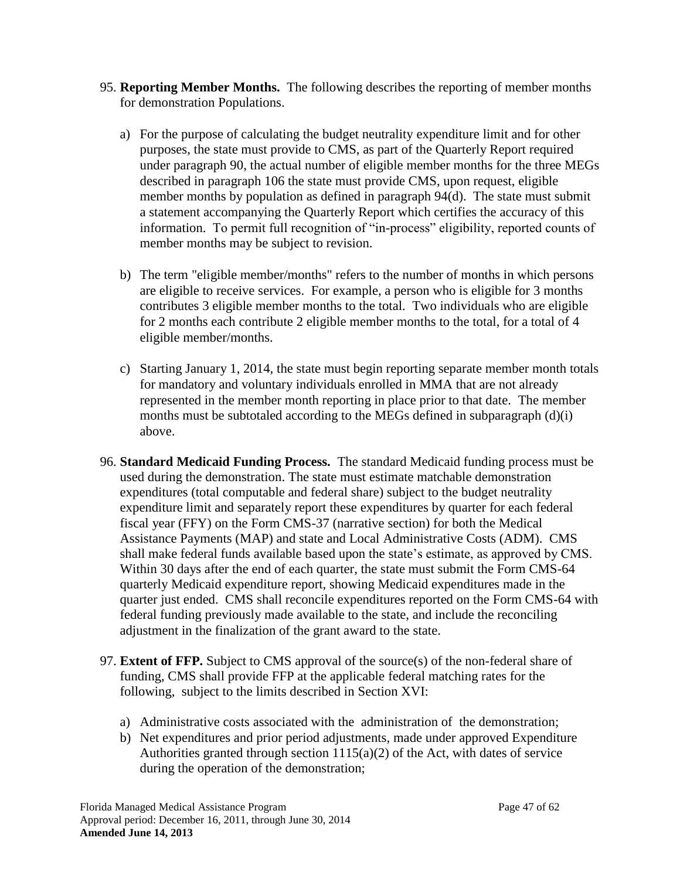- <span id="page-46-0"></span>95. **Reporting Member Months.** The following describes the reporting of member months for demonstration Populations.
	- a) For the purpose of calculating the budget neutrality expenditure limit and for other purposes, the state must provide to CMS, as part of the Quarterly Report required under paragraph [90,](#page-39-0) the actual number of eligible member months for the three MEGs described in paragraph [106](#page-49-0) the state must provide CMS, upon request, eligible member months by population as defined in paragraph [94\(](#page-42-0)d). The state must submit a statement accompanying the Quarterly Report which certifies the accuracy of this information. To permit full recognition of "in-process" eligibility, reported counts of member months may be subject to revision.
	- b) The term "eligible member/months" refers to the number of months in which persons are eligible to receive services. For example, a person who is eligible for 3 months contributes 3 eligible member months to the total. Two individuals who are eligible for 2 months each contribute 2 eligible member months to the total, for a total of 4 eligible member/months.
	- c) Starting January 1, 2014, the state must begin reporting separate member month totals for mandatory and voluntary individuals enrolled in MMA that are not already represented in the member month reporting in place prior to that date. The member months must be subtotaled according to the MEGs defined in subparagraph (d)(i) above.
- 96. **Standard Medicaid Funding Process.** The standard Medicaid funding process must be used during the demonstration. The state must estimate matchable demonstration expenditures (total computable and federal share) subject to the budget neutrality expenditure limit and separately report these expenditures by quarter for each federal fiscal year (FFY) on the Form CMS-37 (narrative section) for both the Medical Assistance Payments (MAP) and state and Local Administrative Costs (ADM). CMS shall make federal funds available based upon the state's estimate, as approved by CMS. Within 30 days after the end of each quarter, the state must submit the Form CMS-64 quarterly Medicaid expenditure report, showing Medicaid expenditures made in the quarter just ended. CMS shall reconcile expenditures reported on the Form CMS-64 with federal funding previously made available to the state, and include the reconciling adjustment in the finalization of the grant award to the state.
- 97. **Extent of FFP.** Subject to CMS approval of the source(s) of the non-federal share of funding, CMS shall provide FFP at the applicable federal matching rates for the following, subject to the limits described in Section XVI:
	- a) Administrative costs associated with the administration of the demonstration;
	- b) Net expenditures and prior period adjustments, made under approved Expenditure Authorities granted through section 1115(a)(2) of the Act, with dates of service during the operation of the demonstration;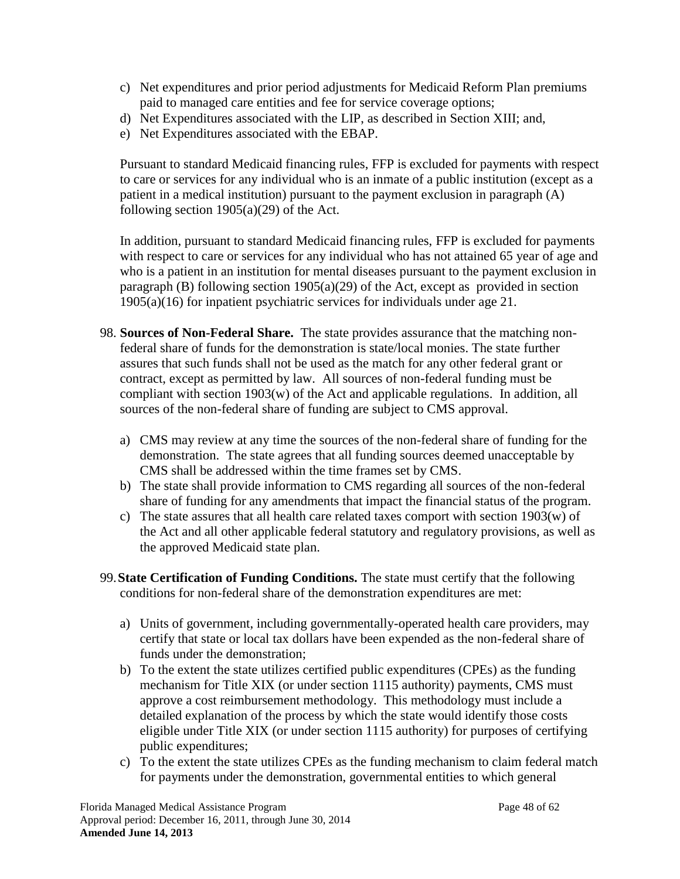- c) Net expenditures and prior period adjustments for Medicaid Reform Plan premiums paid to managed care entities and fee for service coverage options;
- d) Net Expenditures associated with the LIP, as described in Section XIII; and,
- e) Net Expenditures associated with the EBAP.

Pursuant to standard Medicaid financing rules, FFP is excluded for payments with respect to care or services for any individual who is an inmate of a public institution (except as a patient in a medical institution) pursuant to the payment exclusion in paragraph (A) following section  $1905(a)(29)$  of the Act.

In addition, pursuant to standard Medicaid financing rules, FFP is excluded for payments with respect to care or services for any individual who has not attained 65 year of age and who is a patient in an institution for mental diseases pursuant to the payment exclusion in paragraph (B) following section  $1905(a)(29)$  of the Act, except as provided in section 1905(a)(16) for inpatient psychiatric services for individuals under age 21.

- 98. **Sources of Non-Federal Share.** The state provides assurance that the matching nonfederal share of funds for the demonstration is state/local monies. The state further assures that such funds shall not be used as the match for any other federal grant or contract, except as permitted by law. All sources of non-federal funding must be compliant with section 1903(w) of the Act and applicable regulations. In addition, all sources of the non-federal share of funding are subject to CMS approval.
	- a) CMS may review at any time the sources of the non-federal share of funding for the demonstration. The state agrees that all funding sources deemed unacceptable by CMS shall be addressed within the time frames set by CMS.
	- b) The state shall provide information to CMS regarding all sources of the non-federal share of funding for any amendments that impact the financial status of the program.
	- c) The state assures that all health care related taxes comport with section 1903(w) of the Act and all other applicable federal statutory and regulatory provisions, as well as the approved Medicaid state plan.
- 99.**State Certification of Funding Conditions.** The state must certify that the following conditions for non-federal share of the demonstration expenditures are met:
	- a) Units of government, including governmentally-operated health care providers, may certify that state or local tax dollars have been expended as the non-federal share of funds under the demonstration;
	- b) To the extent the state utilizes certified public expenditures (CPEs) as the funding mechanism for Title XIX (or under section 1115 authority) payments, CMS must approve a cost reimbursement methodology. This methodology must include a detailed explanation of the process by which the state would identify those costs eligible under Title XIX (or under section 1115 authority) for purposes of certifying public expenditures;
	- c) To the extent the state utilizes CPEs as the funding mechanism to claim federal match for payments under the demonstration, governmental entities to which general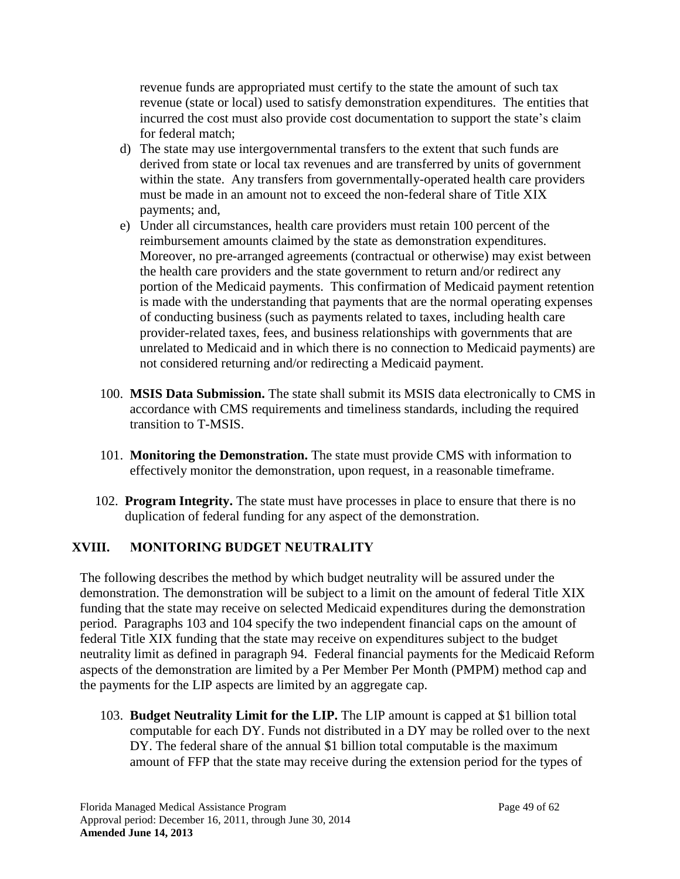revenue funds are appropriated must certify to the state the amount of such tax revenue (state or local) used to satisfy demonstration expenditures. The entities that incurred the cost must also provide cost documentation to support the state's claim for federal match;

- d) The state may use intergovernmental transfers to the extent that such funds are derived from state or local tax revenues and are transferred by units of government within the state. Any transfers from governmentally-operated health care providers must be made in an amount not to exceed the non-federal share of Title XIX payments; and,
- e) Under all circumstances, health care providers must retain 100 percent of the reimbursement amounts claimed by the state as demonstration expenditures. Moreover, no pre-arranged agreements (contractual or otherwise) may exist between the health care providers and the state government to return and/or redirect any portion of the Medicaid payments. This confirmation of Medicaid payment retention is made with the understanding that payments that are the normal operating expenses of conducting business (such as payments related to taxes, including health care provider-related taxes, fees, and business relationships with governments that are unrelated to Medicaid and in which there is no connection to Medicaid payments) are not considered returning and/or redirecting a Medicaid payment.
- 100. **MSIS Data Submission.** The state shall submit its MSIS data electronically to CMS in accordance with CMS requirements and timeliness standards, including the required transition to T-MSIS.
- 101. **Monitoring the Demonstration.** The state must provide CMS with information to effectively monitor the demonstration, upon request, in a reasonable timeframe.
- 102. **Program Integrity.** The state must have processes in place to ensure that there is no duplication of federal funding for any aspect of the demonstration.

## <span id="page-48-0"></span>**XVIII. MONITORING BUDGET NEUTRALITY**

The following describes the method by which budget neutrality will be assured under the demonstration. The demonstration will be subject to a limit on the amount of federal Title XIX funding that the state may receive on selected Medicaid expenditures during the demonstration period. Paragraphs [103](#page-48-1) and [104](#page-49-1) specify the two independent financial caps on the amount of federal Title XIX funding that the state may receive on expenditures subject to the budget neutrality limit as defined in paragraph [94.](#page-42-0) Federal financial payments for the Medicaid Reform aspects of the demonstration are limited by a Per Member Per Month (PMPM) method cap and the payments for the LIP aspects are limited by an aggregate cap.

<span id="page-48-1"></span>103. **Budget Neutrality Limit for the LIP.** The LIP amount is capped at \$1 billion total computable for each DY. Funds not distributed in a DY may be rolled over to the next DY. The federal share of the annual \$1 billion total computable is the maximum amount of FFP that the state may receive during the extension period for the types of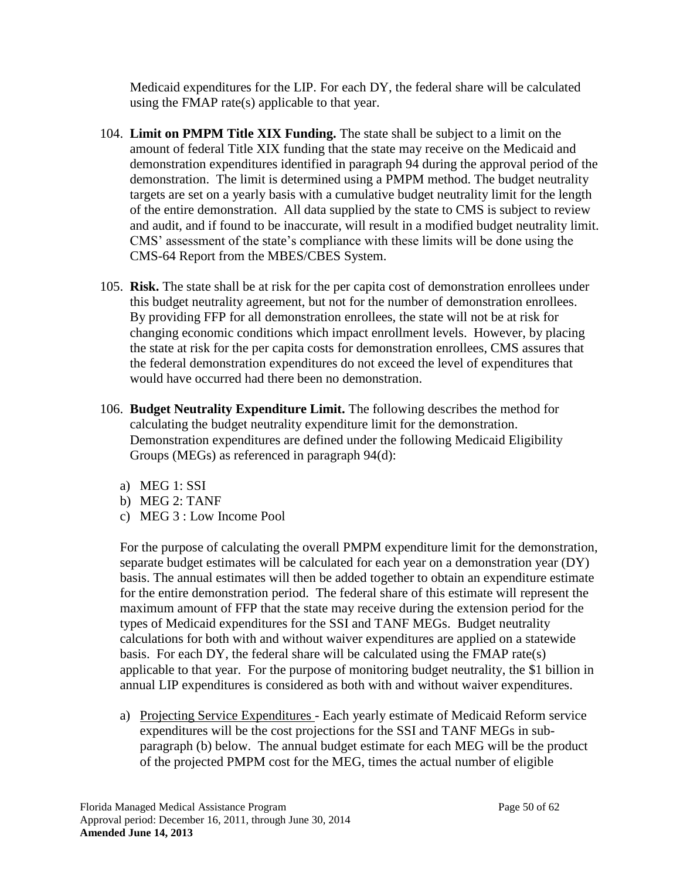Medicaid expenditures for the LIP. For each DY, the federal share will be calculated using the FMAP rate(s) applicable to that year.

- <span id="page-49-1"></span>104. **Limit on PMPM Title XIX Funding.** The state shall be subject to a limit on the amount of federal Title XIX funding that the state may receive on the Medicaid and demonstration expenditures identified in paragraph [94](#page-42-0) during the approval period of the demonstration. The limit is determined using a PMPM method. The budget neutrality targets are set on a yearly basis with a cumulative budget neutrality limit for the length of the entire demonstration. All data supplied by the state to CMS is subject to review and audit, and if found to be inaccurate, will result in a modified budget neutrality limit. CMS' assessment of the state's compliance with these limits will be done using the CMS-64 Report from the MBES/CBES System.
- 105. **Risk.** The state shall be at risk for the per capita cost of demonstration enrollees under this budget neutrality agreement, but not for the number of demonstration enrollees. By providing FFP for all demonstration enrollees, the state will not be at risk for changing economic conditions which impact enrollment levels. However, by placing the state at risk for the per capita costs for demonstration enrollees, CMS assures that the federal demonstration expenditures do not exceed the level of expenditures that would have occurred had there been no demonstration.
- <span id="page-49-0"></span>106. **Budget Neutrality Expenditure Limit.** The following describes the method for calculating the budget neutrality expenditure limit for the demonstration. Demonstration expenditures are defined under the following Medicaid Eligibility Groups (MEGs) as referenced in paragraph [94\(](#page-42-0)d):
	- a) MEG 1: SSI
	- b) MEG 2: TANF
	- c) MEG 3 : Low Income Pool

For the purpose of calculating the overall PMPM expenditure limit for the demonstration, separate budget estimates will be calculated for each year on a demonstration year (DY) basis. The annual estimates will then be added together to obtain an expenditure estimate for the entire demonstration period. The federal share of this estimate will represent the maximum amount of FFP that the state may receive during the extension period for the types of Medicaid expenditures for the SSI and TANF MEGs. Budget neutrality calculations for both with and without waiver expenditures are applied on a statewide basis. For each DY, the federal share will be calculated using the FMAP rate(s) applicable to that year. For the purpose of monitoring budget neutrality, the \$1 billion in annual LIP expenditures is considered as both with and without waiver expenditures.

a) Projecting Service Expenditures - Each yearly estimate of Medicaid Reform service expenditures will be the cost projections for the SSI and TANF MEGs in subparagraph (b) below. The annual budget estimate for each MEG will be the product of the projected PMPM cost for the MEG, times the actual number of eligible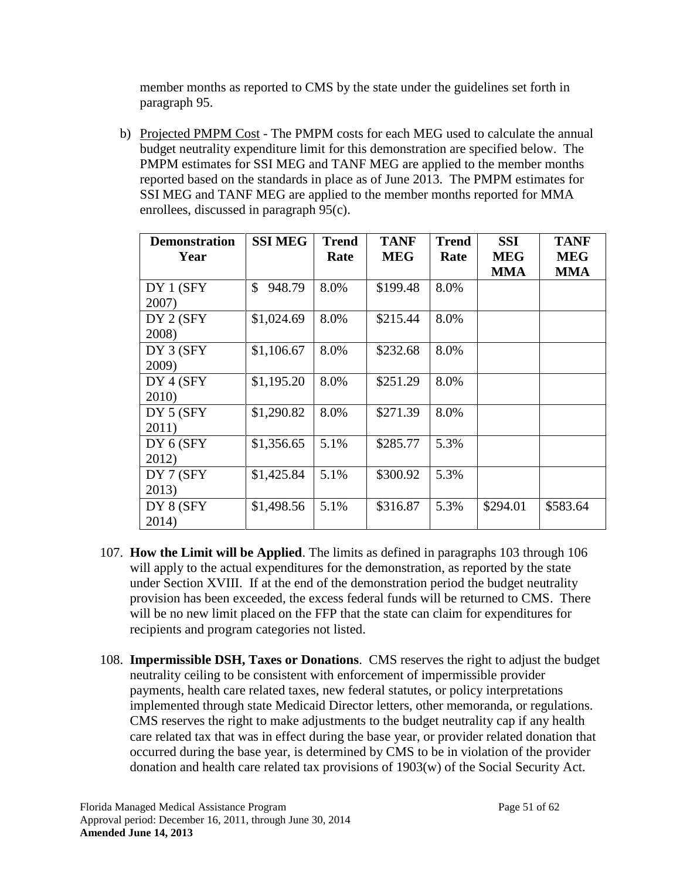member months as reported to CMS by the state under the guidelines set forth in paragraph [95.](#page-46-0)

b) Projected PMPM Cost - The PMPM costs for each MEG used to calculate the annual budget neutrality expenditure limit for this demonstration are specified below. The PMPM estimates for SSI MEG and TANF MEG are applied to the member months reported based on the standards in place as of June 2013. The PMPM estimates for SSI MEG and TANF MEG are applied to the member months reported for MMA enrollees, discussed in paragraph 95(c).

| <b>Demonstration</b><br>Year | <b>SSI MEG</b> | <b>Trend</b><br>Rate | <b>TANF</b><br><b>MEG</b> | <b>Trend</b><br>Rate | <b>SSI</b><br><b>MEG</b><br><b>MMA</b> | <b>TANF</b><br><b>MEG</b><br><b>MMA</b> |
|------------------------------|----------------|----------------------|---------------------------|----------------------|----------------------------------------|-----------------------------------------|
| DY 1 (SFY<br>2007)           | \$<br>948.79   | 8.0%                 | \$199.48                  | 8.0%                 |                                        |                                         |
| DY 2 (SFY)<br>2008)          | \$1,024.69     | 8.0%                 | \$215.44                  | 8.0%                 |                                        |                                         |
| DY 3 (SFY)<br>2009)          | \$1,106.67     | 8.0%                 | \$232.68                  | 8.0%                 |                                        |                                         |
| DY 4 (SFY)<br>2010)          | \$1,195.20     | 8.0%                 | \$251.29                  | 8.0%                 |                                        |                                         |
| DY 5 (SFY)<br>2011)          | \$1,290.82     | 8.0%                 | \$271.39                  | 8.0%                 |                                        |                                         |
| DY 6 (SFY<br>2012)           | \$1,356.65     | 5.1%                 | \$285.77                  | 5.3%                 |                                        |                                         |
| DY 7 (SFY)<br>2013)          | \$1,425.84     | 5.1%                 | \$300.92                  | 5.3%                 |                                        |                                         |
| DY 8 (SFY<br>2014)           | \$1,498.56     | 5.1%                 | \$316.87                  | 5.3%                 | \$294.01                               | \$583.64                                |

- 107. **How the Limit will be Applied**. The limits as defined in paragraphs [103](#page-48-1) through [106](#page-49-0) will apply to the actual expenditures for the demonstration, as reported by the state under Section [XVIII.](#page-48-0) If at the end of the demonstration period the budget neutrality provision has been exceeded, the excess federal funds will be returned to CMS. There will be no new limit placed on the FFP that the state can claim for expenditures for recipients and program categories not listed.
- 108. **Impermissible DSH, Taxes or Donations**. CMS reserves the right to adjust the budget neutrality ceiling to be consistent with enforcement of impermissible provider payments, health care related taxes, new federal statutes, or policy interpretations implemented through state Medicaid Director letters, other memoranda, or regulations. CMS reserves the right to make adjustments to the budget neutrality cap if any health care related tax that was in effect during the base year, or provider related donation that occurred during the base year, is determined by CMS to be in violation of the provider donation and health care related tax provisions of 1903(w) of the Social Security Act.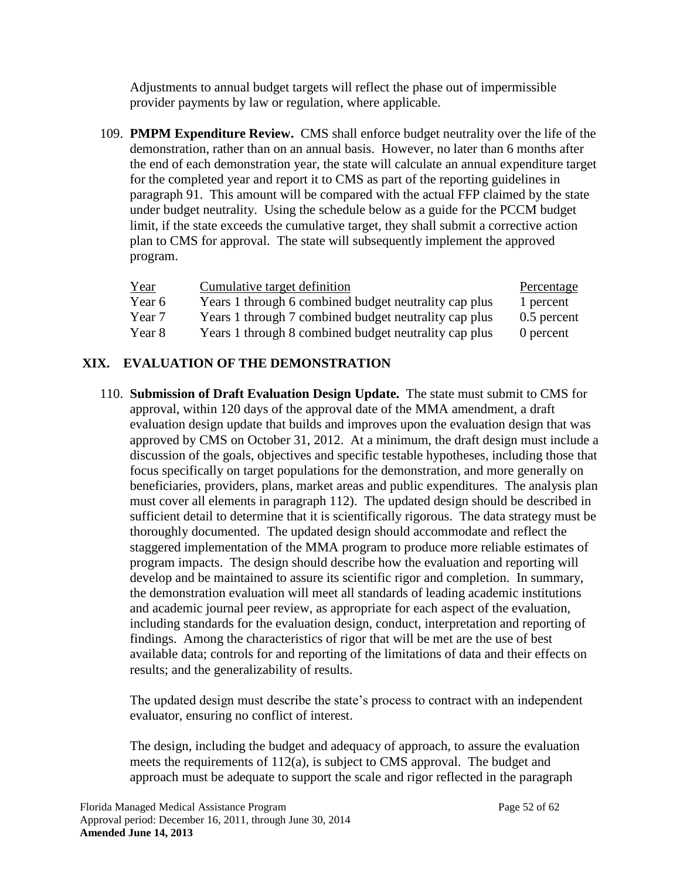Adjustments to annual budget targets will reflect the phase out of impermissible provider payments by law or regulation, where applicable.

109. **PMPM Expenditure Review.** CMS shall enforce budget neutrality over the life of the demonstration, rather than on an annual basis. However, no later than 6 months after the end of each demonstration year, the state will calculate an annual expenditure target for the completed year and report it to CMS as part of the reporting guidelines in paragraph [91.](#page-41-0) This amount will be compared with the actual FFP claimed by the state under budget neutrality. Using the schedule below as a guide for the PCCM budget limit, if the state exceeds the cumulative target, they shall submit a corrective action plan to CMS for approval. The state will subsequently implement the approved program.

| Year   | Cumulative target definition                          | Percentage  |
|--------|-------------------------------------------------------|-------------|
| Year 6 | Years 1 through 6 combined budget neutrality cap plus | 1 percent   |
| Year 7 | Years 1 through 7 combined budget neutrality cap plus | 0.5 percent |
| Year 8 | Years 1 through 8 combined budget neutrality cap plus | 0 percent   |

# **XIX. EVALUATION OF THE DEMONSTRATION**

<span id="page-51-1"></span><span id="page-51-0"></span>110. **Submission of Draft Evaluation Design Update.** The state must submit to CMS for approval, within 120 days of the approval date of the MMA amendment, a draft evaluation design update that builds and improves upon the evaluation design that was approved by CMS on October 31, 2012. At a minimum, the draft design must include a discussion of the goals, objectives and specific testable hypotheses, including those that focus specifically on target populations for the demonstration, and more generally on beneficiaries, providers, plans, market areas and public expenditures. The analysis plan must cover all elements in paragraph [112\)](#page-52-0). The updated design should be described in sufficient detail to determine that it is scientifically rigorous. The data strategy must be thoroughly documented. The updated design should accommodate and reflect the staggered implementation of the MMA program to produce more reliable estimates of program impacts. The design should describe how the evaluation and reporting will develop and be maintained to assure its scientific rigor and completion. In summary, the demonstration evaluation will meet all standards of leading academic institutions and academic journal peer review, as appropriate for each aspect of the evaluation, including standards for the evaluation design, conduct, interpretation and reporting of findings. Among the characteristics of rigor that will be met are the use of best available data; controls for and reporting of the limitations of data and their effects on results; and the generalizability of results.

The updated design must describe the state's process to contract with an independent evaluator, ensuring no conflict of interest.

The design, including the budget and adequacy of approach, to assure the evaluation meets the requirements of [112\(](#page-52-0)a), is subject to CMS approval. The budget and approach must be adequate to support the scale and rigor reflected in the paragraph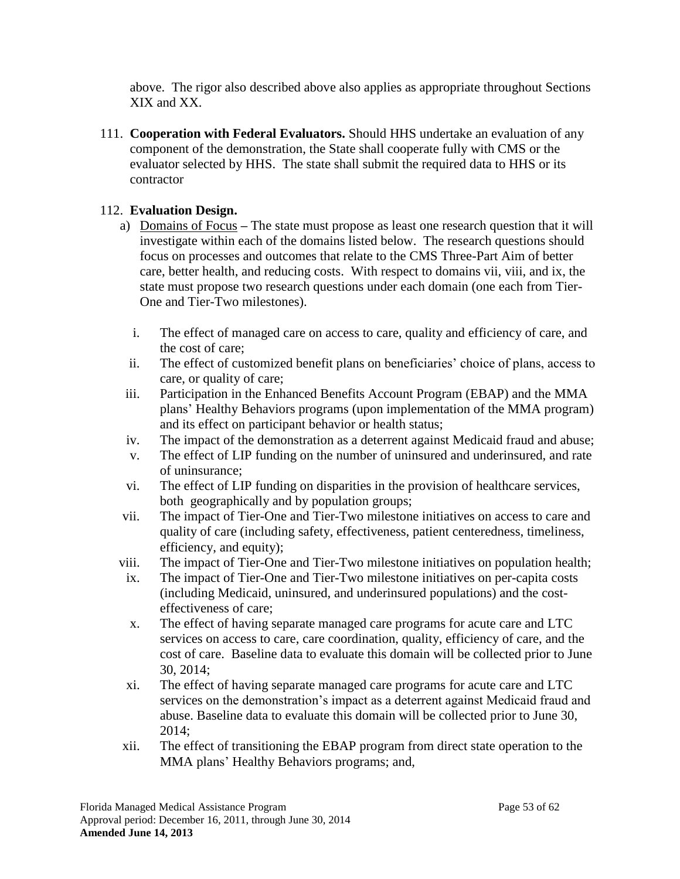above. The rigor also described above also applies as appropriate throughout Sections [XIX](#page-51-0) and [XX.](#page-54-1)

111. **Cooperation with Federal Evaluators.** Should HHS undertake an evaluation of any component of the demonstration, the State shall cooperate fully with CMS or the evaluator selected by HHS. The state shall submit the required data to HHS or its contractor

## <span id="page-52-0"></span>112. **Evaluation Design.**

- a) Domains of Focus **–** The state must propose as least one research question that it will investigate within each of the domains listed below. The research questions should focus on processes and outcomes that relate to the CMS Three-Part Aim of better care, better health, and reducing costs. With respect to domains vii, viii, and ix, the state must propose two research questions under each domain (one each from Tier-One and Tier-Two milestones).
	- i. The effect of managed care on access to care, quality and efficiency of care, and the cost of care;
	- ii. The effect of customized benefit plans on beneficiaries' choice of plans, access to care, or quality of care;
- iii. Participation in the Enhanced Benefits Account Program (EBAP) and the MMA plans' Healthy Behaviors programs (upon implementation of the MMA program) and its effect on participant behavior or health status;
- iv. The impact of the demonstration as a deterrent against Medicaid fraud and abuse;
- v. The effect of LIP funding on the number of uninsured and underinsured, and rate of uninsurance;
- vi. The effect of LIP funding on disparities in the provision of healthcare services, both geographically and by population groups;
- vii. The impact of Tier-One and Tier-Two milestone initiatives on access to care and quality of care (including safety, effectiveness, patient centeredness, timeliness, efficiency, and equity);
- viii. The impact of Tier-One and Tier-Two milestone initiatives on population health;
- ix. The impact of Tier-One and Tier-Two milestone initiatives on per-capita costs (including Medicaid, uninsured, and underinsured populations) and the costeffectiveness of care;
- x. The effect of having separate managed care programs for acute care and LTC services on access to care, care coordination, quality, efficiency of care, and the cost of care. Baseline data to evaluate this domain will be collected prior to June 30, 2014;
- xi. The effect of having separate managed care programs for acute care and LTC services on the demonstration's impact as a deterrent against Medicaid fraud and abuse. Baseline data to evaluate this domain will be collected prior to June 30, 2014;
- xii. The effect of transitioning the EBAP program from direct state operation to the MMA plans' Healthy Behaviors programs; and,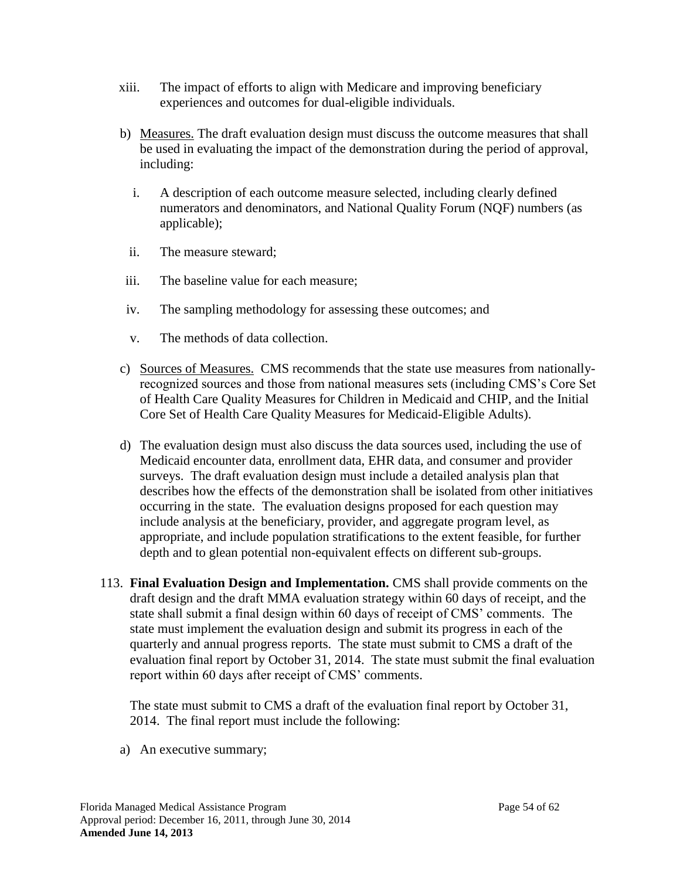- xiii. The impact of efforts to align with Medicare and improving beneficiary experiences and outcomes for dual-eligible individuals.
- b) Measures. The draft evaluation design must discuss the outcome measures that shall be used in evaluating the impact of the demonstration during the period of approval, including:
	- i. A description of each outcome measure selected, including clearly defined numerators and denominators, and National Quality Forum (NQF) numbers (as applicable);
	- ii. The measure steward;
- iii. The baseline value for each measure;
- iv. The sampling methodology for assessing these outcomes; and
- v. The methods of data collection.
- c) Sources of Measures. CMS recommends that the state use measures from nationallyrecognized sources and those from national measures sets (including CMS's Core Set of Health Care Quality Measures for Children in Medicaid and CHIP, and the Initial Core Set of Health Care Quality Measures for Medicaid-Eligible Adults).
- d) The evaluation design must also discuss the data sources used, including the use of Medicaid encounter data, enrollment data, EHR data, and consumer and provider surveys. The draft evaluation design must include a detailed analysis plan that describes how the effects of the demonstration shall be isolated from other initiatives occurring in the state. The evaluation designs proposed for each question may include analysis at the beneficiary, provider, and aggregate program level, as appropriate, and include population stratifications to the extent feasible, for further depth and to glean potential non-equivalent effects on different sub-groups.
- 113. **Final Evaluation Design and Implementation.** CMS shall provide comments on the draft design and the draft MMA evaluation strategy within 60 days of receipt, and the state shall submit a final design within 60 days of receipt of CMS' comments. The state must implement the evaluation design and submit its progress in each of the quarterly and annual progress reports. The state must submit to CMS a draft of the evaluation final report by October 31, 2014. The state must submit the final evaluation report within 60 days after receipt of CMS' comments.

The state must submit to CMS a draft of the evaluation final report by October 31, 2014. The final report must include the following:

a) An executive summary;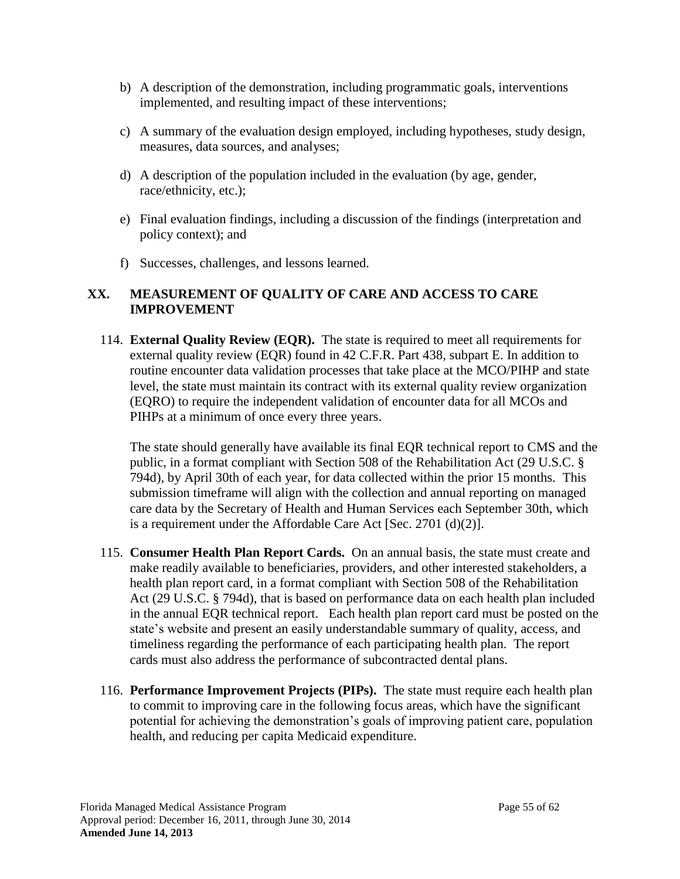- b) A description of the demonstration, including programmatic goals, interventions implemented, and resulting impact of these interventions;
- c) A summary of the evaluation design employed, including hypotheses, study design, measures, data sources, and analyses;
- d) A description of the population included in the evaluation (by age, gender, race/ethnicity, etc.);
- e) Final evaluation findings, including a discussion of the findings (interpretation and policy context); and
- f) Successes, challenges, and lessons learned.

## <span id="page-54-1"></span>**XX. MEASUREMENT OF QUALITY OF CARE AND ACCESS TO CARE IMPROVEMENT**

114. **External Quality Review (EQR).** The state is required to meet all requirements for external quality review (EQR) found in 42 C.F.R. Part 438, subpart E. In addition to routine encounter data validation processes that take place at the MCO/PIHP and state level, the state must maintain its contract with its external quality review organization (EQRO) to require the independent validation of encounter data for all MCOs and PIHPs at a minimum of once every three years.

The state should generally have available its final EQR technical report to CMS and the public, in a format compliant with Section 508 of the Rehabilitation Act (29 U.S.C. § 794d), by April 30th of each year, for data collected within the prior 15 months. This submission timeframe will align with the collection and annual reporting on managed care data by the Secretary of Health and Human Services each September 30th, which is a requirement under the Affordable Care Act [Sec. 2701 (d)(2)].

- <span id="page-54-0"></span>115. **Consumer Health Plan Report Cards.** On an annual basis, the state must create and make readily available to beneficiaries, providers, and other interested stakeholders, a health plan report card, in a format compliant with Section 508 of the Rehabilitation Act (29 U.S.C. § 794d), that is based on performance data on each health plan included in the annual EQR technical report. Each health plan report card must be posted on the state's website and present an easily understandable summary of quality, access, and timeliness regarding the performance of each participating health plan. The report cards must also address the performance of subcontracted dental plans.
- 116. **Performance Improvement Projects (PIPs).** The state must require each health plan to commit to improving care in the following focus areas, which have the significant potential for achieving the demonstration's goals of improving patient care, population health, and reducing per capita Medicaid expenditure.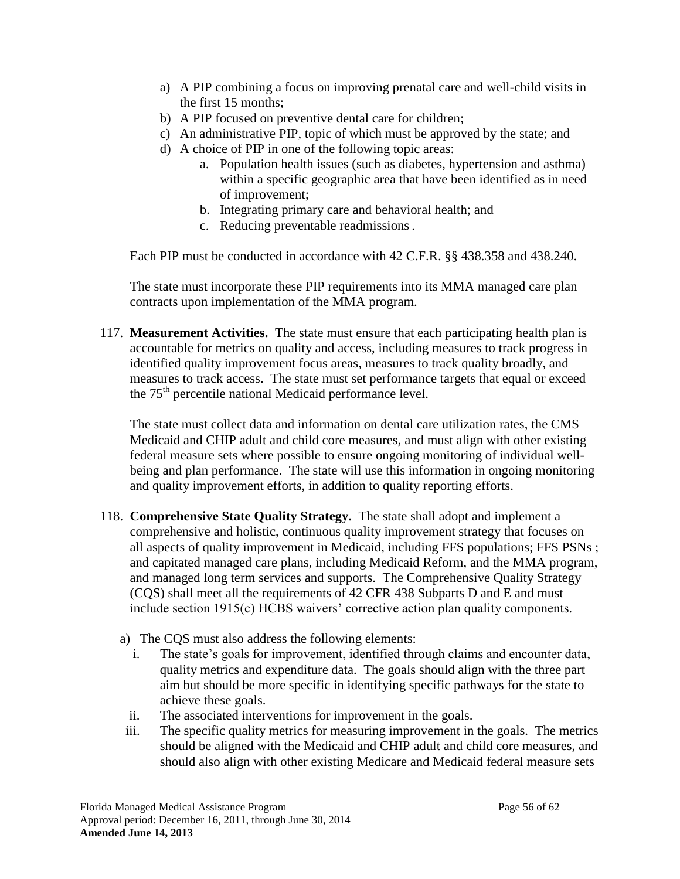- a) A PIP combining a focus on improving prenatal care and well-child visits in the first 15 months;
- b) A PIP focused on preventive dental care for children;
- c) An administrative PIP, topic of which must be approved by the state; and
- d) A choice of PIP in one of the following topic areas:
	- a. Population health issues (such as diabetes, hypertension and asthma) within a specific geographic area that have been identified as in need of improvement;
	- b. Integrating primary care and behavioral health; and
	- c. Reducing preventable readmissions.

Each PIP must be conducted in accordance with 42 C.F.R. §§ 438.358 and 438.240.

The state must incorporate these PIP requirements into its MMA managed care plan contracts upon implementation of the MMA program.

117. **Measurement Activities.** The state must ensure that each participating health plan is accountable for metrics on quality and access, including measures to track progress in identified quality improvement focus areas, measures to track quality broadly, and measures to track access. The state must set performance targets that equal or exceed the  $75<sup>th</sup>$  percentile national Medicaid performance level.

The state must collect data and information on dental care utilization rates, the CMS Medicaid and CHIP adult and child core measures, and must align with other existing federal measure sets where possible to ensure ongoing monitoring of individual wellbeing and plan performance. The state will use this information in ongoing monitoring and quality improvement efforts, in addition to quality reporting efforts.

- <span id="page-55-0"></span>118. **Comprehensive State Quality Strategy.** The state shall adopt and implement a comprehensive and holistic, continuous quality improvement strategy that focuses on all aspects of quality improvement in Medicaid, including FFS populations; FFS PSNs ; and capitated managed care plans, including Medicaid Reform, and the MMA program, and managed long term services and supports. The Comprehensive Quality Strategy (CQS) shall meet all the requirements of 42 CFR 438 Subparts D and E and must include section 1915(c) HCBS waivers' corrective action plan quality components.
	- a) The CQS must also address the following elements:
		- i. The state's goals for improvement, identified through claims and encounter data, quality metrics and expenditure data. The goals should align with the three part aim but should be more specific in identifying specific pathways for the state to achieve these goals.
		- ii. The associated interventions for improvement in the goals.
	- iii. The specific quality metrics for measuring improvement in the goals. The metrics should be aligned with the Medicaid and CHIP adult and child core measures, and should also align with other existing Medicare and Medicaid federal measure sets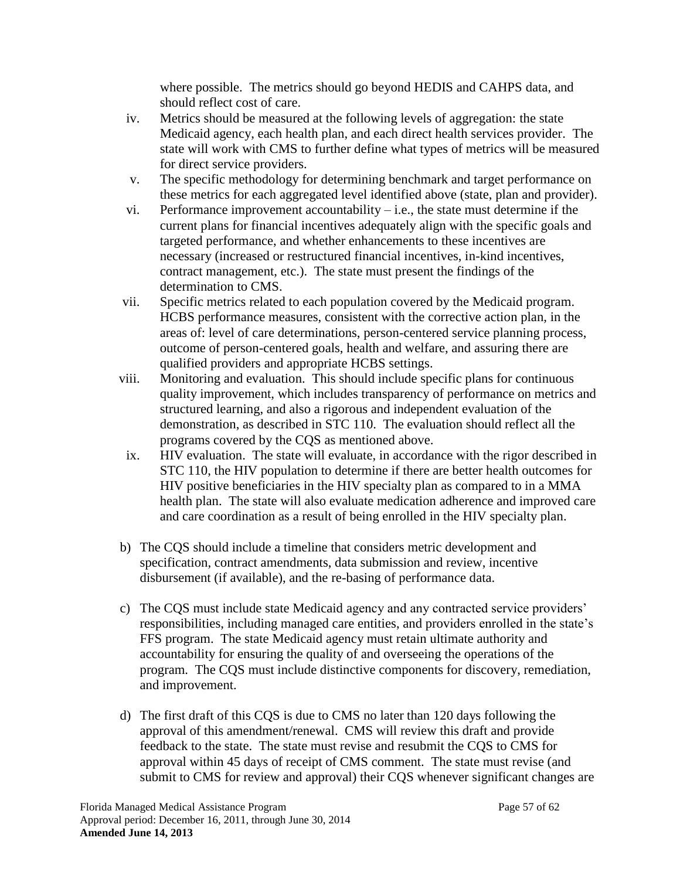where possible. The metrics should go beyond HEDIS and CAHPS data, and should reflect cost of care.

- iv. Metrics should be measured at the following levels of aggregation: the state Medicaid agency, each health plan, and each direct health services provider. The state will work with CMS to further define what types of metrics will be measured for direct service providers.
- v. The specific methodology for determining benchmark and target performance on these metrics for each aggregated level identified above (state, plan and provider).
- vi. Performance improvement accountability  $-i.e.,$  the state must determine if the current plans for financial incentives adequately align with the specific goals and targeted performance, and whether enhancements to these incentives are necessary (increased or restructured financial incentives, in-kind incentives, contract management, etc.). The state must present the findings of the determination to CMS.
- vii. Specific metrics related to each population covered by the Medicaid program. HCBS performance measures, consistent with the corrective action plan, in the areas of: level of care determinations, person-centered service planning process, outcome of person-centered goals, health and welfare, and assuring there are qualified providers and appropriate HCBS settings.
- viii. Monitoring and evaluation. This should include specific plans for continuous quality improvement, which includes transparency of performance on metrics and structured learning, and also a rigorous and independent evaluation of the demonstration, as described in STC [110.](#page-51-1) The evaluation should reflect all the programs covered by the CQS as mentioned above.
- ix. HIV evaluation. The state will evaluate, in accordance with the rigor described in STC [110,](#page-51-1) the HIV population to determine if there are better health outcomes for HIV positive beneficiaries in the HIV specialty plan as compared to in a MMA health plan. The state will also evaluate medication adherence and improved care and care coordination as a result of being enrolled in the HIV specialty plan.
- b) The CQS should include a timeline that considers metric development and specification, contract amendments, data submission and review, incentive disbursement (if available), and the re-basing of performance data.
- c) The CQS must include state Medicaid agency and any contracted service providers' responsibilities, including managed care entities, and providers enrolled in the state's FFS program. The state Medicaid agency must retain ultimate authority and accountability for ensuring the quality of and overseeing the operations of the program. The CQS must include distinctive components for discovery, remediation, and improvement.
- d) The first draft of this CQS is due to CMS no later than 120 days following the approval of this amendment/renewal. CMS will review this draft and provide feedback to the state. The state must revise and resubmit the CQS to CMS for approval within 45 days of receipt of CMS comment. The state must revise (and submit to CMS for review and approval) their CQS whenever significant changes are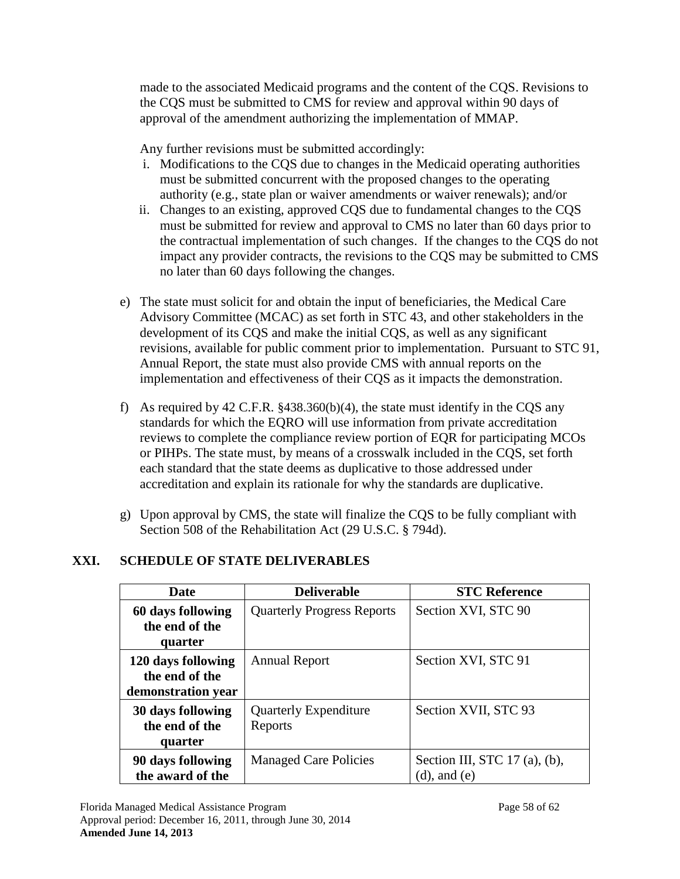made to the associated Medicaid programs and the content of the CQS. Revisions to the CQS must be submitted to CMS for review and approval within 90 days of approval of the amendment authorizing the implementation of MMAP.

Any further revisions must be submitted accordingly:

- i. Modifications to the CQS due to changes in the Medicaid operating authorities must be submitted concurrent with the proposed changes to the operating authority (e.g., state plan or waiver amendments or waiver renewals); and/or
- ii. Changes to an existing, approved CQS due to fundamental changes to the CQS must be submitted for review and approval to CMS no later than 60 days prior to the contractual implementation of such changes. If the changes to the CQS do not impact any provider contracts, the revisions to the CQS may be submitted to CMS no later than 60 days following the changes.
- e) The state must solicit for and obtain the input of beneficiaries, the Medical Care Advisory Committee (MCAC) as set forth in STC [43,](#page-24-0) and other stakeholders in the development of its CQS and make the initial CQS, as well as any significant revisions, available for public comment prior to implementation. Pursuant to STC [91,](#page-41-0) Annual Report, the state must also provide CMS with annual reports on the implementation and effectiveness of their CQS as it impacts the demonstration.
- f) As required by 42 C.F.R. §438.360(b)(4), the state must identify in the CQS any standards for which the EQRO will use information from private accreditation reviews to complete the compliance review portion of EQR for participating MCOs or PIHPs. The state must, by means of a crosswalk included in the CQS, set forth each standard that the state deems as duplicative to those addressed under accreditation and explain its rationale for why the standards are duplicative.
- g) Upon approval by CMS, the state will finalize the CQS to be fully compliant with Section 508 of the Rehabilitation Act (29 U.S.C. § 794d).

# **XXI. SCHEDULE OF STATE DELIVERABLES**

| <b>Date</b>                                                | <b>Deliverable</b>                      | <b>STC Reference</b>                                     |  |  |
|------------------------------------------------------------|-----------------------------------------|----------------------------------------------------------|--|--|
| 60 days following<br>the end of the<br>quarter             | <b>Quarterly Progress Reports</b>       | Section XVI, STC 90                                      |  |  |
| 120 days following<br>the end of the<br>demonstration year | <b>Annual Report</b>                    | Section XVI, STC 91                                      |  |  |
| 30 days following<br>the end of the<br>quarter             | <b>Quarterly Expenditure</b><br>Reports | Section XVII, STC 93                                     |  |  |
| 90 days following<br>the award of the                      | <b>Managed Care Policies</b>            | Section III, STC 17 $(a)$ , $(b)$ ,<br>$(d)$ , and $(e)$ |  |  |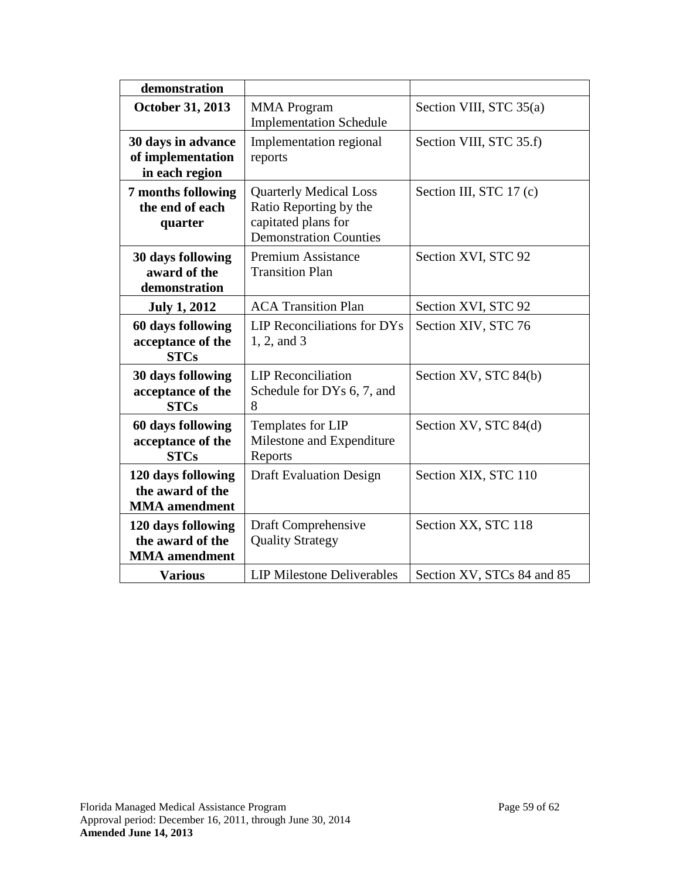| demonstration                                                  |                                                                                                                 |                            |  |  |
|----------------------------------------------------------------|-----------------------------------------------------------------------------------------------------------------|----------------------------|--|--|
| October 31, 2013                                               | <b>MMA</b> Program<br><b>Implementation Schedule</b>                                                            | Section VIII, STC 35(a)    |  |  |
| 30 days in advance<br>of implementation<br>in each region      | Implementation regional<br>reports                                                                              | Section VIII, STC 35.f)    |  |  |
| 7 months following<br>the end of each<br>quarter               | <b>Quarterly Medical Loss</b><br>Ratio Reporting by the<br>capitated plans for<br><b>Demonstration Counties</b> | Section III, STC 17 (c)    |  |  |
| 30 days following<br>award of the<br>demonstration             | <b>Premium Assistance</b><br><b>Transition Plan</b>                                                             | Section XVI, STC 92        |  |  |
| <b>July 1, 2012</b>                                            | <b>ACA Transition Plan</b>                                                                                      | Section XVI, STC 92        |  |  |
| 60 days following<br>acceptance of the<br><b>STCs</b>          | LIP Reconciliations for DYs<br>1, 2, and 3                                                                      | Section XIV, STC 76        |  |  |
| 30 days following<br>acceptance of the<br><b>STCs</b>          | <b>LIP</b> Reconciliation<br>Schedule for DYs 6, 7, and<br>8                                                    | Section XV, STC 84(b)      |  |  |
| 60 days following<br>acceptance of the<br><b>STCs</b>          | Templates for LIP<br>Milestone and Expenditure<br>Reports                                                       | Section XV, STC 84(d)      |  |  |
| 120 days following<br>the award of the<br><b>MMA</b> amendment | <b>Draft Evaluation Design</b>                                                                                  | Section XIX, STC 110       |  |  |
| 120 days following<br>the award of the<br><b>MMA</b> amendment | Draft Comprehensive<br><b>Quality Strategy</b>                                                                  | Section XX, STC 118        |  |  |
| <b>Various</b>                                                 | <b>LIP Milestone Deliverables</b>                                                                               | Section XV, STCs 84 and 85 |  |  |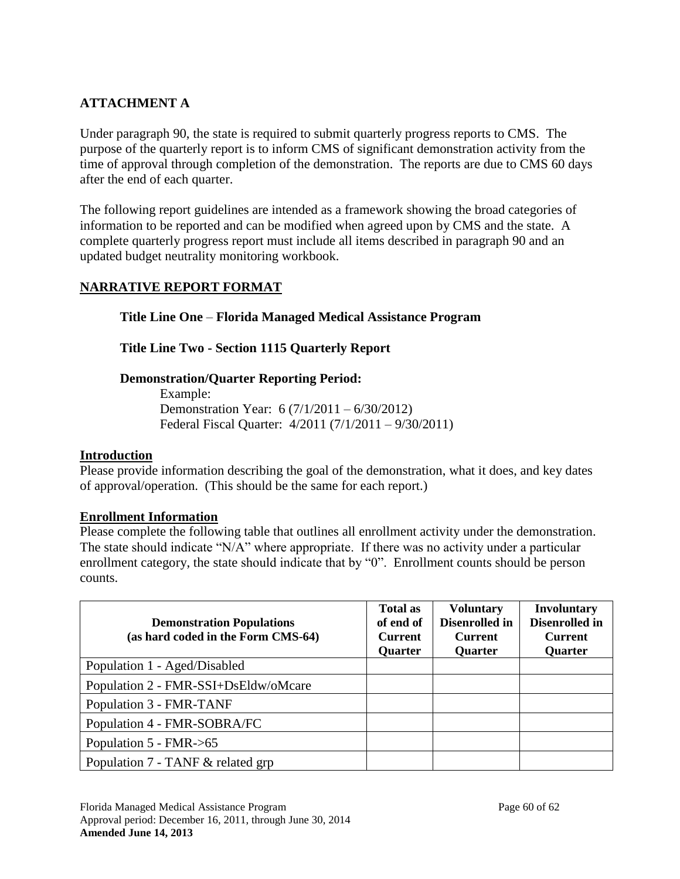## **ATTACHMENT A**

Under paragraph [90,](#page-39-0) the state is required to submit quarterly progress reports to CMS. The purpose of the quarterly report is to inform CMS of significant demonstration activity from the time of approval through completion of the demonstration. The reports are due to CMS 60 days after the end of each quarter.

The following report guidelines are intended as a framework showing the broad categories of information to be reported and can be modified when agreed upon by CMS and the state. A complete quarterly progress report must include all items described in paragraph 90 and an updated budget neutrality monitoring workbook.

## **NARRATIVE REPORT FORMAT**

### **Title Line One** – **Florida Managed Medical Assistance Program**

### **Title Line Two - Section 1115 Quarterly Report**

### **Demonstration/Quarter Reporting Period:**

Example: Demonstration Year: 6 (7/1/2011 – 6/30/2012) Federal Fiscal Quarter: 4/2011 (7/1/2011 – 9/30/2011)

#### **Introduction**

Please provide information describing the goal of the demonstration, what it does, and key dates of approval/operation. (This should be the same for each report.)

#### **Enrollment Information**

Please complete the following table that outlines all enrollment activity under the demonstration. The state should indicate "N/A" where appropriate. If there was no activity under a particular enrollment category, the state should indicate that by "0". Enrollment counts should be person counts.

| <b>Demonstration Populations</b><br>(as hard coded in the Form CMS-64) | <b>Total as</b><br>of end of<br><b>Current</b><br><b>Quarter</b> | <b>Voluntary</b><br>Disenrolled in<br><b>Current</b><br><b>Quarter</b> | <b>Involuntary</b><br>Disenrolled in<br><b>Current</b><br><b>Quarter</b> |
|------------------------------------------------------------------------|------------------------------------------------------------------|------------------------------------------------------------------------|--------------------------------------------------------------------------|
| Population 1 - Aged/Disabled                                           |                                                                  |                                                                        |                                                                          |
| Population 2 - FMR-SSI+DsEldw/oMcare                                   |                                                                  |                                                                        |                                                                          |
| Population 3 - FMR-TANF                                                |                                                                  |                                                                        |                                                                          |
| Population 4 - FMR-SOBRA/FC                                            |                                                                  |                                                                        |                                                                          |
| Population 5 - FMR->65                                                 |                                                                  |                                                                        |                                                                          |
| Population 7 - TANF & related grp                                      |                                                                  |                                                                        |                                                                          |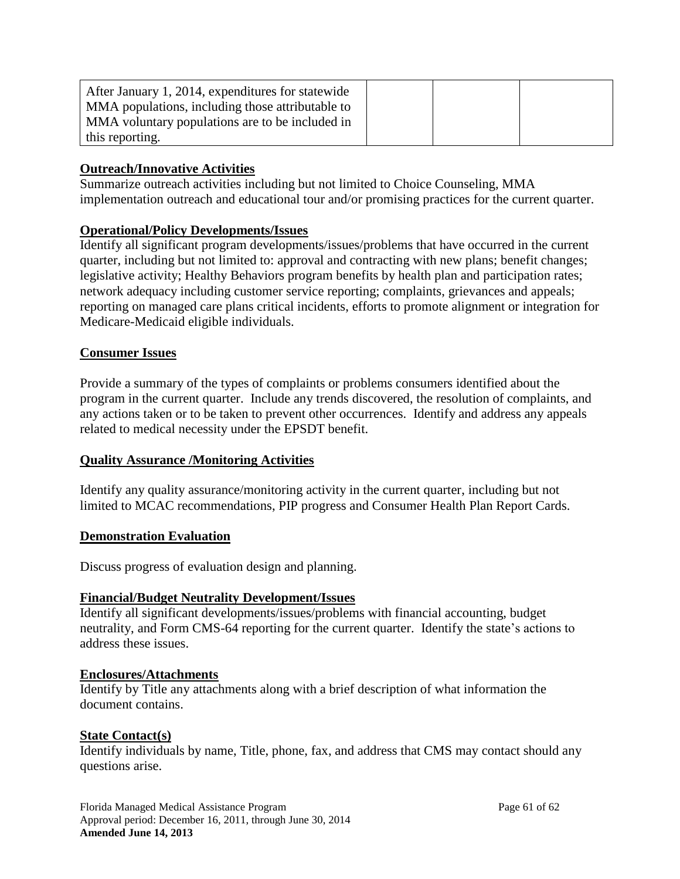| After January 1, 2014, expenditures for statewide |  |  |
|---------------------------------------------------|--|--|
| MMA populations, including those attributable to  |  |  |
| MMA voluntary populations are to be included in   |  |  |
| this reporting.                                   |  |  |

### **Outreach/Innovative Activities**

Summarize outreach activities including but not limited to Choice Counseling, MMA implementation outreach and educational tour and/or promising practices for the current quarter.

#### **Operational/Policy Developments/Issues**

Identify all significant program developments/issues/problems that have occurred in the current quarter, including but not limited to: approval and contracting with new plans; benefit changes; legislative activity; Healthy Behaviors program benefits by health plan and participation rates; network adequacy including customer service reporting; complaints, grievances and appeals; reporting on managed care plans critical incidents, efforts to promote alignment or integration for Medicare-Medicaid eligible individuals.

#### **Consumer Issues**

Provide a summary of the types of complaints or problems consumers identified about the program in the current quarter. Include any trends discovered, the resolution of complaints, and any actions taken or to be taken to prevent other occurrences. Identify and address any appeals related to medical necessity under the EPSDT benefit.

### **Quality Assurance /Monitoring Activities**

Identify any quality assurance/monitoring activity in the current quarter, including but not limited to MCAC recommendations, PIP progress and Consumer Health Plan Report Cards.

#### **Demonstration Evaluation**

Discuss progress of evaluation design and planning.

#### **Financial/Budget Neutrality Development/Issues**

Identify all significant developments/issues/problems with financial accounting, budget neutrality, and Form CMS-64 reporting for the current quarter. Identify the state's actions to address these issues.

#### **Enclosures/Attachments**

Identify by Title any attachments along with a brief description of what information the document contains.

#### **State Contact(s)**

Identify individuals by name, Title, phone, fax, and address that CMS may contact should any questions arise.